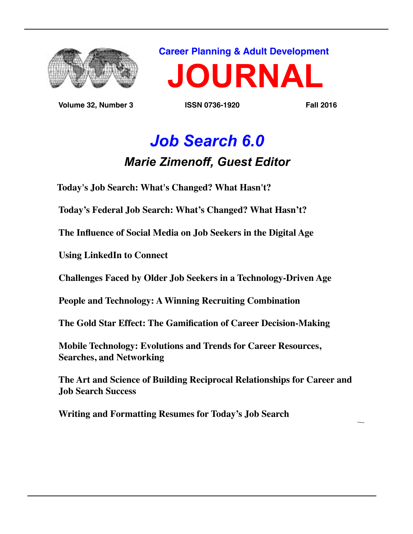

 **Volume 32, Number 3 ISSN 0736-1920 Fall 2016**

**Career Planning & Adult Development**



# *Job Search 6.0 Marie Zimenoff, Guest Editor*

 **Today's Job Search: What's Changed? What Hasn't?** 

 **Today's Federal Job Search: What's Changed? What Hasn't?**

 **The Influence of Social Media on Job Seekers in the Digital Age**

 **Using LinkedIn to Connect**

 **Challenges Faced by Older Job Seekers in a Technology-Driven Age**

 **People and Technology: A Winning Recruiting Combination**

 **The Gold Star Effect: The Gamification of Career Decision-Making**

 **Mobile Technology: Evolutions and Trends for Career Resources, Searches, and Networking**

 **The Art and Science of Building Reciprocal Relationships for Career and Job Search Success**

 **Writing and Formatting Resumes for Today's Job Search**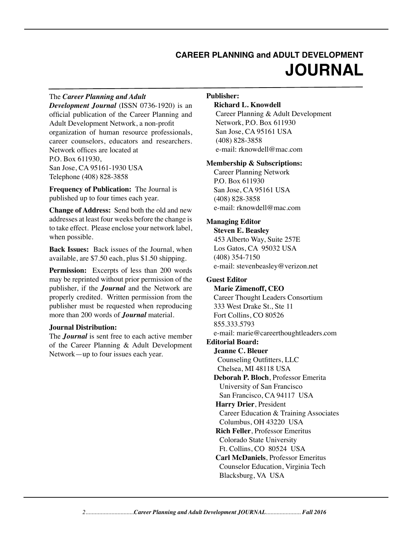# **CAREER PLANNING and ADULT DEVELOPMENT JOURNAL**

#### The *Career Planning and Adult*

*Development Journal* (ISSN 0736-1920) is an official publication of the Career Planning and Adult Development Network, a non-profit organization of human resource professionals, career counselors, educators and researchers. Network offices are located at P.O. Box 611930, San Jose, CA 95161-1930 USA Telephone (408) 828-3858

**Frequency of Publication:** The Journal is published up to four times each year.

**Change of Address:** Send both the old and new addresses at least four weeks before the change is to take effect. Please enclose your network label, when possible.

**Back Issues:** Back issues of the Journal, when available, are \$7.50 each, plus \$1.50 shipping.

**Permission:** Excerpts of less than 200 words may be reprinted without prior permission of the publisher, if the *Journal* and the Network are properly credited. Written permission from the publisher must be requested when reproducing more than 200 words of *Journal* material.

#### **Journal Distribution:**

The *Journal* is sent free to each active member of the Career Planning & Adult Development Network—up to four issues each year.

#### **Publisher:**

#### **Richard L. Knowdell**

Career Planning & Adult Development Network, P.O. Box 611930 San Jose, CA 95161 USA (408) 828-3858 e-mail: rknowdell@mac.com

#### **Membership & Subscriptions:**

Career Planning Network P.O. Box 611930 San Jose, CA 95161 USA (408) 828-3858 e-mail: rknowdell@mac.com

#### **Managing Editor**

**Steven E. Beasley** 453 Alberto Way, Suite 257E Los Gatos, CA 95032 USA (408) 354-7150 e-mail: stevenbeasley@verizon.net

#### **Guest Editor**

**Marie Zimenoff, CEO** Career Thought Leaders Consortium 333 West Drake St., Ste 11 Fort Collins, CO 80526 855.333.5793 e-mail: marie@careerthoughtleaders.com **Editorial Board: Jeanne C. Bleuer** Counseling Outfitters, LLC Chelsea, MI 48118 USA  **Deborah P. Bloch**, Professor Emerita University of San Francisco San Francisco, CA 94117 USA  **Harry Drier**, President Career Education & Training Associates Columbus, OH 43220 USA  **Rich Feller**, Professor Emeritus Colorado State University Ft. Collins, CO 80524 USA  **Carl McDaniels**, Professor Emeritus Counselor Education, Virginia Tech Blacksburg, VA USA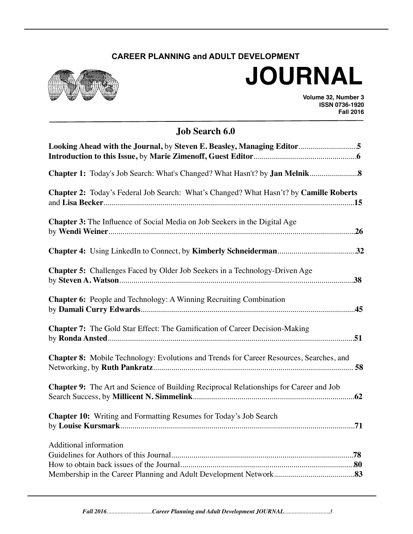## **CAREER PLANNING and ADULT DEVELOPMENT**



# **JOURNAL**

**Volume 32, Number 3 ISSN 0736-1920 Fall 2016**

## **Job Search 6.0**

| Looking Ahead with the Journal, by Steven E. Beasley, Managing Editor5                         |  |
|------------------------------------------------------------------------------------------------|--|
|                                                                                                |  |
| <b>Chapter 2:</b> Today's Federal Job Search: What's Changed? What Hasn't? by Camille Roberts  |  |
| <b>Chapter 3:</b> The Influence of Social Media on Job Seekers in the Digital Age              |  |
|                                                                                                |  |
| Chapter 5: Challenges Faced by Older Job Seekers in a Technology-Driven Age                    |  |
| <b>Chapter 6:</b> People and Technology: A Winning Recruiting Combination                      |  |
| <b>Chapter 7:</b> The Gold Star Effect: The Gamification of Career Decision-Making             |  |
| <b>Chapter 8:</b> Mobile Technology: Evolutions and Trends for Career Resources, Searches, and |  |
| <b>Chapter 9:</b> The Art and Science of Building Reciprocal Relationships for Career and Job  |  |
| <b>Chapter 10:</b> Writing and Formatting Resumes for Today's Job Search                       |  |
| <b>Additional information</b>                                                                  |  |
|                                                                                                |  |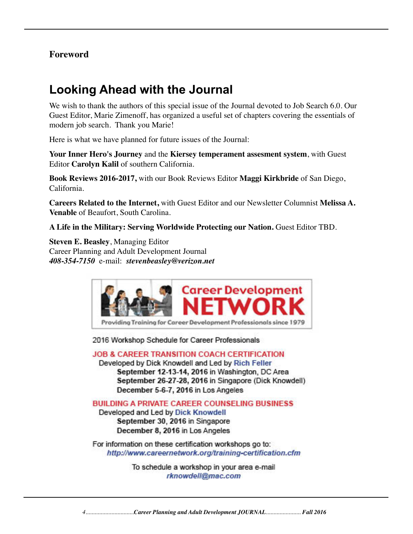#### **Foreword**

# **Looking Ahead with the Journal**

We wish to thank the authors of this special issue of the Journal devoted to Job Search 6.0. Our Guest Editor, Marie Zimenoff, has organized a useful set of chapters covering the essentials of modern job search. Thank you Marie!

Here is what we have planned for future issues of the Journal:

**Your Inner Hero's Journey** and the **Kiersey temperament assesment system**, with Guest Editor **Carolyn Kalil** of southern California.

**Book Reviews 2016-2017,** with our Book Reviews Editor **Maggi Kirkbride** of San Diego, California.

**Careers Related to the Internet,** with Guest Editor and our Newsletter Columnist **Melissa A. Venable** of Beaufort, South Carolina.

**A Life in the Military: Serving Worldwide Protecting our Nation.** Guest Editor TBD.

**Steven E. Beasley**, Managing Editor Career Planning and Adult Development Journal *408-354-7150* e-mail: *stevenbeasley@verizon.net*



2016 Workshop Schedule for Career Professionals

**JOB & CAREER TRANSITION COACH CERTIFICATION** Developed by Dick Knowdell and Led by Rich Feller September 12-13-14, 2016 in Washington, DC Area September 26-27-28, 2016 in Singapore (Dick Knowdell)

December 5-6-7, 2016 in Los Angeles

**BUILDING A PRIVATE CAREER COUNSELING BUSINESS** 

Developed and Led by Dick Knowdell September 30, 2016 in Singapore December 8, 2016 in Los Angeles

For information on these certification workshops go to: http://www.careernetwork.org/training-certification.cfm

> To schedule a workshop in your area e-mail rknowdell@mac.com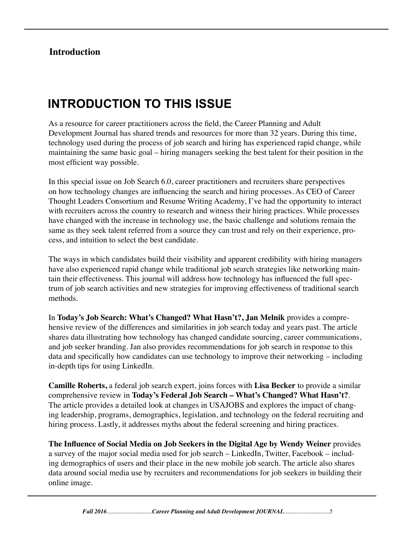## **Introduction**

# **INTRODUCTION TO THIS ISSUE**

As a resource for career practitioners across the field, the Career Planning and Adult Development Journal has shared trends and resources for more than 32 years. During this time, technology used during the process of job search and hiring has experienced rapid change, while maintaining the same basic goal – hiring managers seeking the best talent for their position in the most efficient way possible.

In this special issue on Job Search 6.0, career practitioners and recruiters share perspectives on how technology changes are influencing the search and hiring processes. As CEO of Career Thought Leaders Consortium and Resume Writing Academy, I've had the opportunity to interact with recruiters across the country to research and witness their hiring practices. While processes have changed with the increase in technology use, the basic challenge and solutions remain the same as they seek talent referred from a source they can trust and rely on their experience, process, and intuition to select the best candidate.

The ways in which candidates build their visibility and apparent credibility with hiring managers have also experienced rapid change while traditional job search strategies like networking maintain their effectiveness. This journal will address how technology has influenced the full spectrum of job search activities and new strategies for improving effectiveness of traditional search methods.

In **Today's Job Search: What's Changed? What Hasn't?, Jan Melnik** provides a comprehensive review of the differences and similarities in job search today and years past. The article shares data illustrating how technology has changed candidate sourcing, career communications, and job seeker branding. Jan also provides recommendations for job search in response to this data and specifically how candidates can use technology to improve their networking – including in-depth tips for using LinkedIn.

**Camille Roberts,** a federal job search expert, joins forces with **Lisa Becker** to provide a similar comprehensive review in **Today's Federal Job Search – What's Changed? What Hasn't?**. The article provides a detailed look at changes in USAJOBS and explores the impact of changing leadership, programs, demographics, legislation, and technology on the federal recruiting and hiring process. Lastly, it addresses myths about the federal screening and hiring practices.

**The Influence of Social Media on Job Seekers in the Digital Age by Wendy Weiner** provides a survey of the major social media used for job search – LinkedIn, Twitter, Facebook – including demographics of users and their place in the new mobile job search. The article also shares data around social media use by recruiters and recommendations for job seekers in building their online image.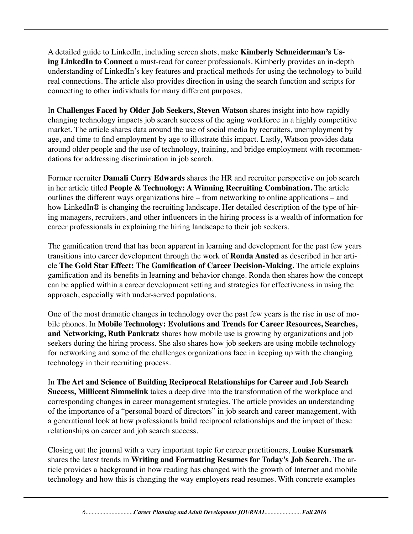A detailed guide to LinkedIn, including screen shots, make **Kimberly Schneiderman's Using LinkedIn to Connect** a must-read for career professionals. Kimberly provides an in-depth understanding of LinkedIn's key features and practical methods for using the technology to build real connections. The article also provides direction in using the search function and scripts for connecting to other individuals for many different purposes.

In **Challenges Faced by Older Job Seekers, Steven Watson** shares insight into how rapidly changing technology impacts job search success of the aging workforce in a highly competitive market. The article shares data around the use of social media by recruiters, unemployment by age, and time to find employment by age to illustrate this impact. Lastly, Watson provides data around older people and the use of technology, training, and bridge employment with recommendations for addressing discrimination in job search.

Former recruiter **Damali Curry Edwards** shares the HR and recruiter perspective on job search in her article titled **People & Technology: A Winning Recruiting Combination.** The article outlines the different ways organizations hire – from networking to online applications – and how LinkedIn® is changing the recruiting landscape. Her detailed description of the type of hiring managers, recruiters, and other influencers in the hiring process is a wealth of information for career professionals in explaining the hiring landscape to their job seekers.

The gamification trend that has been apparent in learning and development for the past few years transitions into career development through the work of **Ronda Ansted** as described in her article **The Gold Star Effect: The Gamification of Career Decision-Making.** The article explains gamification and its benefits in learning and behavior change. Ronda then shares how the concept can be applied within a career development setting and strategies for effectiveness in using the approach, especially with under-served populations.

One of the most dramatic changes in technology over the past few years is the rise in use of mobile phones. In **Mobile Technology: Evolutions and Trends for Career Resources, Searches, and Networking, Ruth Pankratz** shares how mobile use is growing by organizations and job seekers during the hiring process. She also shares how job seekers are using mobile technology for networking and some of the challenges organizations face in keeping up with the changing technology in their recruiting process.

In **The Art and Science of Building Reciprocal Relationships for Career and Job Search Success, Millicent Simmelink** takes a deep dive into the transformation of the workplace and corresponding changes in career management strategies. The article provides an understanding of the importance of a "personal board of directors" in job search and career management, with a generational look at how professionals build reciprocal relationships and the impact of these relationships on career and job search success.

Closing out the journal with a very important topic for career practitioners, **Louise Kursmark**  shares the latest trends in **Writing and Formatting Resumes for Today's Job Search.** The article provides a background in how reading has changed with the growth of Internet and mobile technology and how this is changing the way employers read resumes. With concrete examples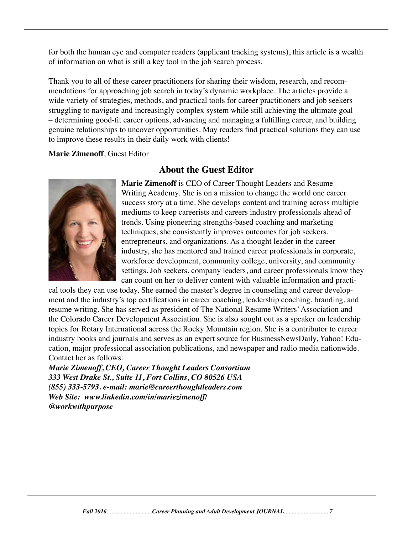for both the human eye and computer readers (applicant tracking systems), this article is a wealth of information on what is still a key tool in the job search process.

Thank you to all of these career practitioners for sharing their wisdom, research, and recommendations for approaching job search in today's dynamic workplace. The articles provide a wide variety of strategies, methods, and practical tools for career practitioners and job seekers struggling to navigate and increasingly complex system while still achieving the ultimate goal – determining good-fit career options, advancing and managing a fulfilling career, and building genuine relationships to uncover opportunities. May readers find practical solutions they can use to improve these results in their daily work with clients!

#### **Marie Zimenoff**, Guest Editor

## **About the Guest Editor**



**Marie Zimenoff** is CEO of Career Thought Leaders and Resume Writing Academy. She is on a mission to change the world one career success story at a time. She develops content and training across multiple mediums to keep careerists and careers industry professionals ahead of trends. Using pioneering strengths-based coaching and marketing techniques, she consistently improves outcomes for job seekers, entrepreneurs, and organizations. As a thought leader in the career industry, she has mentored and trained career professionals in corporate, workforce development, community college, university, and community settings. Job seekers, company leaders, and career professionals know they can count on her to deliver content with valuable information and practi-

cal tools they can use today. She earned the master's degree in counseling and career development and the industry's top certifications in career coaching, leadership coaching, branding, and resume writing. She has served as president of The National Resume Writers' Association and the Colorado Career Development Association. She is also sought out as a speaker on leadership topics for Rotary International across the Rocky Mountain region. She is a contributor to career industry books and journals and serves as an expert source for BusinessNewsDaily, Yahoo! Education, major professional association publications, and newspaper and radio media nationwide. Contact her as follows:

*Marie Zimenoff, CEO, Career Thought Leaders Consortium 333 West Drake St., Suite 11, Fort Collins, CO 80526 USA (855) 333-5793. e-mail: marie@careerthoughtleaders.com Web Site: www.linkedin.com/in/mariezimenoff/ @workwithpurpose*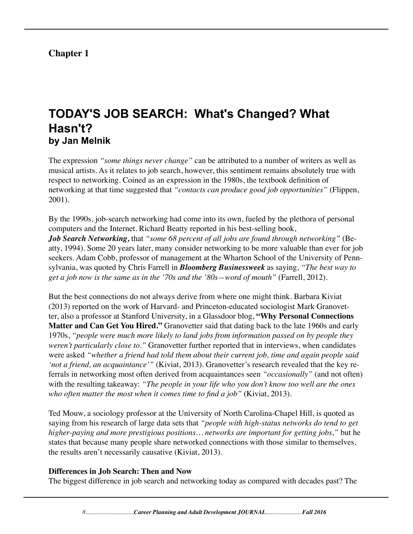## **Chapter 1**

## **TODAY'S JOB SEARCH: What's Changed? What Hasn't? by Jan Melnik**

The expression *"some things never change"* can be attributed to a number of writers as well as musical artists. As it relates to job search, however, this sentiment remains absolutely true with respect to networking. Coined as an expression in the 1980s, the textbook definition of networking at that time suggested that *"contacts can produce good job opportunities"* (Flippen, 2001).

By the 1990s, job-search networking had come into its own, fueled by the plethora of personal computers and the Internet. Richard Beatty reported in his best-selling book,

*Job Search Networking,* that *"some 68 percent of all jobs are found through networking"* (Beatty, 1994). Some 20 years later, many consider networking to be more valuable than ever for job seekers. Adam Cobb, professor of management at the Wharton School of the University of Pennsylvania, was quoted by Chris Farrell in *Bloomberg Businessweek* as saying, *"The best way to get a job now is the same as in the '70s and the '80s—word of mouth"* (Farrell, 2012).

But the best connections do not always derive from where one might think. Barbara Kiviat (2013) reported on the work of Harvard- and Princeton-educated sociologist Mark Granovetter, also a professor at Stanford University, in a Glassdoor blog, **"Why Personal Connections Matter and Can Get You Hired."** Granovetter said that dating back to the late 1960s and early 1970s, *"people were much more likely to land jobs from information passed on by people they weren't particularly close to."* Granovetter further reported that in interviews, when candidates were asked *"whether a friend had told them about their current job, time and again people said 'not a friend, an acquaintance'"* (Kiviat, 2013). Granovetter's research revealed that the key referrals in networking most often derived from acquaintances seen *"occasionally"* (and not often) with the resulting takeaway: *"The people in your life who you don't know too well are the ones who often matter the most when it comes time to find a job"* (Kiviat, 2013).

Ted Mouw, a sociology professor at the University of North Carolina-Chapel Hill, is quoted as saying from his research of large data sets that *"people with high-status networks do tend to get higher-paying and more prestigious positions… networks are important for getting jobs,"* but he states that because many people share networked connections with those similar to themselves, the results aren't necessarily causative (Kiviat, 2013).

#### **Differences in Job Search: Then and Now**

The biggest difference in job search and networking today as compared with decades past? The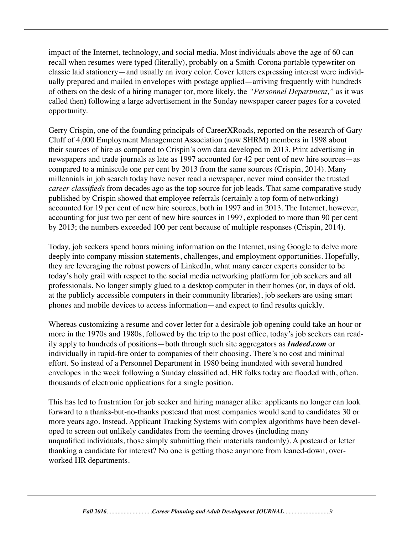impact of the Internet, technology, and social media. Most individuals above the age of 60 can recall when resumes were typed (literally), probably on a Smith-Corona portable typewriter on classic laid stationery—and usually an ivory color. Cover letters expressing interest were individually prepared and mailed in envelopes with postage applied—arriving frequently with hundreds of others on the desk of a hiring manager (or, more likely, the *"Personnel Department,"* as it was called then) following a large advertisement in the Sunday newspaper career pages for a coveted opportunity.

Gerry Crispin, one of the founding principals of CareerXRoads, reported on the research of Gary Cluff of 4,000 Employment Management Association (now SHRM) members in 1998 about their sources of hire as compared to Crispin's own data developed in 2013. Print advertising in newspapers and trade journals as late as 1997 accounted for 42 per cent of new hire sources—as compared to a miniscule one per cent by 2013 from the same sources (Crispin, 2014). Many millennials in job search today have never read a newspaper, never mind consider the trusted *career classifieds* from decades ago as the top source for job leads. That same comparative study published by Crispin showed that employee referrals (certainly a top form of networking) accounted for 19 per cent of new hire sources, both in 1997 and in 2013. The Internet, however, accounting for just two per cent of new hire sources in 1997, exploded to more than 90 per cent by 2013; the numbers exceeded 100 per cent because of multiple responses (Crispin, 2014).

Today, job seekers spend hours mining information on the Internet, using Google to delve more deeply into company mission statements, challenges, and employment opportunities. Hopefully, they are leveraging the robust powers of LinkedIn, what many career experts consider to be today's holy grail with respect to the social media networking platform for job seekers and all professionals. No longer simply glued to a desktop computer in their homes (or, in days of old, at the publicly accessible computers in their community libraries), job seekers are using smart phones and mobile devices to access information—and expect to find results quickly.

Whereas customizing a resume and cover letter for a desirable job opening could take an hour or more in the 1970s and 1980s, followed by the trip to the post office, today's job seekers can readily apply to hundreds of positions—both through such site aggregators as *Indeed.com* or individually in rapid-fire order to companies of their choosing. There's no cost and minimal effort. So instead of a Personnel Department in 1980 being inundated with several hundred envelopes in the week following a Sunday classified ad, HR folks today are flooded with, often, thousands of electronic applications for a single position.

This has led to frustration for job seeker and hiring manager alike: applicants no longer can look forward to a thanks-but-no-thanks postcard that most companies would send to candidates 30 or more years ago. Instead, Applicant Tracking Systems with complex algorithms have been developed to screen out unlikely candidates from the teeming droves (including many unqualified individuals, those simply submitting their materials randomly). A postcard or letter thanking a candidate for interest? No one is getting those anymore from leaned-down, overworked HR departments.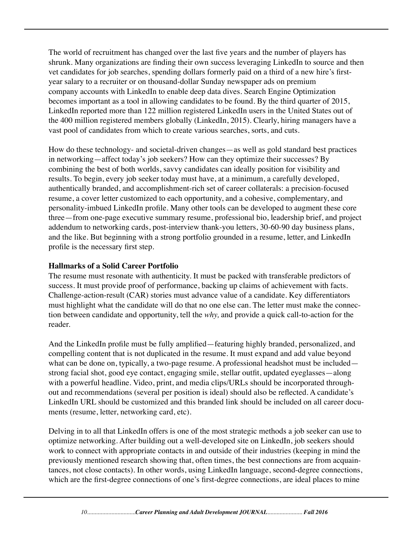The world of recruitment has changed over the last five years and the number of players has shrunk. Many organizations are finding their own success leveraging LinkedIn to source and then vet candidates for job searches, spending dollars formerly paid on a third of a new hire's firstyear salary to a recruiter or on thousand-dollar Sunday newspaper ads on premium company accounts with LinkedIn to enable deep data dives. Search Engine Optimization becomes important as a tool in allowing candidates to be found. By the third quarter of 2015, LinkedIn reported more than 122 million registered LinkedIn users in the United States out of the 400 million registered members globally (LinkedIn, 2015). Clearly, hiring managers have a vast pool of candidates from which to create various searches, sorts, and cuts.

How do these technology- and societal-driven changes—as well as gold standard best practices in networking—affect today's job seekers? How can they optimize their successes? By combining the best of both worlds, savvy candidates can ideally position for visibility and results. To begin, every job seeker today must have, at a minimum, a carefully developed, authentically branded, and accomplishment-rich set of career collaterals: a precision-focused resume, a cover letter customized to each opportunity, and a cohesive, complementary, and personality-imbued LinkedIn profile. Many other tools can be developed to augment these core three—from one-page executive summary resume, professional bio, leadership brief, and project addendum to networking cards, post-interview thank-you letters, 30-60-90 day business plans, and the like. But beginning with a strong portfolio grounded in a resume, letter, and LinkedIn profile is the necessary first step.

#### **Hallmarks of a Solid Career Portfolio**

The resume must resonate with authenticity. It must be packed with transferable predictors of success. It must provide proof of performance, backing up claims of achievement with facts. Challenge-action-result (CAR) stories must advance value of a candidate. Key differentiators must highlight what the candidate will do that no one else can. The letter must make the connection between candidate and opportunity, tell the *why,* and provide a quick call-to-action for the reader.

And the LinkedIn profile must be fully amplified—featuring highly branded, personalized, and compelling content that is not duplicated in the resume. It must expand and add value beyond what can be done on, typically, a two-page resume. A professional headshot must be included strong facial shot, good eye contact, engaging smile, stellar outfit, updated eyeglasses—along with a powerful headline. Video, print, and media clips/URLs should be incorporated throughout and recommendations (several per position is ideal) should also be reflected. A candidate's LinkedIn URL should be customized and this branded link should be included on all career documents (resume, letter, networking card, etc).

Delving in to all that LinkedIn offers is one of the most strategic methods a job seeker can use to optimize networking. After building out a well-developed site on LinkedIn, job seekers should work to connect with appropriate contacts in and outside of their industries (keeping in mind the previously mentioned research showing that, often times, the best connections are from acquaintances, not close contacts). In other words, using LinkedIn language, second-degree connections, which are the first-degree connections of one's first-degree connections, are ideal places to mine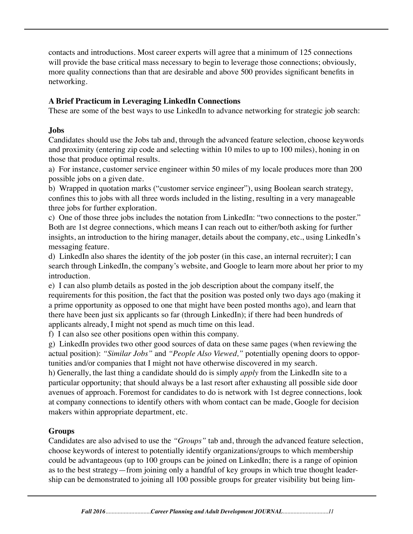contacts and introductions. Most career experts will agree that a minimum of 125 connections will provide the base critical mass necessary to begin to leverage those connections; obviously, more quality connections than that are desirable and above 500 provides significant benefits in networking.

#### **A Brief Practicum in Leveraging LinkedIn Connections**

These are some of the best ways to use LinkedIn to advance networking for strategic job search:

#### **Jobs**

Candidates should use the Jobs tab and, through the advanced feature selection, choose keywords and proximity (entering zip code and selecting within 10 miles to up to 100 miles), honing in on those that produce optimal results.

a) For instance, customer service engineer within 50 miles of my locale produces more than 200 possible jobs on a given date.

b) Wrapped in quotation marks ("customer service engineer"), using Boolean search strategy, confines this to jobs with all three words included in the listing, resulting in a very manageable three jobs for further exploration.

c) One of those three jobs includes the notation from LinkedIn: "two connections to the poster." Both are 1st degree connections, which means I can reach out to either/both asking for further insights, an introduction to the hiring manager, details about the company, etc., using LinkedIn's messaging feature.

d) LinkedIn also shares the identity of the job poster (in this case, an internal recruiter); I can search through LinkedIn, the company's website, and Google to learn more about her prior to my introduction.

e) I can also plumb details as posted in the job description about the company itself, the requirements for this position, the fact that the position was posted only two days ago (making it a prime opportunity as opposed to one that might have been posted months ago), and learn that there have been just six applicants so far (through LinkedIn); if there had been hundreds of applicants already, I might not spend as much time on this lead.

f) I can also see other positions open within this company.

g) LinkedIn provides two other good sources of data on these same pages (when reviewing the actual position): *"Similar Jobs"* and *"People Also Viewed,"* potentially opening doors to opportunities and/or companies that I might not have otherwise discovered in my search.

h) Generally, the last thing a candidate should do is simply *apply* from the LinkedIn site to a particular opportunity; that should always be a last resort after exhausting all possible side door avenues of approach. Foremost for candidates to do is network with 1st degree connections, look at company connections to identify others with whom contact can be made, Google for decision makers within appropriate department, etc.

## **Groups**

Candidates are also advised to use the *"Groups"* tab and, through the advanced feature selection, choose keywords of interest to potentially identify organizations/groups to which membership could be advantageous (up to 100 groups can be joined on LinkedIn; there is a range of opinion as to the best strategy—from joining only a handful of key groups in which true thought leadership can be demonstrated to joining all 100 possible groups for greater visibility but being lim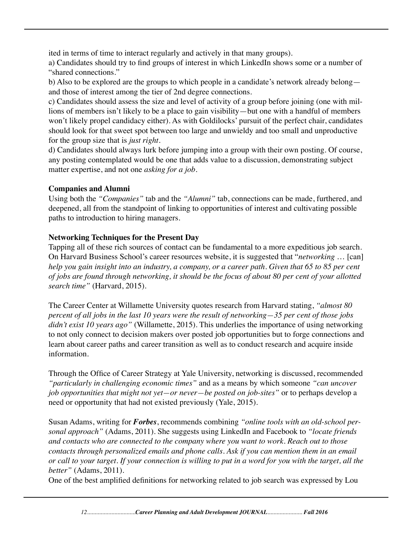ited in terms of time to interact regularly and actively in that many groups).

a) Candidates should try to find groups of interest in which LinkedIn shows some or a number of "shared connections."

b) Also to be explored are the groups to which people in a candidate's network already belong and those of interest among the tier of 2nd degree connections.

c) Candidates should assess the size and level of activity of a group before joining (one with millions of members isn't likely to be a place to gain visibility—but one with a handful of members won't likely propel candidacy either). As with Goldilocks' pursuit of the perfect chair, candidates should look for that sweet spot between too large and unwieldy and too small and unproductive for the group size that is *just right.*

d) Candidates should always lurk before jumping into a group with their own posting. Of course, any posting contemplated would be one that adds value to a discussion, demonstrating subject matter expertise, and not one *asking for a job.*

#### **Companies and Alumni**

Using both the *"Companies"* tab and the *"Alumni"* tab, connections can be made, furthered, and deepened, all from the standpoint of linking to opportunities of interest and cultivating possible paths to introduction to hiring managers.

#### **Networking Techniques for the Present Day**

Tapping all of these rich sources of contact can be fundamental to a more expeditious job search. On Harvard Business School's career resources website, it is suggested that "*networking* … [can] *help you gain insight into an industry, a company, or a career path. Given that 65 to 85 per cent of jobs are found through networking, it should be the focus of about 80 per cent of your allotted search time"* (Harvard, 2015).

The Career Center at Willamette University quotes research from Harvard stating, *"almost 80 percent of all jobs in the last 10 years were the result of networking—35 per cent of those jobs didn't exist 10 years ago"* (Willamette, 2015). This underlies the importance of using networking to not only connect to decision makers over posted job opportunities but to forge connections and learn about career paths and career transition as well as to conduct research and acquire inside information.

Through the Office of Career Strategy at Yale University, networking is discussed, recommended *"particularly in challenging economic times"* and as a means by which someone *"can uncover job opportunities that might not yet—or never—be posted on job-sites"* or to perhaps develop a need or opportunity that had not existed previously (Yale, 2015).

Susan Adams, writing for *Forbes*, recommends combining *"online tools with an old-school personal approach"* (Adams, 2011). She suggests using LinkedIn and Facebook to *"locate friends and contacts who are connected to the company where you want to work. Reach out to those contacts through personalized emails and phone calls. Ask if you can mention them in an email or call to your target. If your connection is willing to put in a word for you with the target, all the better"* (Adams, 2011).

One of the best amplified definitions for networking related to job search was expressed by Lou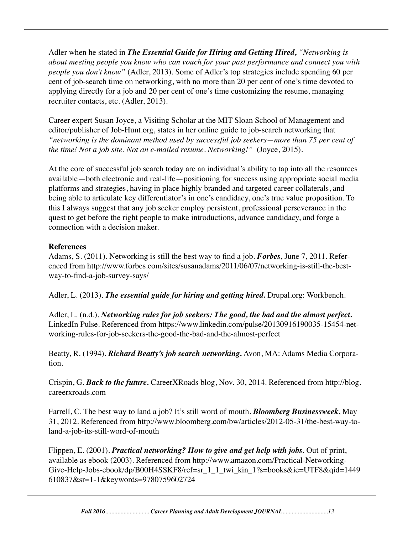Adler when he stated in *The Essential Guide for Hiring and Getting Hired, "Networking is about meeting people you know who can vouch for your past performance and connect you with people you don't know"* (Adler, 2013). Some of Adler's top strategies include spending 60 per cent of job-search time on networking, with no more than 20 per cent of one's time devoted to applying directly for a job and 20 per cent of one's time customizing the resume, managing recruiter contacts, etc. (Adler, 2013).

Career expert Susan Joyce, a Visiting Scholar at the MIT Sloan School of Management and editor/publisher of Job-Hunt.org, states in her online guide to job-search networking that *"networking is the dominant method used by successful job seekers—more than 75 per cent of the time! Not a job site. Not an e-mailed resume. Networking!"* (Joyce, 2015).

At the core of successful job search today are an individual's ability to tap into all the resources available—both electronic and real-life—positioning for success using appropriate social media platforms and strategies, having in place highly branded and targeted career collaterals, and being able to articulate key differentiator's in one's candidacy, one's true value proposition. To this I always suggest that any job seeker employ persistent, professional perseverance in the quest to get before the right people to make introductions, advance candidacy, and forge a connection with a decision maker.

#### **References**

Adams, S. (2011). Networking is still the best way to find a job. *Forbes*, June 7, 2011. Referenced from http://www.forbes.com/sites/susanadams/2011/06/07/networking-is-still-the-bestway-to-find-a-job-survey-says/

Adler, L. (2013). *The essential guide for hiring and getting hired.* Drupal.org: Workbench.

Adler, L. (n.d.). *Networking rules for job seekers: The good, the bad and the almost perfect.* LinkedIn Pulse. Referenced from https://www.linkedin.com/pulse/20130916190035-15454-networking-rules-for-job-seekers-the-good-the-bad-and-the-almost-perfect

Beatty, R. (1994). *Richard Beatty's job search networking.* Avon, MA: Adams Media Corporation.

Crispin, G. *Back to the future.* CareerXRoads blog, Nov. 30, 2014. Referenced from http://blog. careerxroads.com

Farrell, C. The best way to land a job? It's still word of mouth. *Bloomberg Businessweek*, May 31, 2012. Referenced from http://www.bloomberg.com/bw/articles/2012-05-31/the-best-way-toland-a-job-its-still-word-of-mouth

Flippen, E. (2001). *Practical networking? How to give and get help with jobs.* Out of print, available as ebook (2003). Referenced from http://www.amazon.com/Practical-Networking-Give-Help-Jobs-ebook/dp/B00H4SSKF8/ref=sr\_1\_1\_twi\_kin\_1?s=books&ie=UTF8&qid=1449 610837&sr=1-1&keywords=9780759602724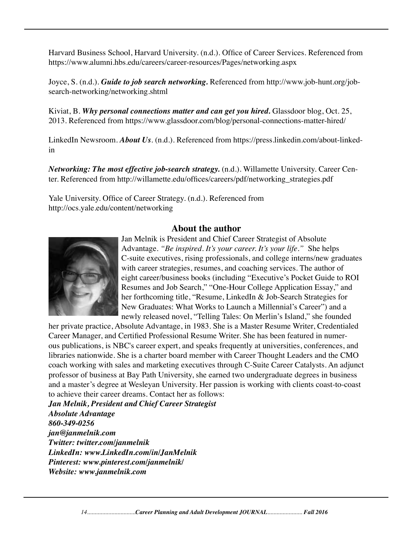Harvard Business School, Harvard University. (n.d.). Office of Career Services. Referenced from https://www.alumni.hbs.edu/careers/career-resources/Pages/networking.aspx

Joyce, S. (n.d.). *Guide to job search networking.* Referenced from http://www.job-hunt.org/jobsearch-networking/networking.shtml

Kiviat, B. *Why personal connections matter and can get you hired.* Glassdoor blog, Oct. 25, 2013. Referenced from https://www.glassdoor.com/blog/personal-connections-matter-hired/

LinkedIn Newsroom. *About Us*. (n.d.). Referenced from https://press.linkedin.com/about-linkedin

*Networking: The most effective job-search strategy.* (n.d.). Willamette University. Career Center. Referenced from http://willamette.edu/offices/careers/pdf/networking\_strategies.pdf

Yale University. Office of Career Strategy. (n.d.). Referenced from http://ocs.yale.edu/content/networking

#### **About the author**



Jan Melnik is President and Chief Career Strategist of Absolute Advantage. *"Be inspired. It's your career. It's your life."* She helps C-suite executives, rising professionals, and college interns/new graduates with career strategies, resumes, and coaching services. The author of eight career/business books (including "Executive's Pocket Guide to ROI Resumes and Job Search," "One-Hour College Application Essay," and her forthcoming title, "Resume, LinkedIn & Job-Search Strategies for New Graduates: What Works to Launch a Millennial's Career") and a newly released novel, "Telling Tales: On Merlin's Island," she founded

her private practice, Absolute Advantage, in 1983. She is a Master Resume Writer, Credentialed Career Manager, and Certified Professional Resume Writer. She has been featured in numerous publications, is NBC's career expert, and speaks frequently at universities, conferences, and libraries nationwide. She is a charter board member with Career Thought Leaders and the CMO coach working with sales and marketing executives through C-Suite Career Catalysts. An adjunct professor of business at Bay Path University, she earned two undergraduate degrees in business and a master's degree at Wesleyan University. Her passion is working with clients coast-to-coast to achieve their career dreams. Contact her as follows:

*Jan Melnik, President and Chief Career Strategist Absolute Advantage 860-349-0256 jan@janmelnik.com Twitter: twitter.com/janmelnik LinkedIn: www.LinkedIn.com/in/JanMelnik Pinterest: www.pinterest.com/janmelnik/ Website: www.janmelnik.com*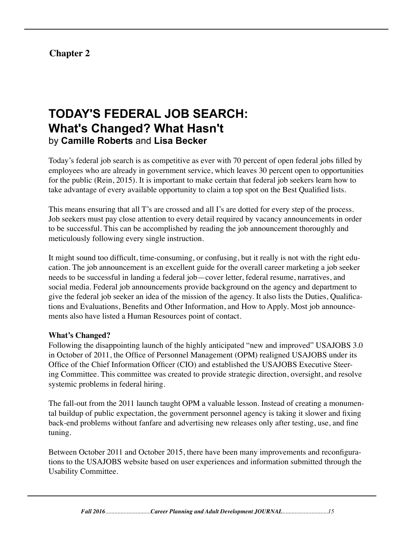## **Chapter 2**

# **TODAY'S FEDERAL JOB SEARCH: What's Changed? What Hasn't** by **Camille Roberts** and **Lisa Becker**

Today's federal job search is as competitive as ever with 70 percent of open federal jobs filled by employees who are already in government service, which leaves 30 percent open to opportunities for the public (Rein, 2015). It is important to make certain that federal job seekers learn how to take advantage of every available opportunity to claim a top spot on the Best Qualified lists.

This means ensuring that all T's are crossed and all I's are dotted for every step of the process. Job seekers must pay close attention to every detail required by vacancy announcements in order to be successful. This can be accomplished by reading the job announcement thoroughly and meticulously following every single instruction.

It might sound too difficult, time-consuming, or confusing, but it really is not with the right education. The job announcement is an excellent guide for the overall career marketing a job seeker needs to be successful in landing a federal job—cover letter, federal resume, narratives, and social media. Federal job announcements provide background on the agency and department to give the federal job seeker an idea of the mission of the agency. It also lists the Duties, Qualifications and Evaluations, Benefits and Other Information, and How to Apply. Most job announcements also have listed a Human Resources point of contact.

#### **What's Changed?**

Following the disappointing launch of the highly anticipated "new and improved" USAJOBS 3.0 in October of 2011, the Office of Personnel Management (OPM) realigned USAJOBS under its Office of the Chief Information Officer (CIO) and established the USAJOBS Executive Steering Committee. This committee was created to provide strategic direction, oversight, and resolve systemic problems in federal hiring.

The fall-out from the 2011 launch taught OPM a valuable lesson. Instead of creating a monumental buildup of public expectation, the government personnel agency is taking it slower and fixing back-end problems without fanfare and advertising new releases only after testing, use, and fine tuning.

Between October 2011 and October 2015, there have been many improvements and reconfigurations to the USAJOBS website based on user experiences and information submitted through the Usability Committee.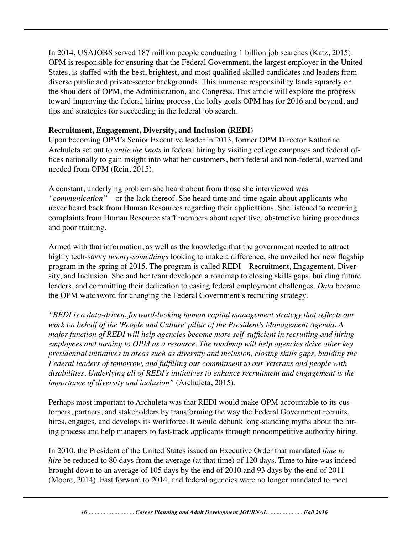In 2014, USAJOBS served 187 million people conducting 1 billion job searches (Katz, 2015). OPM is responsible for ensuring that the Federal Government, the largest employer in the United States, is staffed with the best, brightest, and most qualified skilled candidates and leaders from diverse public and private-sector backgrounds. This immense responsibility lands squarely on the shoulders of OPM, the Administration, and Congress. This article will explore the progress toward improving the federal hiring process, the lofty goals OPM has for 2016 and beyond, and tips and strategies for succeeding in the federal job search.

#### **Recruitment, Engagement, Diversity, and Inclusion (REDI)**

Upon becoming OPM's Senior Executive leader in 2013, former OPM Director Katherine Archuleta set out to *untie the knots* in federal hiring by visiting college campuses and federal offices nationally to gain insight into what her customers, both federal and non-federal, wanted and needed from OPM (Rein, 2015).

A constant, underlying problem she heard about from those she interviewed was *"communication"*—or the lack thereof. She heard time and time again about applicants who never heard back from Human Resources regarding their applications. She listened to recurring complaints from Human Resource staff members about repetitive, obstructive hiring procedures and poor training.

Armed with that information, as well as the knowledge that the government needed to attract highly tech-savvy *twenty-somethings* looking to make a difference, she unveiled her new flagship program in the spring of 2015. The program is called REDI—Recruitment, Engagement, Diversity, and Inclusion. She and her team developed a roadmap to closing skills gaps, building future leaders, and committing their dedication to easing federal employment challenges. *Data* became the OPM watchword for changing the Federal Government's recruiting strategy.

*"REDI is a data-driven, forward-looking human capital management strategy that reflects our work on behalf of the 'People and Culture' pillar of the President's Management Agenda. A major function of REDI will help agencies become more self-sufficient in recruiting and hiring employees and turning to OPM as a resource. The roadmap will help agencies drive other key presidential initiatives in areas such as diversity and inclusion, closing skills gaps, building the Federal leaders of tomorrow, and fulfilling our commitment to our Veterans and people with disabilities. Underlying all of REDI's initiatives to enhance recruitment and engagement is the importance of diversity and inclusion"* (Archuleta, 2015).

Perhaps most important to Archuleta was that REDI would make OPM accountable to its customers, partners, and stakeholders by transforming the way the Federal Government recruits, hires, engages, and develops its workforce. It would debunk long-standing myths about the hiring process and help managers to fast-track applicants through noncompetitive authority hiring.

In 2010, the President of the United States issued an Executive Order that mandated *time to hire* be reduced to 80 days from the average (at that time) of 120 days. Time to hire was indeed brought down to an average of 105 days by the end of 2010 and 93 days by the end of 2011 (Moore, 2014). Fast forward to 2014, and federal agencies were no longer mandated to meet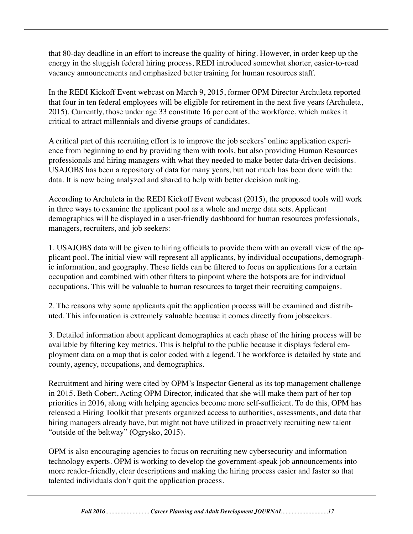that 80-day deadline in an effort to increase the quality of hiring. However, in order keep up the energy in the sluggish federal hiring process, REDI introduced somewhat shorter, easier-to-read vacancy announcements and emphasized better training for human resources staff.

In the REDI Kickoff Event webcast on March 9, 2015, former OPM Director Archuleta reported that four in ten federal employees will be eligible for retirement in the next five years (Archuleta, 2015). Currently, those under age 33 constitute 16 per cent of the workforce, which makes it critical to attract millennials and diverse groups of candidates.

A critical part of this recruiting effort is to improve the job seekers' online application experience from beginning to end by providing them with tools, but also providing Human Resources professionals and hiring managers with what they needed to make better data-driven decisions. USAJOBS has been a repository of data for many years, but not much has been done with the data. It is now being analyzed and shared to help with better decision making.

According to Archuleta in the REDI Kickoff Event webcast (2015), the proposed tools will work in three ways to examine the applicant pool as a whole and merge data sets. Applicant demographics will be displayed in a user-friendly dashboard for human resources professionals, managers, recruiters, and job seekers:

1. USAJOBS data will be given to hiring officials to provide them with an overall view of the applicant pool. The initial view will represent all applicants, by individual occupations, demographic information, and geography. These fields can be filtered to focus on applications for a certain occupation and combined with other filters to pinpoint where the hotspots are for individual occupations. This will be valuable to human resources to target their recruiting campaigns.

2. The reasons why some applicants quit the application process will be examined and distributed. This information is extremely valuable because it comes directly from jobseekers.

3. Detailed information about applicant demographics at each phase of the hiring process will be available by filtering key metrics. This is helpful to the public because it displays federal employment data on a map that is color coded with a legend. The workforce is detailed by state and county, agency, occupations, and demographics.

Recruitment and hiring were cited by OPM's Inspector General as its top management challenge in 2015. Beth Cobert, Acting OPM Director, indicated that she will make them part of her top priorities in 2016, along with helping agencies become more self-sufficient. To do this, OPM has released a Hiring Toolkit that presents organized access to authorities, assessments, and data that hiring managers already have, but might not have utilized in proactively recruiting new talent "outside of the beltway" (Ogrysko, 2015).

OPM is also encouraging agencies to focus on recruiting new cybersecurity and information technology experts. OPM is working to develop the government-speak job announcements into more reader-friendly, clear descriptions and making the hiring process easier and faster so that talented individuals don't quit the application process.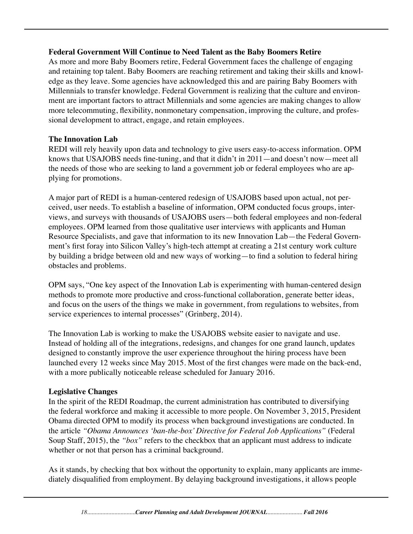#### **Federal Government Will Continue to Need Talent as the Baby Boomers Retire**

As more and more Baby Boomers retire, Federal Government faces the challenge of engaging and retaining top talent. Baby Boomers are reaching retirement and taking their skills and knowledge as they leave. Some agencies have acknowledged this and are pairing Baby Boomers with Millennials to transfer knowledge. Federal Government is realizing that the culture and environment are important factors to attract Millennials and some agencies are making changes to allow more telecommuting, flexibility, nonmonetary compensation, improving the culture, and professional development to attract, engage, and retain employees.

#### **The Innovation Lab**

REDI will rely heavily upon data and technology to give users easy-to-access information. OPM knows that USAJOBS needs fine-tuning, and that it didn't in 2011—and doesn't now—meet all the needs of those who are seeking to land a government job or federal employees who are applying for promotions.

A major part of REDI is a human-centered redesign of USAJOBS based upon actual, not perceived, user needs. To establish a baseline of information, OPM conducted focus groups, interviews, and surveys with thousands of USAJOBS users—both federal employees and non-federal employees. OPM learned from those qualitative user interviews with applicants and Human Resource Specialists, and gave that information to its new Innovation Lab—the Federal Government's first foray into Silicon Valley's high-tech attempt at creating a 21st century work culture by building a bridge between old and new ways of working—to find a solution to federal hiring obstacles and problems.

OPM says, "One key aspect of the Innovation Lab is experimenting with human-centered design methods to promote more productive and cross-functional collaboration, generate better ideas, and focus on the users of the things we make in government, from regulations to websites, from service experiences to internal processes" (Grinberg, 2014).

The Innovation Lab is working to make the USAJOBS website easier to navigate and use. Instead of holding all of the integrations, redesigns, and changes for one grand launch, updates designed to constantly improve the user experience throughout the hiring process have been launched every 12 weeks since May 2015. Most of the first changes were made on the back-end, with a more publically noticeable release scheduled for January 2016.

#### **Legislative Changes**

In the spirit of the REDI Roadmap, the current administration has contributed to diversifying the federal workforce and making it accessible to more people. On November 3, 2015, President Obama directed OPM to modify its process when background investigations are conducted. In the article *"Obama Announces 'ban-the-box' Directive for Federal Job Applications"* (Federal Soup Staff, 2015), the *"box"* refers to the checkbox that an applicant must address to indicate whether or not that person has a criminal background.

As it stands, by checking that box without the opportunity to explain, many applicants are immediately disqualified from employment. By delaying background investigations, it allows people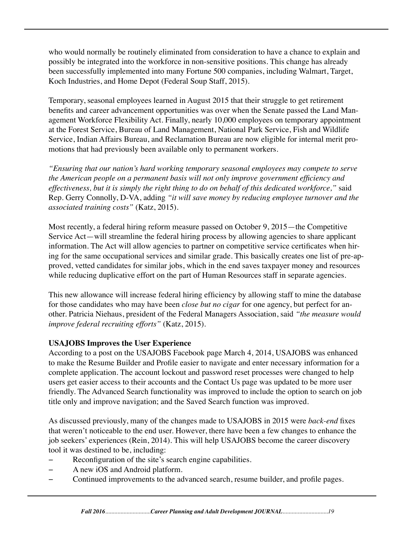who would normally be routinely eliminated from consideration to have a chance to explain and possibly be integrated into the workforce in non-sensitive positions. This change has already been successfully implemented into many Fortune 500 companies, including Walmart, Target, Koch Industries, and Home Depot (Federal Soup Staff, 2015).

Temporary, seasonal employees learned in August 2015 that their struggle to get retirement benefits and career advancement opportunities was over when the Senate passed the Land Management Workforce Flexibility Act. Finally, nearly 10,000 employees on temporary appointment at the Forest Service, Bureau of Land Management, National Park Service, Fish and Wildlife Service, Indian Affairs Bureau, and Reclamation Bureau are now eligible for internal merit promotions that had previously been available only to permanent workers.

*"Ensuring that our nation's hard working temporary seasonal employees may compete to serve the American people on a permanent basis will not only improve government efficiency and effectiveness, but it is simply the right thing to do on behalf of this dedicated workforce,"* said Rep. Gerry Connolly, D-VA, adding *"it will save money by reducing employee turnover and the associated training costs"* (Katz, 2015).

Most recently, a federal hiring reform measure passed on October 9, 2015—the Competitive Service Act—will streamline the federal hiring process by allowing agencies to share applicant information. The Act will allow agencies to partner on competitive service certificates when hiring for the same occupational services and similar grade. This basically creates one list of pre-approved, vetted candidates for similar jobs, which in the end saves taxpayer money and resources while reducing duplicative effort on the part of Human Resources staff in separate agencies.

This new allowance will increase federal hiring efficiency by allowing staff to mine the database for those candidates who may have been *close but no cigar* for one agency, but perfect for another. Patricia Niehaus, president of the Federal Managers Association, said *"the measure would improve federal recruiting efforts"* (Katz, 2015).

#### **USAJOBS Improves the User Experience**

According to a post on the USAJOBS Facebook page March 4, 2014, USAJOBS was enhanced to make the Resume Builder and Profile easier to navigate and enter necessary information for a complete application. The account lockout and password reset processes were changed to help users get easier access to their accounts and the Contact Us page was updated to be more user friendly. The Advanced Search functionality was improved to include the option to search on job title only and improve navigation; and the Saved Search function was improved.

As discussed previously, many of the changes made to USAJOBS in 2015 were *back-end* fixes that weren't noticeable to the end user. However, there have been a few changes to enhance the job seekers' experiences (Rein, 2014). This will help USAJOBS become the career discovery tool it was destined to be, including:

- Reconfiguration of the site's search engine capabilities.
- − A new iOS and Android platform.
- − Continued improvements to the advanced search, resume builder, and profile pages.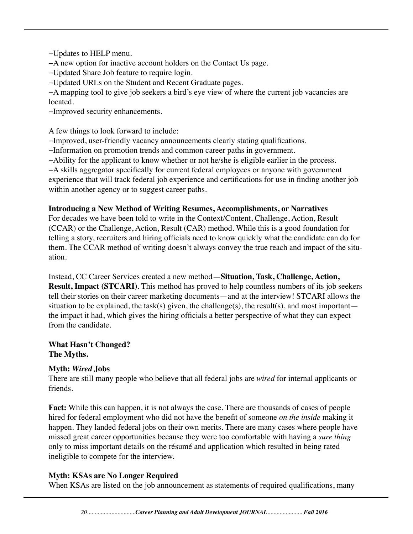−Updates to HELP menu.

−A new option for inactive account holders on the Contact Us page.

−Updated Share Job feature to require login.

−Updated URLs on the Student and Recent Graduate pages.

−A mapping tool to give job seekers a bird's eye view of where the current job vacancies are located.

−Improved security enhancements.

A few things to look forward to include:

−Improved, user-friendly vacancy announcements clearly stating qualifications.

−Information on promotion trends and common career paths in government.

−Ability for the applicant to know whether or not he/she is eligible earlier in the process.

−A skills aggregator specifically for current federal employees or anyone with government experience that will track federal job experience and certifications for use in finding another job within another agency or to suggest career paths.

#### **Introducing a New Method of Writing Resumes, Accomplishments, or Narratives**

For decades we have been told to write in the Context/Content, Challenge, Action, Result (CCAR) or the Challenge, Action, Result (CAR) method. While this is a good foundation for telling a story, recruiters and hiring officials need to know quickly what the candidate can do for them. The CCAR method of writing doesn't always convey the true reach and impact of the situation.

Instead, CC Career Services created a new method—**Situation, Task, Challenge, Action, Result, Impact (STCARI)**. This method has proved to help countless numbers of its job seekers tell their stories on their career marketing documents—and at the interview! STCARI allows the situation to be explained, the task(s) given, the challenge(s), the result(s), and most important the impact it had, which gives the hiring officials a better perspective of what they can expect from the candidate.

**What Hasn't Changed? The Myths.**

#### **Myth:** *Wired* **Jobs**

There are still many people who believe that all federal jobs are *wired* for internal applicants or friends.

**Fact:** While this can happen, it is not always the case. There are thousands of cases of people hired for federal employment who did not have the benefit of someone *on the inside* making it happen. They landed federal jobs on their own merits. There are many cases where people have missed great career opportunities because they were too comfortable with having a *sure thing* only to miss important details on the résumé and application which resulted in being rated ineligible to compete for the interview.

#### **Myth: KSAs are No Longer Required**

When KSAs are listed on the job announcement as statements of required qualifications, many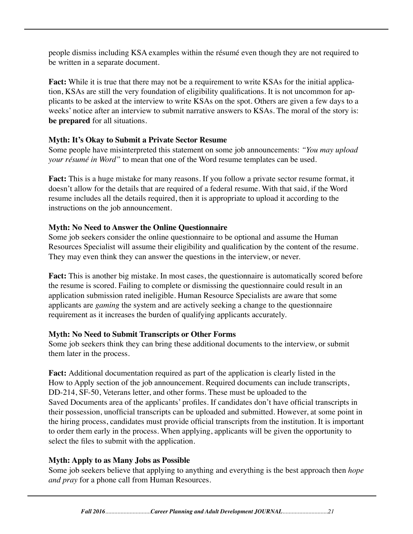people dismiss including KSA examples within the résumé even though they are not required to be written in a separate document.

**Fact:** While it is true that there may not be a requirement to write KSAs for the initial application, KSAs are still the very foundation of eligibility qualifications. It is not uncommon for applicants to be asked at the interview to write KSAs on the spot. Others are given a few days to a weeks' notice after an interview to submit narrative answers to KSAs. The moral of the story is: **be prepared** for all situations.

#### **Myth: It's Okay to Submit a Private Sector Resume**

Some people have misinterpreted this statement on some job announcements: *"You may upload your résumé in Word"* to mean that one of the Word resume templates can be used.

**Fact:** This is a huge mistake for many reasons. If you follow a private sector resume format, it doesn't allow for the details that are required of a federal resume. With that said, if the Word resume includes all the details required, then it is appropriate to upload it according to the instructions on the job announcement.

#### **Myth: No Need to Answer the Online Questionnaire**

Some job seekers consider the online questionnaire to be optional and assume the Human Resources Specialist will assume their eligibility and qualification by the content of the resume. They may even think they can answer the questions in the interview, or never.

Fact: This is another big mistake. In most cases, the questionnaire is automatically scored before the resume is scored. Failing to complete or dismissing the questionnaire could result in an application submission rated ineligible. Human Resource Specialists are aware that some applicants are *gaming* the system and are actively seeking a change to the questionnaire requirement as it increases the burden of qualifying applicants accurately.

#### **Myth: No Need to Submit Transcripts or Other Forms**

Some job seekers think they can bring these additional documents to the interview, or submit them later in the process.

**Fact:** Additional documentation required as part of the application is clearly listed in the How to Apply section of the job announcement. Required documents can include transcripts, DD-214, SF-50, Veterans letter, and other forms. These must be uploaded to the Saved Documents area of the applicants' profiles. If candidates don't have official transcripts in their possession, unofficial transcripts can be uploaded and submitted. However, at some point in the hiring process, candidates must provide official transcripts from the institution. It is important to order them early in the process. When applying, applicants will be given the opportunity to select the files to submit with the application.

## **Myth: Apply to as Many Jobs as Possible**

Some job seekers believe that applying to anything and everything is the best approach then *hope and pray* for a phone call from Human Resources.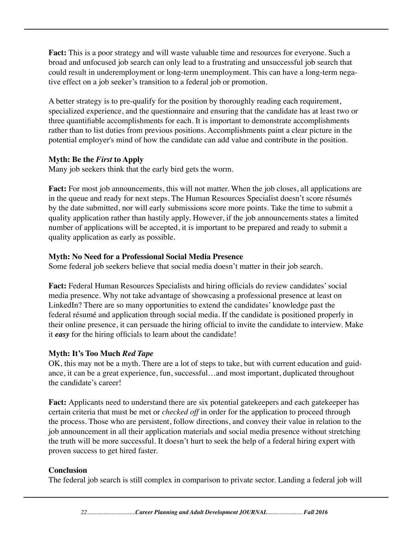**Fact:** This is a poor strategy and will waste valuable time and resources for everyone. Such a broad and unfocused job search can only lead to a frustrating and unsuccessful job search that could result in underemployment or long-term unemployment. This can have a long-term negative effect on a job seeker's transition to a federal job or promotion.

A better strategy is to pre-qualify for the position by thoroughly reading each requirement, specialized experience, and the questionnaire and ensuring that the candidate has at least two or three quantifiable accomplishments for each. It is important to demonstrate accomplishments rather than to list duties from previous positions. Accomplishments paint a clear picture in the potential employer's mind of how the candidate can add value and contribute in the position.

#### **Myth: Be the** *First* **to Apply**

Many job seekers think that the early bird gets the worm.

Fact: For most job announcements, this will not matter. When the job closes, all applications are in the queue and ready for next steps. The Human Resources Specialist doesn't score résumés by the date submitted, nor will early submissions score more points. Take the time to submit a quality application rather than hastily apply. However, if the job announcements states a limited number of applications will be accepted, it is important to be prepared and ready to submit a quality application as early as possible.

#### **Myth: No Need for a Professional Social Media Presence**

Some federal job seekers believe that social media doesn't matter in their job search.

Fact: Federal Human Resources Specialists and hiring officials do review candidates' social media presence. Why not take advantage of showcasing a professional presence at least on LinkedIn? There are so many opportunities to extend the candidates' knowledge past the federal résumé and application through social media. If the candidate is positioned properly in their online presence, it can persuade the hiring official to invite the candidate to interview. Make it *easy* for the hiring officials to learn about the candidate!

#### **Myth: It's Too Much** *Red Tape*

OK, this may not be a myth. There are a lot of steps to take, but with current education and guidance, it can be a great experience, fun, successful…and most important, duplicated throughout the candidate's career!

**Fact:** Applicants need to understand there are six potential gatekeepers and each gatekeeper has certain criteria that must be met or *checked off* in order for the application to proceed through the process. Those who are persistent, follow directions, and convey their value in relation to the job announcement in all their application materials and social media presence without stretching the truth will be more successful. It doesn't hurt to seek the help of a federal hiring expert with proven success to get hired faster.

#### **Conclusion**

The federal job search is still complex in comparison to private sector. Landing a federal job will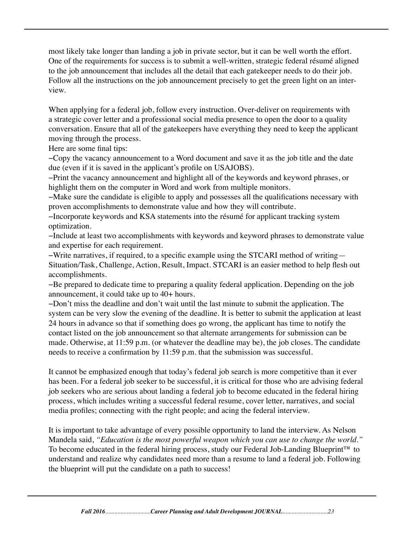most likely take longer than landing a job in private sector, but it can be well worth the effort. One of the requirements for success is to submit a well-written, strategic federal résumé aligned to the job announcement that includes all the detail that each gatekeeper needs to do their job. Follow all the instructions on the job announcement precisely to get the green light on an interview.

When applying for a federal job, follow every instruction. Over-deliver on requirements with a strategic cover letter and a professional social media presence to open the door to a quality conversation. Ensure that all of the gatekeepers have everything they need to keep the applicant moving through the process.

Here are some final tips:

−Copy the vacancy announcement to a Word document and save it as the job title and the date due (even if it is saved in the applicant's profile on USAJOBS).

−Print the vacancy announcement and highlight all of the keywords and keyword phrases, or highlight them on the computer in Word and work from multiple monitors.

−Make sure the candidate is eligible to apply and possesses all the qualifications necessary with proven accomplishments to demonstrate value and how they will contribute.

−Incorporate keywords and KSA statements into the résumé for applicant tracking system optimization.

−Include at least two accomplishments with keywords and keyword phrases to demonstrate value and expertise for each requirement.

−Write narratives, if required, to a specific example using the STCARI method of writing— Situation/Task, Challenge, Action, Result, Impact. STCARI is an easier method to help flesh out accomplishments.

−Be prepared to dedicate time to preparing a quality federal application. Depending on the job announcement, it could take up to 40+ hours.

−Don't miss the deadline and don't wait until the last minute to submit the application. The system can be very slow the evening of the deadline. It is better to submit the application at least 24 hours in advance so that if something does go wrong, the applicant has time to notify the contact listed on the job announcement so that alternate arrangements for submission can be made. Otherwise, at 11:59 p.m. (or whatever the deadline may be), the job closes. The candidate needs to receive a confirmation by 11:59 p.m. that the submission was successful.

It cannot be emphasized enough that today's federal job search is more competitive than it ever has been. For a federal job seeker to be successful, it is critical for those who are advising federal job seekers who are serious about landing a federal job to become educated in the federal hiring process, which includes writing a successful federal resume, cover letter, narratives, and social media profiles; connecting with the right people; and acing the federal interview.

It is important to take advantage of every possible opportunity to land the interview. As Nelson Mandela said, *"Education is the most powerful weapon which you can use to change the world."*  To become educated in the federal hiring process, study our Federal Job-Landing Blueprint™ to understand and realize why candidates need more than a resume to land a federal job. Following the blueprint will put the candidate on a path to success!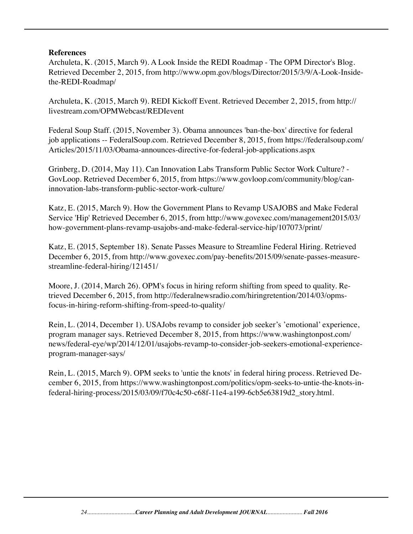#### **References**

Archuleta, K. (2015, March 9). A Look Inside the REDI Roadmap - The OPM Director's Blog. Retrieved December 2, 2015, from http://www.opm.gov/blogs/Director/2015/3/9/A-Look-Insidethe-REDI-Roadmap/

Archuleta, K. (2015, March 9). REDI Kickoff Event. Retrieved December 2, 2015, from http:// livestream.com/OPMWebcast/REDIevent

Federal Soup Staff. (2015, November 3). Obama announces 'ban-the-box' directive for federal job applications -- FederalSoup.com. Retrieved December 8, 2015, from https://federalsoup.com/ Articles/2015/11/03/Obama-announces-directive-for-federal-job-applications.aspx

Grinberg, D. (2014, May 11). Can Innovation Labs Transform Public Sector Work Culture? - GovLoop. Retrieved December 6, 2015, from https://www.govloop.com/community/blog/caninnovation-labs-transform-public-sector-work-culture/

Katz, E. (2015, March 9). How the Government Plans to Revamp USAJOBS and Make Federal Service 'Hip' Retrieved December 6, 2015, from http://www.govexec.com/management2015/03/ how-government-plans-revamp-usajobs-and-make-federal-service-hip/107073/print/

Katz, E. (2015, September 18). Senate Passes Measure to Streamline Federal Hiring. Retrieved December 6, 2015, from http://www.govexec.com/pay-benefits/2015/09/senate-passes-measurestreamline-federal-hiring/121451/

Moore, J. (2014, March 26). OPM's focus in hiring reform shifting from speed to quality. Retrieved December 6, 2015, from http://federalnewsradio.com/hiringretention/2014/03/opmsfocus-in-hiring-reform-shifting-from-speed-to-quality/

Rein, L. (2014, December 1). USAJobs revamp to consider job seeker's 'emotional' experience, program manager says. Retrieved December 8, 2015, from https://www.washingtonpost.com/ news/federal-eye/wp/2014/12/01/usajobs-revamp-to-consider-job-seekers-emotional-experienceprogram-manager-says/

Rein, L. (2015, March 9). OPM seeks to 'untie the knots' in federal hiring process. Retrieved December 6, 2015, from https://www.washingtonpost.com/politics/opm-seeks-to-untie-the-knots-infederal-hiring-process/2015/03/09/f70c4c50-c68f-11e4-a199-6cb5e63819d2\_story.html.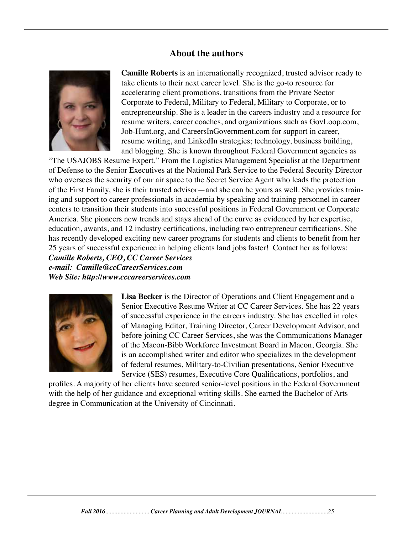#### **About the authors**



 **Camille Roberts** is an internationally recognized, trusted advisor ready to take clients to their next career level. She is the go-to resource for accelerating client promotions, transitions from the Private Sector Corporate to Federal, Military to Federal, Military to Corporate, or to entrepreneurship. She is a leader in the careers industry and a resource for resume writers, career coaches, and organizations such as GovLoop.com, Job-Hunt.org, and CareersInGovernment.com for support in career, resume writing, and LinkedIn strategies; technology, business building, and blogging. She is known throughout Federal Government agencies as

"The USAJOBS Resume Expert." From the Logistics Management Specialist at the Department of Defense to the Senior Executives at the National Park Service to the Federal Security Director who oversees the security of our air space to the Secret Service Agent who leads the protection of the First Family, she is their trusted advisor—and she can be yours as well. She provides training and support to career professionals in academia by speaking and training personnel in career centers to transition their students into successful positions in Federal Government or Corporate America. She pioneers new trends and stays ahead of the curve as evidenced by her expertise, education, awards, and 12 industry certifications, including two entrepreneur certifications. She has recently developed exciting new career programs for students and clients to benefit from her 25 years of successful experience in helping clients land jobs faster! Contact her as follows: *Camille Roberts, CEO, CC Career Services e-mail: Camille@ccCareerServices.com Web Site: http://www.cccareerservices.com*



Lisa Becker is the Director of Operations and Client Engagement and a Senior Executive Resume Writer at CC Career Services. She has 22 years of successful experience in the careers industry. She has excelled in roles of Managing Editor, Training Director, Career Development Advisor, and before joining CC Career Services, she was the Communications Manager of the Macon-Bibb Workforce Investment Board in Macon, Georgia. She is an accomplished writer and editor who specializes in the development of federal resumes, Military-to-Civilian presentations, Senior Executive Service (SES) resumes, Executive Core Qualifications, portfolios, and

profiles. A majority of her clients have secured senior-level positions in the Federal Government with the help of her guidance and exceptional writing skills. She earned the Bachelor of Arts degree in Communication at the University of Cincinnati.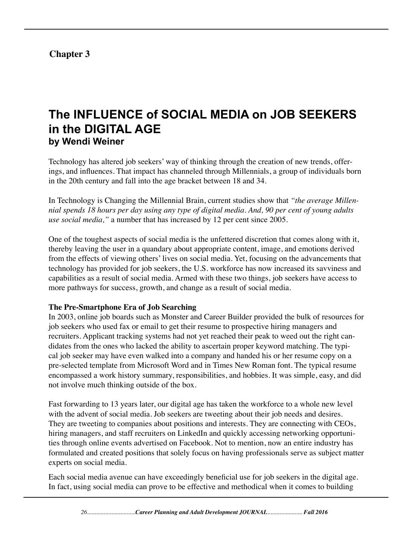## **Chapter 3**

## **The INFLUENCE of SOCIAL MEDIA on JOB SEEKERS in the DIGITAL AGE by Wendi Weiner**

Technology has altered job seekers' way of thinking through the creation of new trends, offerings, and influences. That impact has channeled through Millennials, a group of individuals born in the 20th century and fall into the age bracket between 18 and 34.

In Technology is Changing the Millennial Brain, current studies show that *"the average Millennial spends 18 hours per day using any type of digital media. And, 90 per cent of young adults use social media,"* a number that has increased by 12 per cent since 2005.

One of the toughest aspects of social media is the unfettered discretion that comes along with it, thereby leaving the user in a quandary about appropriate content, image, and emotions derived from the effects of viewing others' lives on social media. Yet, focusing on the advancements that technology has provided for job seekers, the U.S. workforce has now increased its savviness and capabilities as a result of social media. Armed with these two things, job seekers have access to more pathways for success, growth, and change as a result of social media.

#### **The Pre-Smartphone Era of Job Searching**

In 2003, online job boards such as Monster and Career Builder provided the bulk of resources for job seekers who used fax or email to get their resume to prospective hiring managers and recruiters. Applicant tracking systems had not yet reached their peak to weed out the right candidates from the ones who lacked the ability to ascertain proper keyword matching. The typical job seeker may have even walked into a company and handed his or her resume copy on a pre-selected template from Microsoft Word and in Times New Roman font. The typical resume encompassed a work history summary, responsibilities, and hobbies. It was simple, easy, and did not involve much thinking outside of the box.

Fast forwarding to 13 years later, our digital age has taken the workforce to a whole new level with the advent of social media. Job seekers are tweeting about their job needs and desires. They are tweeting to companies about positions and interests. They are connecting with CEOs, hiring managers, and staff recruiters on LinkedIn and quickly accessing networking opportunities through online events advertised on Facebook. Not to mention, now an entire industry has formulated and created positions that solely focus on having professionals serve as subject matter experts on social media.

Each social media avenue can have exceedingly beneficial use for job seekers in the digital age. In fact, using social media can prove to be effective and methodical when it comes to building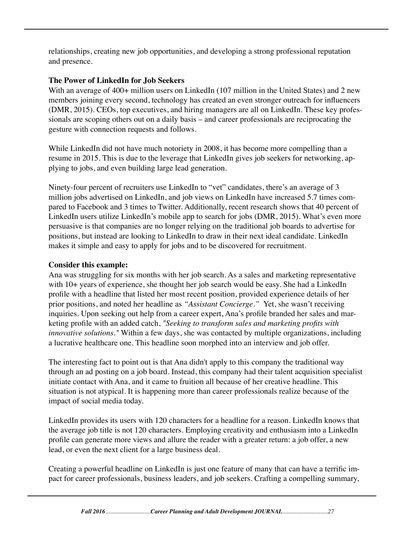relationships, creating new job opportunities, and developing a strong professional reputation and presence.

#### **The Power of LinkedIn for Job Seekers**

With an average of 400+ million users on LinkedIn (107 million in the United States) and 2 new members joining every second, technology has created an even stronger outreach for influencers (DMR, 2015). CEOs, top executives, and hiring managers are all on LinkedIn. These key professionals are scoping others out on a daily basis – and career professionals are reciprocating the gesture with connection requests and follows.

While LinkedIn did not have much notoriety in 2008, it has become more compelling than a resume in 2015. This is due to the leverage that LinkedIn gives job seekers for networking, applying to jobs, and even building large lead generation.

Ninety-four percent of recruiters use LinkedIn to "vet" candidates, there's an average of 3 million jobs advertised on LinkedIn, and job views on LinkedIn have increased 5.7 times compared to Facebook and 3 times to Twitter. Additionally, recent research shows that 40 percent of LinkedIn users utilize LinkedIn's mobile app to search for jobs (DMR, 2015). What's even more persuasive is that companies are no longer relying on the traditional job boards to advertise for positions, but instead are looking to LinkedIn to draw in their next ideal candidate. LinkedIn makes it simple and easy to apply for jobs and to be discovered for recruitment.

#### **Consider this example:**

Ana was struggling for six months with her job search. As a sales and marketing representative with 10+ years of experience, she thought her job search would be easy. She had a LinkedIn profile with a headline that listed her most recent position, provided experience details of her prior positions, and noted her headline as *"Assistant Concierge."* Yet, she wasn't receiving inquiries. Upon seeking out help from a career expert, Ana's profile branded her sales and marketing profile with an added catch, *"Seeking to transform sales and marketing profits with innovative solutions."* Within a few days, she was contacted by multiple organizations, including a lucrative healthcare one. This headline soon morphed into an interview and job offer.

The interesting fact to point out is that Ana didn't apply to this company the traditional way through an ad posting on a job board. Instead, this company had their talent acquisition specialist initiate contact with Ana, and it came to fruition all because of her creative headline. This situation is not atypical. It is happening more than career professionals realize because of the impact of social media today.

LinkedIn provides its users with 120 characters for a headline for a reason. LinkedIn knows that the average job title is not 120 characters. Employing creativity and enthusiasm into a LinkedIn profile can generate more views and allure the reader with a greater return: a job offer, a new lead, or even the next client for a large business deal.

Creating a powerful headline on LinkedIn is just one feature of many that can have a terrific impact for career professionals, business leaders, and job seekers. Crafting a compelling summary,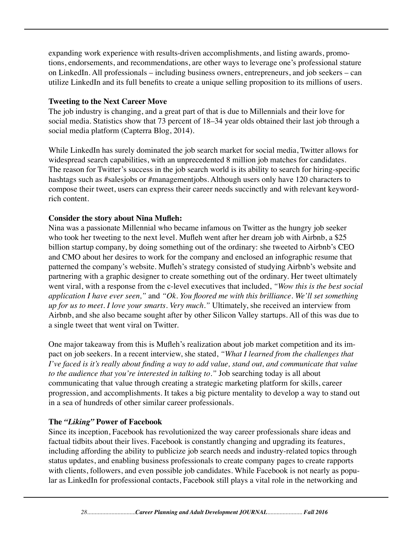expanding work experience with results-driven accomplishments, and listing awards, promotions, endorsements, and recommendations, are other ways to leverage one's professional stature on LinkedIn. All professionals – including business owners, entrepreneurs, and job seekers – can utilize LinkedIn and its full benefits to create a unique selling proposition to its millions of users.

#### **Tweeting to the Next Career Move**

The job industry is changing, and a great part of that is due to Millennials and their love for social media. Statistics show that 73 percent of 18–34 year olds obtained their last job through a social media platform (Capterra Blog, 2014).

While LinkedIn has surely dominated the job search market for social media, Twitter allows for widespread search capabilities, with an unprecedented 8 million job matches for candidates. The reason for Twitter's success in the job search world is its ability to search for hiring-specific hashtags such as #salesjobs or #managementjobs. Although users only have 120 characters to compose their tweet, users can express their career needs succinctly and with relevant keywordrich content.

#### **Consider the story about Nina Mufleh:**

Nina was a passionate Millennial who became infamous on Twitter as the hungry job seeker who took her tweeting to the next level. Mufleh went after her dream job with Airbnb, a \$25 billion startup company, by doing something out of the ordinary: she tweeted to Airbnb's CEO and CMO about her desires to work for the company and enclosed an infographic resume that patterned the company's website. Mufleh's strategy consisted of studying Airbnb's website and partnering with a graphic designer to create something out of the ordinary. Her tweet ultimately went viral, with a response from the c-level executives that included, *"Wow this is the best social application I have ever seen,"* and *"Ok. You floored me with this brilliance. We'll set something up for us to meet. I love your smarts. Very much."* Ultimately, she received an interview from Airbnb, and she also became sought after by other Silicon Valley startups. All of this was due to a single tweet that went viral on Twitter.

One major takeaway from this is Mufleh's realization about job market competition and its impact on job seekers. In a recent interview, she stated, *"What I learned from the challenges that I've faced is it's really about finding a way to add value, stand out, and communicate that value to the audience that you're interested in talking to."* Job searching today is all about communicating that value through creating a strategic marketing platform for skills, career progression, and accomplishments. It takes a big picture mentality to develop a way to stand out in a sea of hundreds of other similar career professionals.

#### **The** *"Liking"* **Power of Facebook**

Since its inception, Facebook has revolutionized the way career professionals share ideas and factual tidbits about their lives. Facebook is constantly changing and upgrading its features, including affording the ability to publicize job search needs and industry-related topics through status updates, and enabling business professionals to create company pages to create rapports with clients, followers, and even possible job candidates. While Facebook is not nearly as popular as LinkedIn for professional contacts, Facebook still plays a vital role in the networking and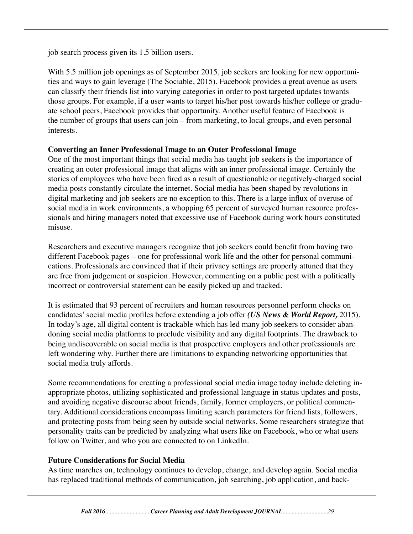job search process given its 1.5 billion users.

With 5.5 million job openings as of September 2015, job seekers are looking for new opportunities and ways to gain leverage (The Sociable, 2015). Facebook provides a great avenue as users can classify their friends list into varying categories in order to post targeted updates towards those groups. For example, if a user wants to target his/her post towards his/her college or graduate school peers, Facebook provides that opportunity. Another useful feature of Facebook is the number of groups that users can join – from marketing, to local groups, and even personal interests.

#### **Converting an Inner Professional Image to an Outer Professional Image**

One of the most important things that social media has taught job seekers is the importance of creating an outer professional image that aligns with an inner professional image. Certainly the stories of employees who have been fired as a result of questionable or negatively-charged social media posts constantly circulate the internet. Social media has been shaped by revolutions in digital marketing and job seekers are no exception to this. There is a large influx of overuse of social media in work environments, a whopping 65 percent of surveyed human resource professionals and hiring managers noted that excessive use of Facebook during work hours constituted misuse.

Researchers and executive managers recognize that job seekers could benefit from having two different Facebook pages – one for professional work life and the other for personal communications. Professionals are convinced that if their privacy settings are properly attuned that they are free from judgement or suspicion. However, commenting on a public post with a politically incorrect or controversial statement can be easily picked up and tracked.

It is estimated that 93 percent of recruiters and human resources personnel perform checks on candidates' social media profiles before extending a job offer *(US News & World Report,* 2015). In today's age, all digital content is trackable which has led many job seekers to consider abandoning social media platforms to preclude visibility and any digital footprints. The drawback to being undiscoverable on social media is that prospective employers and other professionals are left wondering why. Further there are limitations to expanding networking opportunities that social media truly affords.

Some recommendations for creating a professional social media image today include deleting inappropriate photos, utilizing sophisticated and professional language in status updates and posts, and avoiding negative discourse about friends, family, former employers, or political commentary. Additional considerations encompass limiting search parameters for friend lists, followers, and protecting posts from being seen by outside social networks. Some researchers strategize that personality traits can be predicted by analyzing what users like on Facebook, who or what users follow on Twitter, and who you are connected to on LinkedIn.

#### **Future Considerations for Social Media**

As time marches on, technology continues to develop, change, and develop again. Social media has replaced traditional methods of communication, job searching, job application, and back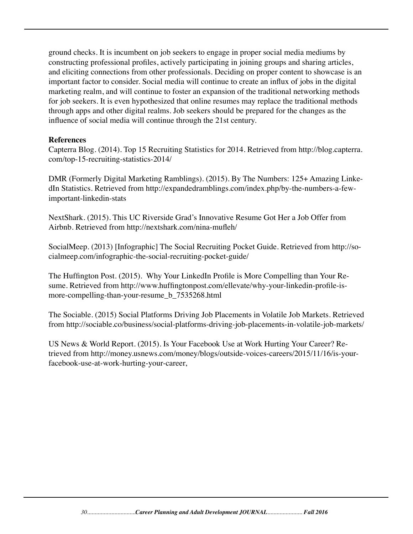ground checks. It is incumbent on job seekers to engage in proper social media mediums by constructing professional profiles, actively participating in joining groups and sharing articles, and eliciting connections from other professionals. Deciding on proper content to showcase is an important factor to consider. Social media will continue to create an influx of jobs in the digital marketing realm, and will continue to foster an expansion of the traditional networking methods for job seekers. It is even hypothesized that online resumes may replace the traditional methods through apps and other digital realms. Job seekers should be prepared for the changes as the influence of social media will continue through the 21st century.

#### **References**

Capterra Blog. (2014). Top 15 Recruiting Statistics for 2014. Retrieved from http://blog.capterra. com/top-15-recruiting-statistics-2014/

DMR (Formerly Digital Marketing Ramblings). (2015). By The Numbers: 125+ Amazing LinkedIn Statistics. Retrieved from http://expandedramblings.com/index.php/by-the-numbers-a-fewimportant-linkedin-stats

NextShark. (2015). This UC Riverside Grad's Innovative Resume Got Her a Job Offer from Airbnb. Retrieved from http://nextshark.com/nina-mufleh/

SocialMeep. (2013) [Infographic] The Social Recruiting Pocket Guide. Retrieved from http://socialmeep.com/infographic-the-social-recruiting-pocket-guide/

The Huffington Post. (2015). Why Your LinkedIn Profile is More Compelling than Your Resume. Retrieved from http://www.huffingtonpost.com/ellevate/why-your-linkedin-profile-ismore-compelling-than-your-resume\_b\_7535268.html

The Sociable. (2015) Social Platforms Driving Job Placements in Volatile Job Markets. Retrieved from http://sociable.co/business/social-platforms-driving-job-placements-in-volatile-job-markets/

US News & World Report. (2015). Is Your Facebook Use at Work Hurting Your Career? Retrieved from http://money.usnews.com/money/blogs/outside-voices-careers/2015/11/16/is-yourfacebook-use-at-work-hurting-your-career,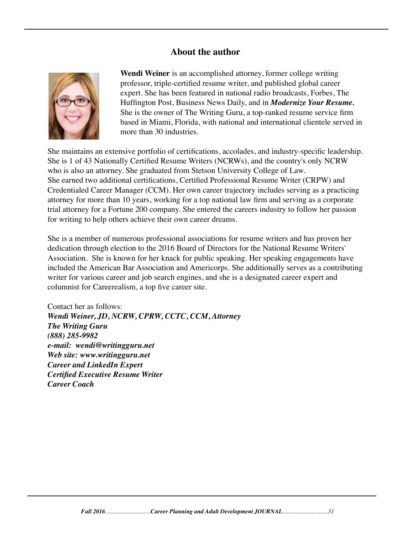#### **About the author**



 **Wendi Weiner** is an accomplished attorney, former college writing professor, triple-certified resume writer, and published global career expert. She has been featured in national radio broadcasts, Forbes, The Huffington Post, Business News Daily, and in *Modernize Your Resume.* She is the owner of The Writing Guru, a top-ranked resume service firm based in Miami, Florida, with national and international clientele served in more than 30 industries.

She maintains an extensive portfolio of certifications, accolades, and industry-specific leadership. She is 1 of 43 Nationally Certified Resume Writers (NCRWs), and the country's only NCRW who is also an attorney. She graduated from Stetson University College of Law. She earned two additional certifications, Certified Professional Resume Writer (CRPW) and Credentialed Career Manager (CCM). Her own career trajectory includes serving as a practicing attorney for more than 10 years, working for a top national law firm and serving as a corporate trial attorney for a Fortune 200 company. She entered the careers industry to follow her passion for writing to help others achieve their own career dreams.

She is a member of numerous professional associations for resume writers and has proven her dedication through election to the 2016 Board of Directors for the National Resume Writers' Association. She is known for her knack for public speaking. Her speaking engagements have included the American Bar Association and Americorps. She additionally serves as a contributing writer for various career and job search engines, and she is a designated career expert and columnist for Careerealism, a top five career site.

Contact her as follows: *Wendi Weiner, JD, NCRW, CPRW, CCTC, CCM, Attorney The Writing Guru (888) 285-9982 e-mail: wendi@writingguru.net Web site: www.writingguru.net Career and LinkedIn Expert Certified Executive Resume Writer Career Coach*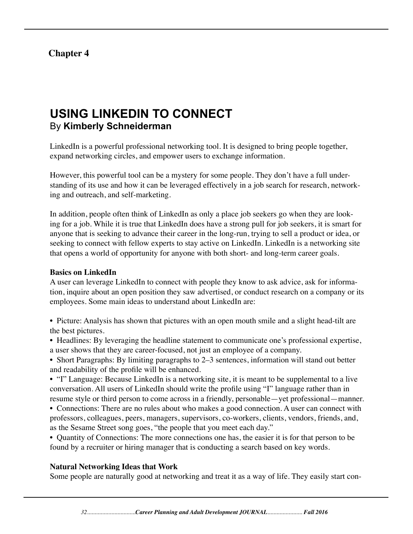## **Chapter 4**

# **USING LINKEDIN TO CONNECT** By **Kimberly Schneiderman**

LinkedIn is a powerful professional networking tool. It is designed to bring people together, expand networking circles, and empower users to exchange information.

However, this powerful tool can be a mystery for some people. They don't have a full understanding of its use and how it can be leveraged effectively in a job search for research, networking and outreach, and self-marketing.

In addition, people often think of LinkedIn as only a place job seekers go when they are looking for a job. While it is true that LinkedIn does have a strong pull for job seekers, it is smart for anyone that is seeking to advance their career in the long-run, trying to sell a product or idea, or seeking to connect with fellow experts to stay active on LinkedIn. LinkedIn is a networking site that opens a world of opportunity for anyone with both short- and long-term career goals.

#### **Basics on LinkedIn**

A user can leverage LinkedIn to connect with people they know to ask advice, ask for information, inquire about an open position they saw advertised, or conduct research on a company or its employees. Some main ideas to understand about LinkedIn are:

- Picture: Analysis has shown that pictures with an open mouth smile and a slight head-tilt are the best pictures.
- Headlines: By leveraging the headline statement to communicate one's professional expertise, a user shows that they are career-focused, not just an employee of a company.
- Short Paragraphs: By limiting paragraphs to 2–3 sentences, information will stand out better and readability of the profile will be enhanced.

• "I" Language: Because LinkedIn is a networking site, it is meant to be supplemental to a live conversation. All users of LinkedIn should write the profile using "I" language rather than in resume style or third person to come across in a friendly, personable—yet professional—manner.

• Connections: There are no rules about who makes a good connection. A user can connect with professors, colleagues, peers, managers, supervisors, co-workers, clients, vendors, friends, and, as the Sesame Street song goes, "the people that you meet each day."

• Quantity of Connections: The more connections one has, the easier it is for that person to be found by a recruiter or hiring manager that is conducting a search based on key words.

#### **Natural Networking Ideas that Work**

Some people are naturally good at networking and treat it as a way of life. They easily start con-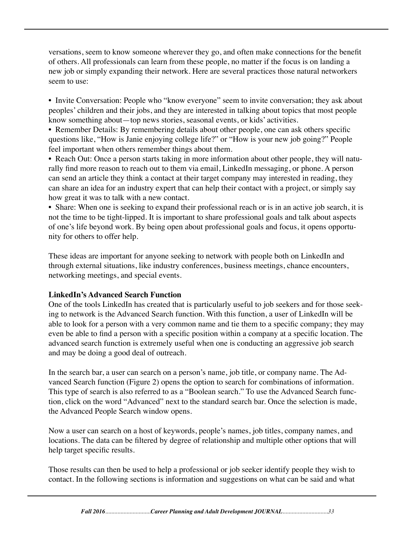versations, seem to know someone wherever they go, and often make connections for the benefit of others. All professionals can learn from these people, no matter if the focus is on landing a new job or simply expanding their network. Here are several practices those natural networkers seem to use:

• Invite Conversation: People who "know everyone" seem to invite conversation; they ask about peoples' children and their jobs, and they are interested in talking about topics that most people know something about—top news stories, seasonal events, or kids' activities.

• Remember Details: By remembering details about other people, one can ask others specific questions like, "How is Janie enjoying college life?" or "How is your new job going?" People feel important when others remember things about them.

• Reach Out: Once a person starts taking in more information about other people, they will naturally find more reason to reach out to them via email, LinkedIn messaging, or phone. A person can send an article they think a contact at their target company may interested in reading, they can share an idea for an industry expert that can help their contact with a project, or simply say how great it was to talk with a new contact.

• Share: When one is seeking to expand their professional reach or is in an active job search, it is not the time to be tight-lipped. It is important to share professional goals and talk about aspects of one's life beyond work. By being open about professional goals and focus, it opens opportunity for others to offer help.

These ideas are important for anyone seeking to network with people both on LinkedIn and through external situations, like industry conferences, business meetings, chance encounters, networking meetings, and special events.

#### **LinkedIn's Advanced Search Function**

One of the tools LinkedIn has created that is particularly useful to job seekers and for those seeking to network is the Advanced Search function. With this function, a user of LinkedIn will be able to look for a person with a very common name and tie them to a specific company; they may even be able to find a person with a specific position within a company at a specific location. The advanced search function is extremely useful when one is conducting an aggressive job search and may be doing a good deal of outreach.

In the search bar, a user can search on a person's name, job title, or company name. The Advanced Search function (Figure 2) opens the option to search for combinations of information. This type of search is also referred to as a "Boolean search." To use the Advanced Search function, click on the word "Advanced" next to the standard search bar. Once the selection is made, the Advanced People Search window opens.

Now a user can search on a host of keywords, people's names, job titles, company names, and locations. The data can be filtered by degree of relationship and multiple other options that will help target specific results.

Those results can then be used to help a professional or job seeker identify people they wish to contact. In the following sections is information and suggestions on what can be said and what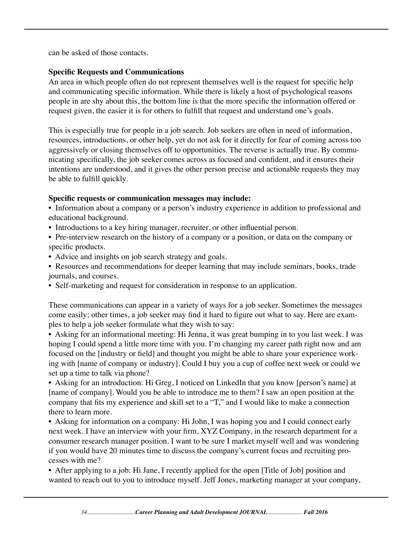can be asked of those contacts.

#### **Specific Requests and Communications**

An area in which people often do not represent themselves well is the request for specific help and communicating specific information. While there is likely a host of psychological reasons people in are shy about this, the bottom line is that the more specific the information offered or request given, the easier it is for others to fulfill that request and understand one's goals.

This is especially true for people in a job search. Job seekers are often in need of information, resources, introductions, or other help, yet do not ask for it directly for fear of coming across too aggressively or closing themselves off to opportunities. The reverse is actually true. By communicating specifically, the job seeker comes across as focused and confident, and it ensures their intentions are understood, and it gives the other person precise and actionable requests they may be able to fulfill quickly.

#### **Specific requests or communication messages may include:**

• Information about a company or a person's industry experience in addition to professional and educational background.

- Introductions to a key hiring manager, recruiter, or other influential person.
- Pre-interview research on the history of a company or a position, or data on the company or specific products.
- Advice and insights on job search strategy and goals.
- Resources and recommendations for deeper learning that may include seminars, books, trade journals, and courses.
- Self-marketing and request for consideration in response to an application.

These communications can appear in a variety of ways for a job seeker. Sometimes the messages come easily; other times, a job seeker may find it hard to figure out what to say. Here are examples to help a job seeker formulate what they wish to say:

• Asking for an informational meeting: Hi Jenna, it was great bumping in to you last week. I was hoping I could spend a little more time with you. I'm changing my career path right now and am focused on the [industry or field] and thought you might be able to share your experience working with [name of company or industry]. Could I buy you a cup of coffee next week or could we set up a time to talk via phone?

• Asking for an introduction: Hi Greg, I noticed on LinkedIn that you know [person's name] at [name of company]. Would you be able to introduce me to them? I saw an open position at the company that fits my experience and skill set to a "T," and I would like to make a connection there to learn more.

• Asking for information on a company: Hi John, I was hoping you and I could connect early next week. I have an interview with your firm, XYZ Company, in the research department for a consumer research manager position. I want to be sure I market myself well and was wondering if you would have 20 minutes time to discuss the company's current focus and recruiting processes with me?

• After applying to a job: Hi Jane, I recently applied for the open [Title of Job] position and wanted to reach out to you to introduce myself. Jeff Jones, marketing manager at your company,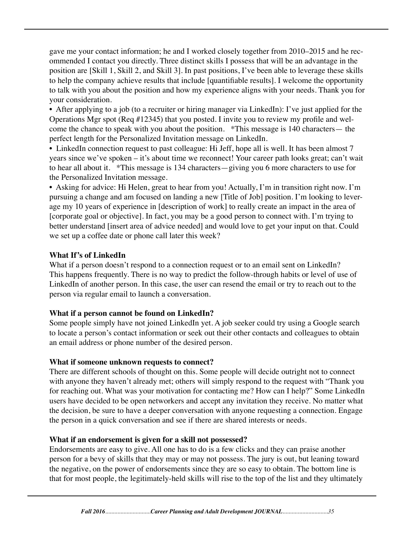gave me your contact information; he and I worked closely together from 2010–2015 and he recommended I contact you directly. Three distinct skills I possess that will be an advantage in the position are [Skill 1, Skill 2, and Skill 3]. In past positions, I've been able to leverage these skills to help the company achieve results that include [quantifiable results]. I welcome the opportunity to talk with you about the position and how my experience aligns with your needs. Thank you for your consideration.

• After applying to a job (to a recruiter or hiring manager via LinkedIn): I've just applied for the Operations Mgr spot (Req #12345) that you posted. I invite you to review my profile and welcome the chance to speak with you about the position. \*This message is 140 characters— the perfect length for the Personalized Invitation message on LinkedIn.

• LinkedIn connection request to past colleague: Hi Jeff, hope all is well. It has been almost 7 years since we've spoken – it's about time we reconnect! Your career path looks great; can't wait to hear all about it. \*This message is 134 characters—giving you 6 more characters to use for the Personalized Invitation message.

• Asking for advice: Hi Helen, great to hear from you! Actually, I'm in transition right now. I'm pursuing a change and am focused on landing a new [Title of Job] position. I'm looking to leverage my 10 years of experience in [description of work] to really create an impact in the area of [corporate goal or objective]. In fact, you may be a good person to connect with. I'm trying to better understand [insert area of advice needed] and would love to get your input on that. Could we set up a coffee date or phone call later this week?

#### **What If's of LinkedIn**

What if a person doesn't respond to a connection request or to an email sent on LinkedIn? This happens frequently. There is no way to predict the follow-through habits or level of use of LinkedIn of another person. In this case, the user can resend the email or try to reach out to the person via regular email to launch a conversation.

#### **What if a person cannot be found on LinkedIn?**

Some people simply have not joined LinkedIn yet. A job seeker could try using a Google search to locate a person's contact information or seek out their other contacts and colleagues to obtain an email address or phone number of the desired person.

#### **What if someone unknown requests to connect?**

There are different schools of thought on this. Some people will decide outright not to connect with anyone they haven't already met; others will simply respond to the request with "Thank you for reaching out. What was your motivation for contacting me? How can I help?" Some LinkedIn users have decided to be open networkers and accept any invitation they receive. No matter what the decision, be sure to have a deeper conversation with anyone requesting a connection. Engage the person in a quick conversation and see if there are shared interests or needs.

#### **What if an endorsement is given for a skill not possessed?**

Endorsements are easy to give. All one has to do is a few clicks and they can praise another person for a bevy of skills that they may or may not possess. The jury is out, but leaning toward the negative, on the power of endorsements since they are so easy to obtain. The bottom line is that for most people, the legitimately-held skills will rise to the top of the list and they ultimately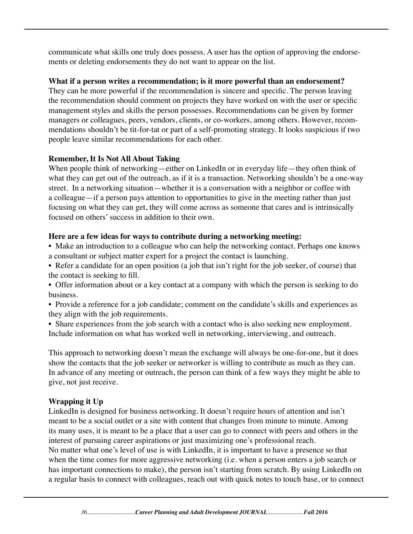communicate what skills one truly does possess. A user has the option of approving the endorsements or deleting endorsements they do not want to appear on the list.

#### **What if a person writes a recommendation; is it more powerful than an endorsement?**

They can be more powerful if the recommendation is sincere and specific. The person leaving the recommendation should comment on projects they have worked on with the user or specific management styles and skills the person possesses. Recommendations can be given by former managers or colleagues, peers, vendors, clients, or co-workers, among others. However, recommendations shouldn't be tit-for-tat or part of a self-promoting strategy. It looks suspicious if two people leave similar recommendations for each other.

#### **Remember, It Is Not All About Taking**

When people think of networking—either on LinkedIn or in everyday life—they often think of what they can get out of the outreach, as if it is a transaction. Networking shouldn't be a one-way street. In a networking situation—whether it is a conversation with a neighbor or coffee with a colleague—if a person pays attention to opportunities to give in the meeting rather than just focusing on what they can get, they will come across as someone that cares and is intrinsically focused on others' success in addition to their own.

#### **Here are a few ideas for ways to contribute during a networking meeting:**

• Make an introduction to a colleague who can help the networking contact. Perhaps one knows a consultant or subject matter expert for a project the contact is launching.

• Refer a candidate for an open position (a job that isn't right for the job seeker, of course) that the contact is seeking to fill.

• Offer information about or a key contact at a company with which the person is seeking to do business.

• Provide a reference for a job candidate; comment on the candidate's skills and experiences as they align with the job requirements.

• Share experiences from the job search with a contact who is also seeking new employment. Include information on what has worked well in networking, interviewing, and outreach.

This approach to networking doesn't mean the exchange will always be one-for-one, but it does show the contacts that the job seeker or networker is willing to contribute as much as they can. In advance of any meeting or outreach, the person can think of a few ways they might be able to give, not just receive.

#### **Wrapping it Up**

LinkedIn is designed for business networking. It doesn't require hours of attention and isn't meant to be a social outlet or a site with content that changes from minute to minute. Among its many uses, it is meant to be a place that a user can go to connect with peers and others in the interest of pursuing career aspirations or just maximizing one's professional reach. No matter what one's level of use is with LinkedIn, it is important to have a presence so that when the time comes for more aggressive networking (i.e. when a person enters a job search or has important connections to make), the person isn't starting from scratch. By using LinkedIn on a regular basis to connect with colleagues, reach out with quick notes to touch base, or to connect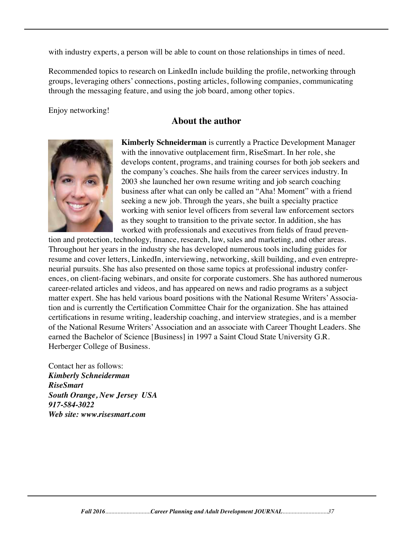with industry experts, a person will be able to count on those relationships in times of need.

Recommended topics to research on LinkedIn include building the profile, networking through groups, leveraging others' connections, posting articles, following companies, communicating through the messaging feature, and using the job board, among other topics.

Enjoy networking!

## **About the author**



 **Kimberly Schneiderman** is currently a Practice Development Manager with the innovative outplacement firm, RiseSmart. In her role, she develops content, programs, and training courses for both job seekers and the company's coaches. She hails from the career services industry. In 2003 she launched her own resume writing and job search coaching business after what can only be called an "Aha! Moment" with a friend seeking a new job. Through the years, she built a specialty practice working with senior level officers from several law enforcement sectors as they sought to transition to the private sector. In addition, she has worked with professionals and executives from fields of fraud preven-

tion and protection, technology, finance, research, law, sales and marketing, and other areas. Throughout her years in the industry she has developed numerous tools including guides for resume and cover letters, LinkedIn, interviewing, networking, skill building, and even entrepreneurial pursuits. She has also presented on those same topics at professional industry conferences, on client-facing webinars, and onsite for corporate customers. She has authored numerous career-related articles and videos, and has appeared on news and radio programs as a subject matter expert. She has held various board positions with the National Resume Writers' Association and is currently the Certification Committee Chair for the organization. She has attained certifications in resume writing, leadership coaching, and interview strategies, and is a member of the National Resume Writers' Association and an associate with Career Thought Leaders. She earned the Bachelor of Science [Business] in 1997 a Saint Cloud State University G.R. Herberger College of Business.

Contact her as follows: *Kimberly Schneiderman RiseSmart South Orange, New Jersey USA 917-584-3022 Web site: www.risesmart.com*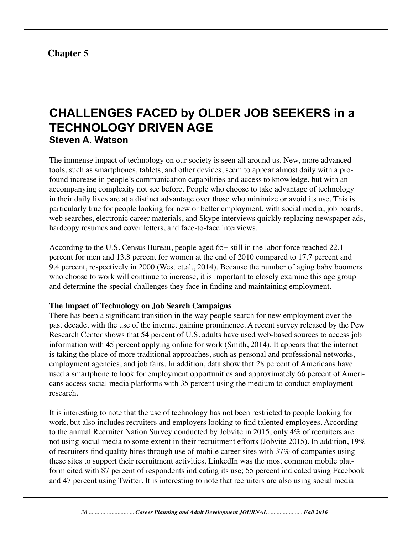# **Chapter 5**

# **CHALLENGES FACED by OLDER JOB SEEKERS in a TECHNOLOGY DRIVEN AGE Steven A. Watson**

The immense impact of technology on our society is seen all around us. New, more advanced tools, such as smartphones, tablets, and other devices, seem to appear almost daily with a profound increase in people's communication capabilities and access to knowledge, but with an accompanying complexity not see before. People who choose to take advantage of technology in their daily lives are at a distinct advantage over those who minimize or avoid its use. This is particularly true for people looking for new or better employment, with social media, job boards, web searches, electronic career materials, and Skype interviews quickly replacing newspaper ads, hardcopy resumes and cover letters, and face-to-face interviews.

According to the U.S. Census Bureau, people aged 65+ still in the labor force reached 22.1 percent for men and 13.8 percent for women at the end of 2010 compared to 17.7 percent and 9.4 percent, respectively in 2000 (West et.al., 2014). Because the number of aging baby boomers who choose to work will continue to increase, it is important to closely examine this age group and determine the special challenges they face in finding and maintaining employment.

#### **The Impact of Technology on Job Search Campaigns**

There has been a significant transition in the way people search for new employment over the past decade, with the use of the internet gaining prominence. A recent survey released by the Pew Research Center shows that 54 percent of U.S. adults have used web-based sources to access job information with 45 percent applying online for work (Smith, 2014). It appears that the internet is taking the place of more traditional approaches, such as personal and professional networks, employment agencies, and job fairs. In addition, data show that 28 percent of Americans have used a smartphone to look for employment opportunities and approximately 66 percent of Americans access social media platforms with 35 percent using the medium to conduct employment research.

It is interesting to note that the use of technology has not been restricted to people looking for work, but also includes recruiters and employers looking to find talented employees. According to the annual Recruiter Nation Survey conducted by Jobvite in 2015, only 4% of recruiters are not using social media to some extent in their recruitment efforts (Jobvite 2015). In addition, 19% of recruiters find quality hires through use of mobile career sites with 37% of companies using these sites to support their recruitment activities. LinkedIn was the most common mobile platform cited with 87 percent of respondents indicating its use; 55 percent indicated using Facebook and 47 percent using Twitter. It is interesting to note that recruiters are also using social media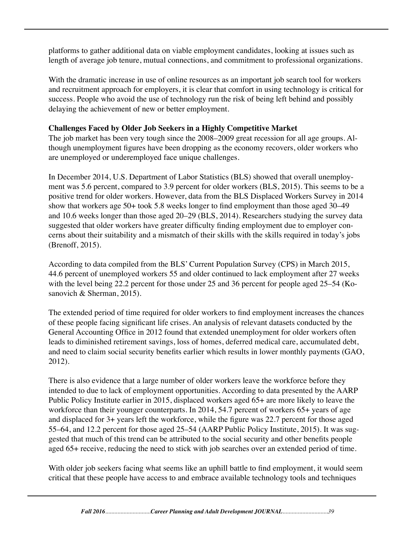platforms to gather additional data on viable employment candidates, looking at issues such as length of average job tenure, mutual connections, and commitment to professional organizations.

With the dramatic increase in use of online resources as an important job search tool for workers and recruitment approach for employers, it is clear that comfort in using technology is critical for success. People who avoid the use of technology run the risk of being left behind and possibly delaying the achievement of new or better employment.

## **Challenges Faced by Older Job Seekers in a Highly Competitive Market**

The job market has been very tough since the 2008–2009 great recession for all age groups. Although unemployment figures have been dropping as the economy recovers, older workers who are unemployed or underemployed face unique challenges.

In December 2014, U.S. Department of Labor Statistics (BLS) showed that overall unemployment was 5.6 percent, compared to 3.9 percent for older workers (BLS, 2015). This seems to be a positive trend for older workers. However, data from the BLS Displaced Workers Survey in 2014 show that workers age 50+ took 5.8 weeks longer to find employment than those aged 30–49 and 10.6 weeks longer than those aged 20–29 (BLS, 2014). Researchers studying the survey data suggested that older workers have greater difficulty finding employment due to employer concerns about their suitability and a mismatch of their skills with the skills required in today's jobs (Brenoff, 2015).

According to data compiled from the BLS' Current Population Survey (CPS) in March 2015, 44.6 percent of unemployed workers 55 and older continued to lack employment after 27 weeks with the level being 22.2 percent for those under 25 and 36 percent for people aged 25–54 (Kosanovich & Sherman, 2015).

The extended period of time required for older workers to find employment increases the chances of these people facing significant life crises. An analysis of relevant datasets conducted by the General Accounting Office in 2012 found that extended unemployment for older workers often leads to diminished retirement savings, loss of homes, deferred medical care, accumulated debt, and need to claim social security benefits earlier which results in lower monthly payments (GAO, 2012).

There is also evidence that a large number of older workers leave the workforce before they intended to due to lack of employment opportunities. According to data presented by the AARP Public Policy Institute earlier in 2015, displaced workers aged 65+ are more likely to leave the workforce than their younger counterparts. In 2014, 54.7 percent of workers 65+ years of age and displaced for 3+ years left the workforce, while the figure was 22.7 percent for those aged 55–64, and 12.2 percent for those aged 25–54 (AARP Public Policy Institute, 2015). It was suggested that much of this trend can be attributed to the social security and other benefits people aged 65+ receive, reducing the need to stick with job searches over an extended period of time.

With older job seekers facing what seems like an uphill battle to find employment, it would seem critical that these people have access to and embrace available technology tools and techniques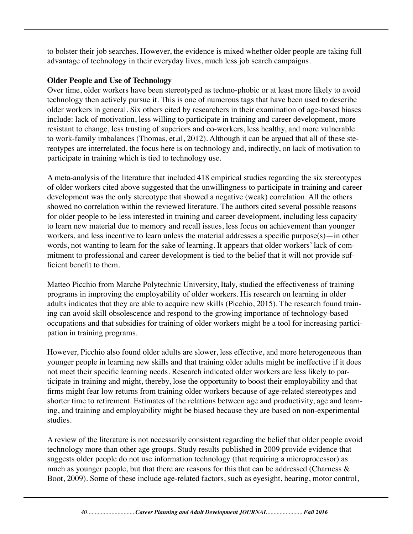to bolster their job searches. However, the evidence is mixed whether older people are taking full advantage of technology in their everyday lives, much less job search campaigns.

#### **Older People and Use of Technology**

Over time, older workers have been stereotyped as techno-phobic or at least more likely to avoid technology then actively pursue it. This is one of numerous tags that have been used to describe older workers in general. Six others cited by researchers in their examination of age-based biases include: lack of motivation, less willing to participate in training and career development, more resistant to change, less trusting of superiors and co-workers, less healthy, and more vulnerable to work-family imbalances (Thomas, et.al, 2012). Although it can be argued that all of these stereotypes are interrelated, the focus here is on technology and, indirectly, on lack of motivation to participate in training which is tied to technology use.

A meta-analysis of the literature that included 418 empirical studies regarding the six stereotypes of older workers cited above suggested that the unwillingness to participate in training and career development was the only stereotype that showed a negative (weak) correlation. All the others showed no correlation within the reviewed literature. The authors cited several possible reasons for older people to be less interested in training and career development, including less capacity to learn new material due to memory and recall issues, less focus on achievement than younger workers, and less incentive to learn unless the material addresses a specific purpose(s)—in other words, not wanting to learn for the sake of learning. It appears that older workers' lack of commitment to professional and career development is tied to the belief that it will not provide sufficient benefit to them.

Matteo Picchio from Marche Polytechnic University, Italy, studied the effectiveness of training programs in improving the employability of older workers. His research on learning in older adults indicates that they are able to acquire new skills (Picchio, 2015). The research found training can avoid skill obsolescence and respond to the growing importance of technology-based occupations and that subsidies for training of older workers might be a tool for increasing participation in training programs.

However, Picchio also found older adults are slower, less effective, and more heterogeneous than younger people in learning new skills and that training older adults might be ineffective if it does not meet their specific learning needs. Research indicated older workers are less likely to participate in training and might, thereby, lose the opportunity to boost their employability and that firms might fear low returns from training older workers because of age-related stereotypes and shorter time to retirement. Estimates of the relations between age and productivity, age and learning, and training and employability might be biased because they are based on non-experimental studies.

A review of the literature is not necessarily consistent regarding the belief that older people avoid technology more than other age groups. Study results published in 2009 provide evidence that suggests older people do not use information technology (that requiring a microprocessor) as much as younger people, but that there are reasons for this that can be addressed (Charness  $\&$ Boot, 2009). Some of these include age-related factors, such as eyesight, hearing, motor control,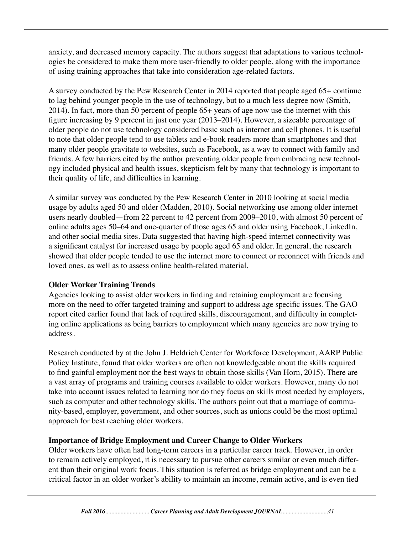anxiety, and decreased memory capacity. The authors suggest that adaptations to various technologies be considered to make them more user-friendly to older people, along with the importance of using training approaches that take into consideration age-related factors.

A survey conducted by the Pew Research Center in 2014 reported that people aged 65+ continue to lag behind younger people in the use of technology, but to a much less degree now (Smith, 2014). In fact, more than 50 percent of people 65+ years of age now use the internet with this figure increasing by 9 percent in just one year (2013–2014). However, a sizeable percentage of older people do not use technology considered basic such as internet and cell phones. It is useful to note that older people tend to use tablets and e-book readers more than smartphones and that many older people gravitate to websites, such as Facebook, as a way to connect with family and friends. A few barriers cited by the author preventing older people from embracing new technology included physical and health issues, skepticism felt by many that technology is important to their quality of life, and difficulties in learning.

A similar survey was conducted by the Pew Research Center in 2010 looking at social media usage by adults aged 50 and older (Madden, 2010). Social networking use among older internet users nearly doubled—from 22 percent to 42 percent from 2009–2010, with almost 50 percent of online adults ages 50–64 and one-quarter of those ages 65 and older using Facebook, LinkedIn, and other social media sites. Data suggested that having high-speed internet connectivity was a significant catalyst for increased usage by people aged 65 and older. In general, the research showed that older people tended to use the internet more to connect or reconnect with friends and loved ones, as well as to assess online health-related material.

#### **Older Worker Training Trends**

Agencies looking to assist older workers in finding and retaining employment are focusing more on the need to offer targeted training and support to address age specific issues. The GAO report cited earlier found that lack of required skills, discouragement, and difficulty in completing online applications as being barriers to employment which many agencies are now trying to address.

Research conducted by at the John J. Heldrich Center for Workforce Development, AARP Public Policy Institute, found that older workers are often not knowledgeable about the skills required to find gainful employment nor the best ways to obtain those skills (Van Horn, 2015). There are a vast array of programs and training courses available to older workers. However, many do not take into account issues related to learning nor do they focus on skills most needed by employers, such as computer and other technology skills. The authors point out that a marriage of community-based, employer, government, and other sources, such as unions could be the most optimal approach for best reaching older workers.

#### **Importance of Bridge Employment and Career Change to Older Workers**

Older workers have often had long-term careers in a particular career track. However, in order to remain actively employed, it is necessary to pursue other careers similar or even much different than their original work focus. This situation is referred as bridge employment and can be a critical factor in an older worker's ability to maintain an income, remain active, and is even tied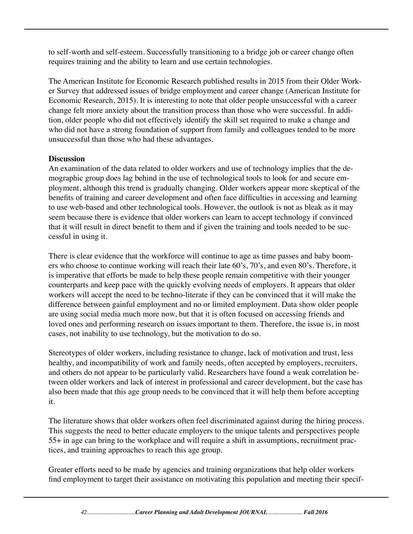to self-worth and self-esteem. Successfully transitioning to a bridge job or career change often requires training and the ability to learn and use certain technologies.

The American Institute for Economic Research published results in 2015 from their Older Worker Survey that addressed issues of bridge employment and career change (American Institute for Economic Research, 2015). It is interesting to note that older people unsuccessful with a career change felt more anxiety about the transition process than those who were successful. In addition, older people who did not effectively identify the skill set required to make a change and who did not have a strong foundation of support from family and colleagues tended to be more unsuccessful than those who had these advantages.

#### **Discussion**

An examination of the data related to older workers and use of technology implies that the demographic group does lag behind in the use of technological tools to look for and secure employment, although this trend is gradually changing. Older workers appear more skeptical of the benefits of training and career development and often face difficulties in accessing and learning to use web-based and other technological tools. However, the outlook is not as bleak as it may seem because there is evidence that older workers can learn to accept technology if convinced that it will result in direct benefit to them and if given the training and tools needed to be successful in using it.

There is clear evidence that the workforce will continue to age as time passes and baby boomers who choose to continue working will reach their late 60's, 70's, and even 80's. Therefore, it is imperative that efforts be made to help these people remain competitive with their younger counterparts and keep pace with the quickly evolving needs of employers. It appears that older workers will accept the need to be techno-literate if they can be convinced that it will make the difference between gainful employment and no or limited employment. Data show older people are using social media much more now, but that it is often focused on accessing friends and loved ones and performing research on issues important to them. Therefore, the issue is, in most cases, not inability to use technology, but the motivation to do so.

Stereotypes of older workers, including resistance to change, lack of motivation and trust, less healthy, and incompatibility of work and family needs, often accepted by employers, recruiters, and others do not appear to be particularly valid. Researchers have found a weak correlation between older workers and lack of interest in professional and career development, but the case has also been made that this age group needs to be convinced that it will help them before accepting it.

The literature shows that older workers often feel discriminated against during the hiring process. This suggests the need to better educate employers to the unique talents and perspectives people 55+ in age can bring to the workplace and will require a shift in assumptions, recruitment practices, and training approaches to reach this age group.

Greater efforts need to be made by agencies and training organizations that help older workers find employment to target their assistance on motivating this population and meeting their specif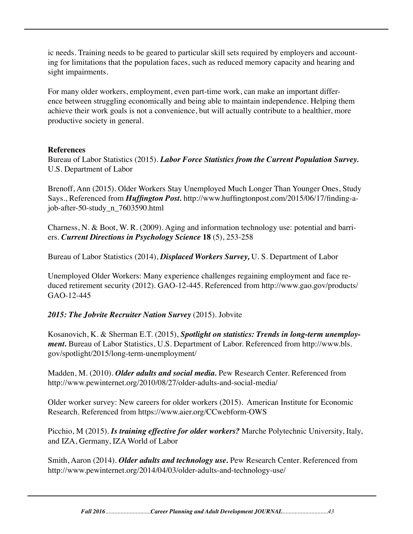ic needs. Training needs to be geared to particular skill sets required by employers and accounting for limitations that the population faces, such as reduced memory capacity and hearing and sight impairments.

For many older workers, employment, even part-time work, can make an important difference between struggling economically and being able to maintain independence. Helping them achieve their work goals is not a convenience, but will actually contribute to a healthier, more productive society in general.

### **References**

Bureau of Labor Statistics (2015). *Labor Force Statistics from the Current Population Survey.*  U.S. Department of Labor

Brenoff, Ann (2015). Older Workers Stay Unemployed Much Longer Than Younger Ones, Study Says., Referenced from *Huffington Post.* http://www.huffingtonpost.com/2015/06/17/finding-ajob-after-50-study\_n\_7603590.html

Charness, N. & Boot, W. R. (2009). Aging and information technology use: potential and barriers. *Current Directions in Psychology Science* **18** (5), 253-258

Bureau of Labor Statistics (2014), *Displaced Workers Survey,* U. S. Department of Labor

Unemployed Older Workers: Many experience challenges regaining employment and face reduced retirement security (2012). GAO-12-445. Referenced from http://www.gao.gov/products/ GAO-12-445

## *2015: The Jobvite Recruiter Nation Survey* (2015). Jobvite

Kosanovich, K. & Sherman E.T. (2015), *Spotlight on statistics: Trends in long-term unemployment.* Bureau of Labor Statistics, U.S. Department of Labor. Referenced from http://www.bls. gov/spotlight/2015/long-term-unemployment/

Madden, M. (2010). *Older adults and social media.* Pew Research Center. Referenced from http://www.pewinternet.org/2010/08/27/older-adults-and-social-media/

Older worker survey: New careers for older workers (2015). American Institute for Economic Research. Referenced from https://www.aier.org/CCwebform-OWS

Picchio, M (2015). *Is training effective for older workers?* Marche Polytechnic University, Italy, and IZA, Germany, IZA World of Labor

Smith, Aaron (2014). *Older adults and technology use.* Pew Research Center. Referenced from http://www.pewinternet.org/2014/04/03/older-adults-and-technology-use/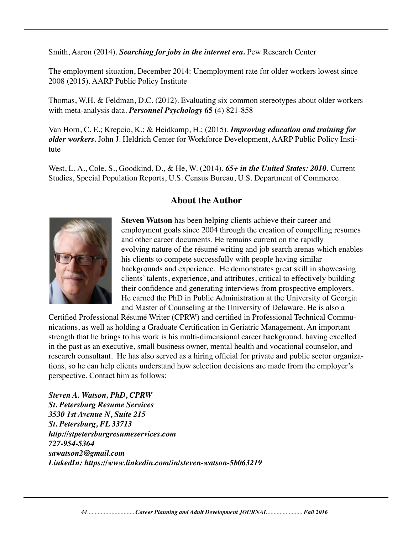Smith, Aaron (2014). *Searching for jobs in the internet era.* Pew Research Center

The employment situation, December 2014: Unemployment rate for older workers lowest since 2008 (2015). AARP Public Policy Institute

Thomas, W.H. & Feldman, D.C. (2012). Evaluating six common stereotypes about older workers with meta-analysis data. *Personnel Psychology* **65** (4) 821-858

Van Horn, C. E.; Krepcio, K.; & Heidkamp, H.; (2015). *Improving education and training for older workers.* John J. Heldrich Center for Workforce Development, AARP Public Policy Institute

West, L. A., Cole, S., Goodkind, D., & He, W. (2014). *65+ in the United States: 2010.* Current Studies, Special Population Reports, U.S. Census Bureau, U.S. Department of Commerce.

### **About the Author**



**Steven Watson** has been helping clients achieve their career and employment goals since 2004 through the creation of compelling resumes and other career documents. He remains current on the rapidly evolving nature of the résumé writing and job search arenas which enables his clients to compete successfully with people having similar backgrounds and experience. He demonstrates great skill in showcasing clients' talents, experience, and attributes, critical to effectively building their confidence and generating interviews from prospective employers. He earned the PhD in Public Administration at the University of Georgia and Master of Counseling at the University of Delaware. He is also a

Certified Professional Résumé Writer (CPRW) and certified in Professional Technical Communications, as well as holding a Graduate Certification in Geriatric Management. An important strength that he brings to his work is his multi-dimensional career background, having excelled in the past as an executive, small business owner, mental health and vocational counselor, and research consultant. He has also served as a hiring official for private and public sector organizations, so he can help clients understand how selection decisions are made from the employer's perspective. Contact him as follows:

*Steven A. Watson, PhD, CPRW St. Petersburg Resume Services 3530 1st Avenue N, Suite 215 St. Petersburg, FL 33713 http://stpetersburgresumeservices.com 727-954-5364 sawatson2@gmail.com LinkedIn: https://www.linkedin.com/in/steven-watson-5b063219*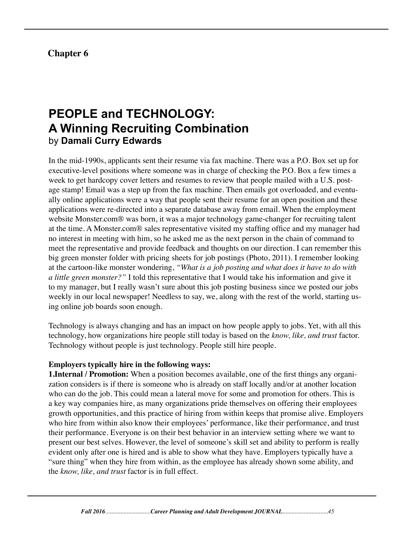# **Chapter 6**

# **PEOPLE and TECHNOLOGY: A Winning Recruiting Combination**  by **Damali Curry Edwards**

In the mid-1990s, applicants sent their resume via fax machine. There was a P.O. Box set up for executive-level positions where someone was in charge of checking the P.O. Box a few times a week to get hardcopy cover letters and resumes to review that people mailed with a U.S. postage stamp! Email was a step up from the fax machine. Then emails got overloaded, and eventually online applications were a way that people sent their resume for an open position and these applications were re-directed into a separate database away from email. When the employment website Monster.com® was born, it was a major technology game-changer for recruiting talent at the time. A Monster.com® sales representative visited my staffing office and my manager had no interest in meeting with him, so he asked me as the next person in the chain of command to meet the representative and provide feedback and thoughts on our direction. I can remember this big green monster folder with pricing sheets for job postings (Photo, 2011). I remember looking at the cartoon-like monster wondering, *"What is a job posting and what does it have to do with a little green monster?"* I told this representative that I would take his information and give it to my manager, but I really wasn't sure about this job posting business since we posted our jobs weekly in our local newspaper! Needless to say, we, along with the rest of the world, starting using online job boards soon enough.

Technology is always changing and has an impact on how people apply to jobs. Yet, with all this technology, how organizations hire people still today is based on the *know, like, and trust* factor. Technology without people is just technology. People still hire people.

#### **Employers typically hire in the following ways:**

**1.Internal / Promotion:** When a position becomes available, one of the first things any organization considers is if there is someone who is already on staff locally and/or at another location who can do the job. This could mean a lateral move for some and promotion for others. This is a key way companies hire, as many organizations pride themselves on offering their employees growth opportunities, and this practice of hiring from within keeps that promise alive. Employers who hire from within also know their employees' performance, like their performance, and trust their performance. Everyone is on their best behavior in an interview setting where we want to present our best selves. However, the level of someone's skill set and ability to perform is really evident only after one is hired and is able to show what they have. Employers typically have a "sure thing" when they hire from within, as the employee has already shown some ability, and the *know, like, and trust* factor is in full effect.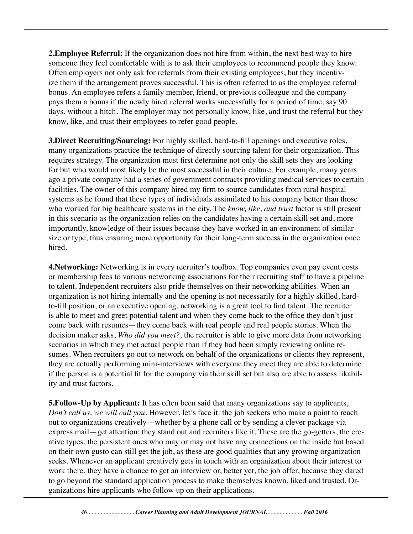**2. Employee Referral:** If the organization does not hire from within, the next best way to hire someone they feel comfortable with is to ask their employees to recommend people they know. Often employers not only ask for referrals from their existing employees, but they incentivize them if the arrangement proves successful. This is often referred to as the employee referral bonus. An employee refers a family member, friend, or previous colleague and the company pays them a bonus if the newly hired referral works successfully for a period of time, say 90 days, without a hitch. The employer may not personally know, like, and trust the referral but they know, like, and trust their employees to refer good people.

**3.Direct Recruiting/Sourcing:** For highly skilled, hard-to-fill openings and executive roles, many organizations practice the technique of directly sourcing talent for their organization. This requires strategy. The organization must first determine not only the skill sets they are looking for but who would most likely be the most successful in their culture. For example, many years ago a private company had a series of government contracts providing medical services to certain facilities. The owner of this company hired my firm to source candidates from rural hospital systems as he found that these types of individuals assimilated to his company better than those who worked for big healthcare systems in the city. The *know, like, and trust* factor is still present in this scenario as the organization relies on the candidates having a certain skill set and, more importantly, knowledge of their issues because they have worked in an environment of similar size or type, thus ensuring more opportunity for their long-term success in the organization once hired.

**4. Networking:** Networking is in every recruiter's toolbox. Top companies even pay event costs or membership fees to various networking associations for their recruiting staff to have a pipeline to talent. Independent recruiters also pride themselves on their networking abilities. When an organization is not hiring internally and the opening is not necessarily for a highly skilled, hardto-fill position, or an executive opening, networking is a great tool to find talent. The recruiter is able to meet and greet potential talent and when they come back to the office they don't just come back with resumes—they come back with real people and real people stories. When the decision maker asks, *Who did you meet?,* the recruiter is able to give more data from networking scenarios in which they met actual people than if they had been simply reviewing online resumes. When recruiters go out to network on behalf of the organizations or clients they represent, they are actually performing mini-interviews with everyone they meet they are able to determine if the person is a potential fit for the company via their skill set but also are able to assess likability and trust factors.

**5. Follow-Up by Applicant:** It has often been said that many organizations say to applicants, *Don't call us, we will call you.* However, let's face it: the job seekers who make a point to reach out to organizations creatively—whether by a phone call or by sending a clever package via express mail—get attention; they stand out and recruiters like it. These are the go-getters, the creative types, the persistent ones who may or may not have any connections on the inside but based on their own gusto can still get the job, as these are good qualities that any growing organization seeks. Whenever an applicant creatively gets in touch with an organization about their interest to work there, they have a chance to get an interview or, better yet, the job offer, because they dared to go beyond the standard application process to make themselves known, liked and trusted. Organizations hire applicants who follow up on their applications.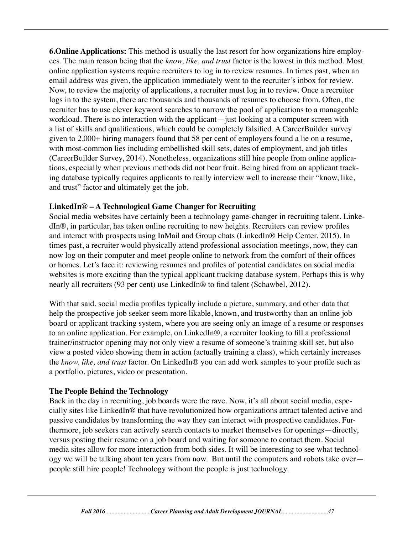**6.Online Applications:** This method is usually the last resort for how organizations hire employees. The main reason being that the *know, like, and trust* factor is the lowest in this method. Most online application systems require recruiters to log in to review resumes. In times past, when an email address was given, the application immediately went to the recruiter's inbox for review. Now, to review the majority of applications, a recruiter must log in to review. Once a recruiter logs in to the system, there are thousands and thousands of resumes to choose from. Often, the recruiter has to use clever keyword searches to narrow the pool of applications to a manageable workload. There is no interaction with the applicant—just looking at a computer screen with a list of skills and qualifications, which could be completely falsified. A CareerBuilder survey given to 2,000+ hiring managers found that 58 per cent of employers found a lie on a resume, with most-common lies including embellished skill sets, dates of employment, and job titles (CareerBuilder Survey, 2014). Nonetheless, organizations still hire people from online applications, especially when previous methods did not bear fruit. Being hired from an applicant tracking database typically requires applicants to really interview well to increase their "know, like, and trust" factor and ultimately get the job.

#### **LinkedIn® – A Technological Game Changer for Recruiting**

Social media websites have certainly been a technology game-changer in recruiting talent. LinkedIn®, in particular, has taken online recruiting to new heights. Recruiters can review profiles and interact with prospects using InMail and Group chats (LinkedIn® Help Center, 2015). In times past, a recruiter would physically attend professional association meetings, now, they can now log on their computer and meet people online to network from the comfort of their offices or homes. Let's face it: reviewing resumes and profiles of potential candidates on social media websites is more exciting than the typical applicant tracking database system. Perhaps this is why nearly all recruiters (93 per cent) use LinkedIn® to find talent (Schawbel, 2012).

With that said, social media profiles typically include a picture, summary, and other data that help the prospective job seeker seem more likable, known, and trustworthy than an online job board or applicant tracking system, where you are seeing only an image of a resume or responses to an online application. For example, on LinkedIn®, a recruiter looking to fill a professional trainer/instructor opening may not only view a resume of someone's training skill set, but also view a posted video showing them in action (actually training a class), which certainly increases the *know, like, and trust* factor. On LinkedIn® you can add work samples to your profile such as a portfolio, pictures, video or presentation.

## **The People Behind the Technology**

Back in the day in recruiting, job boards were the rave. Now, it's all about social media, especially sites like LinkedIn® that have revolutionized how organizations attract talented active and passive candidates by transforming the way they can interact with prospective candidates. Furthermore, job seekers can actively search contacts to market themselves for openings—directly, versus posting their resume on a job board and waiting for someone to contact them. Social media sites allow for more interaction from both sides. It will be interesting to see what technology we will be talking about ten years from now. But until the computers and robots take over people still hire people! Technology without the people is just technology.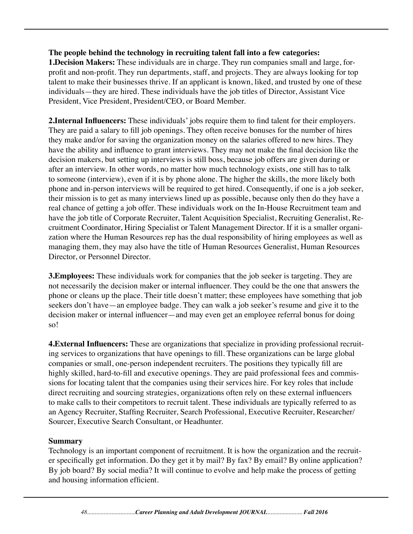#### **The people behind the technology in recruiting talent fall into a few categories:**

**1.Decision Makers:** These individuals are in charge. They run companies small and large, forprofit and non-profit. They run departments, staff, and projects. They are always looking for top talent to make their businesses thrive. If an applicant is known, liked, and trusted by one of these individuals—they are hired. These individuals have the job titles of Director, Assistant Vice President, Vice President, President/CEO, or Board Member.

**2.Internal Influencers:** These individuals' jobs require them to find talent for their employers. They are paid a salary to fill job openings. They often receive bonuses for the number of hires they make and/or for saving the organization money on the salaries offered to new hires. They have the ability and influence to grant interviews. They may not make the final decision like the decision makers, but setting up interviews is still boss, because job offers are given during or after an interview. In other words, no matter how much technology exists, one still has to talk to someone (interview), even if it is by phone alone. The higher the skills, the more likely both phone and in-person interviews will be required to get hired. Consequently, if one is a job seeker, their mission is to get as many interviews lined up as possible, because only then do they have a real chance of getting a job offer. These individuals work on the In-House Recruitment team and have the job title of Corporate Recruiter, Talent Acquisition Specialist, Recruiting Generalist, Recruitment Coordinator, Hiring Specialist or Talent Management Director. If it is a smaller organization where the Human Resources rep has the dual responsibility of hiring employees as well as managing them, they may also have the title of Human Resources Generalist, Human Resources Director, or Personnel Director.

**3.Employees:** These individuals work for companies that the job seeker is targeting. They are not necessarily the decision maker or internal influencer. They could be the one that answers the phone or cleans up the place. Their title doesn't matter; these employees have something that job seekers don't have—an employee badge. They can walk a job seeker's resume and give it to the decision maker or internal influencer—and may even get an employee referral bonus for doing so!

**4.External Influencers:** These are organizations that specialize in providing professional recruiting services to organizations that have openings to fill. These organizations can be large global companies or small, one-person independent recruiters. The positions they typically fill are highly skilled, hard-to-fill and executive openings. They are paid professional fees and commissions for locating talent that the companies using their services hire. For key roles that include direct recruiting and sourcing strategies, organizations often rely on these external influencers to make calls to their competitors to recruit talent. These individuals are typically referred to as an Agency Recruiter, Staffing Recruiter, Search Professional, Executive Recruiter, Researcher/ Sourcer, Executive Search Consultant, or Headhunter.

#### **Summary**

Technology is an important component of recruitment. It is how the organization and the recruiter specifically get information. Do they get it by mail? By fax? By email? By online application? By job board? By social media? It will continue to evolve and help make the process of getting and housing information efficient.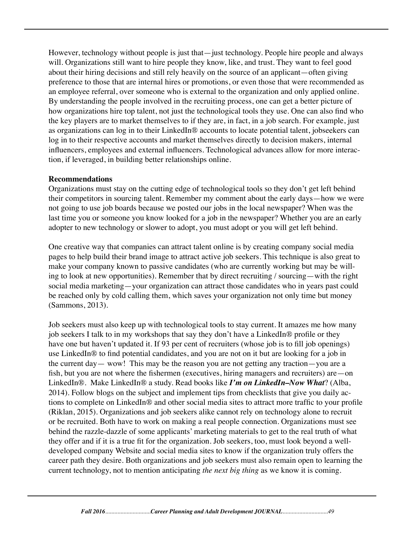However, technology without people is just that—just technology. People hire people and always will. Organizations still want to hire people they know, like, and trust. They want to feel good about their hiring decisions and still rely heavily on the source of an applicant—often giving preference to those that are internal hires or promotions, or even those that were recommended as an employee referral, over someone who is external to the organization and only applied online. By understanding the people involved in the recruiting process, one can get a better picture of how organizations hire top talent, not just the technological tools they use. One can also find who the key players are to market themselves to if they are, in fact, in a job search. For example, just as organizations can log in to their LinkedIn® accounts to locate potential talent, jobseekers can log in to their respective accounts and market themselves directly to decision makers, internal influencers, employees and external influencers. Technological advances allow for more interaction, if leveraged, in building better relationships online.

#### **Recommendations**

Organizations must stay on the cutting edge of technological tools so they don't get left behind their competitors in sourcing talent. Remember my comment about the early days—how we were not going to use job boards because we posted our jobs in the local newspaper? When was the last time you or someone you know looked for a job in the newspaper? Whether you are an early adopter to new technology or slower to adopt, you must adopt or you will get left behind.

One creative way that companies can attract talent online is by creating company social media pages to help build their brand image to attract active job seekers. This technique is also great to make your company known to passive candidates (who are currently working but may be willing to look at new opportunities). Remember that by direct recruiting / sourcing—with the right social media marketing—your organization can attract those candidates who in years past could be reached only by cold calling them, which saves your organization not only time but money (Sammons, 2013).

Job seekers must also keep up with technological tools to stay current. It amazes me how many job seekers I talk to in my workshops that say they don't have a LinkedIn® profile or they have one but haven't updated it. If 93 per cent of recruiters (whose job is to fill job openings) use LinkedIn® to find potential candidates, and you are not on it but are looking for a job in the current day— wow! This may be the reason you are not getting any traction—you are a fish, but you are not where the fishermen (executives, hiring managers and recruiters) are—on LinkedIn®. Make LinkedIn® a study. Read books like *I'm on LinkedIn–Now What*? (Alba, 2014). Follow blogs on the subject and implement tips from checklists that give you daily actions to complete on LinkedIn® and other social media sites to attract more traffic to your profile (Riklan, 2015). Organizations and job seekers alike cannot rely on technology alone to recruit or be recruited. Both have to work on making a real people connection. Organizations must see behind the razzle-dazzle of some applicants' marketing materials to get to the real truth of what they offer and if it is a true fit for the organization. Job seekers, too, must look beyond a welldeveloped company Website and social media sites to know if the organization truly offers the career path they desire. Both organizations and job seekers must also remain open to learning the current technology, not to mention anticipating *the next big thing* as we know it is coming.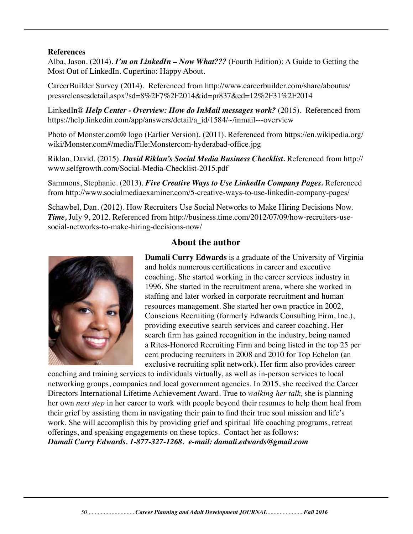#### **References**

Alba, Jason. (2014). *I'm on LinkedIn – Now What???* (Fourth Edition): A Guide to Getting the Most Out of LinkedIn. Cupertino: Happy About.

CareerBuilder Survey (2014). Referenced from http://www.careerbuilder.com/share/aboutus/ pressreleasesdetail.aspx?sd=8%2F7%2F2014&id=pr837&ed=12%2F31%2F2014

LinkedIn® *Help Center - Overview: How do InMail messages work?* (2015). Referenced from https://help.linkedin.com/app/answers/detail/a\_id/1584/~/inmail---overview

Photo of Monster.com® logo (Earlier Version). (2011). Referenced from https://en.wikipedia.org/ wiki/Monster.com#/media/File:Monstercom-hyderabad-office.jpg

Riklan, David. (2015). *David Riklan's Social Media Business Checklist.* Referenced from http:// www.selfgrowth.com/Social-Media-Checklist-2015.pdf

Sammons, Stephanie. (2013). *Five Creative Ways to Use LinkedIn Company Pages.* Referenced from http://www.socialmediaexaminer.com/5-creative-ways-to-use-linkedin-company-pages/

Schawbel, Dan. (2012). How Recruiters Use Social Networks to Make Hiring Decisions Now. *Time,* July 9, 2012. Referenced from http://business.time.com/2012/07/09/how-recruiters-usesocial-networks-to-make-hiring-decisions-now/



## **About the author**

**Damali Curry Edwards** is a graduate of the University of Virginia and holds numerous certifications in career and executive coaching. She started working in the career services industry in 1996. She started in the recruitment arena, where she worked in staffing and later worked in corporate recruitment and human resources management. She started her own practice in 2002, Conscious Recruiting (formerly Edwards Consulting Firm, Inc.), providing executive search services and career coaching. Her search firm has gained recognition in the industry, being named a Rites-Honored Recruiting Firm and being listed in the top 25 per cent producing recruiters in 2008 and 2010 for Top Echelon (an exclusive recruiting split network). Her firm also provides career

coaching and training services to individuals virtually, as well as in-person services to local networking groups, companies and local government agencies. In 2015, she received the Career Directors International Lifetime Achievement Award. True to *walking her talk,* she is planning her own *next step* in her career to work with people beyond their resumes to help them heal from their grief by assisting them in navigating their pain to find their true soul mission and life's work. She will accomplish this by providing grief and spiritual life coaching programs, retreat offerings, and speaking engagements on these topics. Contact her as follows: *Damali Curry Edwards. 1-877-327-1268. e-mail: damali.edwards@gmail.com*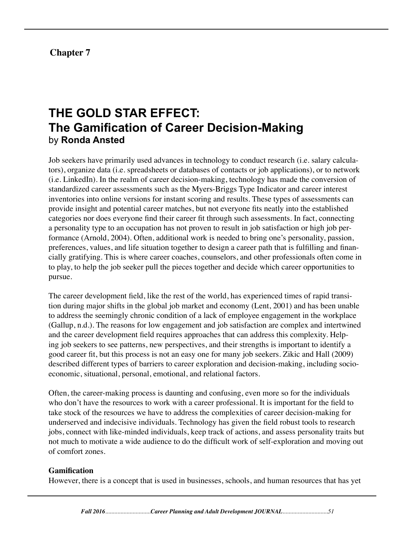## **Chapter 7**

# **THE GOLD STAR EFFECT: The Gamification of Career Decision-Making** by **Ronda Ansted**

Job seekers have primarily used advances in technology to conduct research (i.e. salary calculators), organize data (i.e. spreadsheets or databases of contacts or job applications), or to network (i.e. LinkedIn). In the realm of career decision-making, technology has made the conversion of standardized career assessments such as the Myers-Briggs Type Indicator and career interest inventories into online versions for instant scoring and results. These types of assessments can provide insight and potential career matches, but not everyone fits neatly into the established categories nor does everyone find their career fit through such assessments. In fact, connecting a personality type to an occupation has not proven to result in job satisfaction or high job performance (Arnold, 2004). Often, additional work is needed to bring one's personality, passion, preferences, values, and life situation together to design a career path that is fulfilling and financially gratifying. This is where career coaches, counselors, and other professionals often come in to play, to help the job seeker pull the pieces together and decide which career opportunities to pursue.

The career development field, like the rest of the world, has experienced times of rapid transition during major shifts in the global job market and economy (Lent, 2001) and has been unable to address the seemingly chronic condition of a lack of employee engagement in the workplace (Gallup, n.d.). The reasons for low engagement and job satisfaction are complex and intertwined and the career development field requires approaches that can address this complexity. Helping job seekers to see patterns, new perspectives, and their strengths is important to identify a good career fit, but this process is not an easy one for many job seekers. Zikic and Hall (2009) described different types of barriers to career exploration and decision-making, including socioeconomic, situational, personal, emotional, and relational factors.

Often, the career-making process is daunting and confusing, even more so for the individuals who don't have the resources to work with a career professional. It is important for the field to take stock of the resources we have to address the complexities of career decision-making for underserved and indecisive individuals. Technology has given the field robust tools to research jobs, connect with like-minded individuals, keep track of actions, and assess personality traits but not much to motivate a wide audience to do the difficult work of self-exploration and moving out of comfort zones.

#### **Gamification**

However, there is a concept that is used in businesses, schools, and human resources that has yet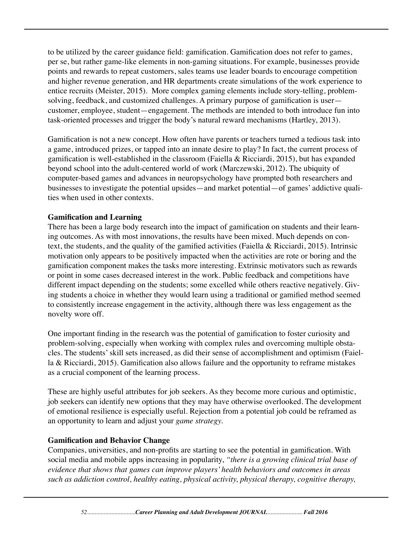to be utilized by the career guidance field: gamification. Gamification does not refer to games, per se, but rather game-like elements in non-gaming situations. For example, businesses provide points and rewards to repeat customers, sales teams use leader boards to encourage competition and higher revenue generation, and HR departments create simulations of the work experience to entice recruits (Meister, 2015). More complex gaming elements include story-telling, problemsolving, feedback, and customized challenges. A primary purpose of gamification is user customer, employee, student—engagement. The methods are intended to both introduce fun into task-oriented processes and trigger the body's natural reward mechanisms (Hartley, 2013).

Gamification is not a new concept. How often have parents or teachers turned a tedious task into a game, introduced prizes, or tapped into an innate desire to play? In fact, the current process of gamification is well-established in the classroom (Faiella & Ricciardi, 2015), but has expanded beyond school into the adult-centered world of work (Marczewski, 2012). The ubiquity of computer-based games and advances in neuropsychology have prompted both researchers and businesses to investigate the potential upsides—and market potential—of games' addictive qualities when used in other contexts.

#### **Gamification and Learning**

There has been a large body research into the impact of gamification on students and their learning outcomes. As with most innovations, the results have been mixed. Much depends on context, the students, and the quality of the gamified activities (Faiella & Ricciardi, 2015). Intrinsic motivation only appears to be positively impacted when the activities are rote or boring and the gamification component makes the tasks more interesting. Extrinsic motivators such as rewards or point in some cases decreased interest in the work. Public feedback and competitions have different impact depending on the students; some excelled while others reactive negatively. Giving students a choice in whether they would learn using a traditional or gamified method seemed to consistently increase engagement in the activity, although there was less engagement as the novelty wore off.

One important finding in the research was the potential of gamification to foster curiosity and problem-solving, especially when working with complex rules and overcoming multiple obstacles. The students' skill sets increased, as did their sense of accomplishment and optimism (Faiella & Ricciardi, 2015). Gamification also allows failure and the opportunity to reframe mistakes as a crucial component of the learning process.

These are highly useful attributes for job seekers. As they become more curious and optimistic, job seekers can identify new options that they may have otherwise overlooked. The development of emotional resilience is especially useful. Rejection from a potential job could be reframed as an opportunity to learn and adjust your *game strategy.*

#### **Gamification and Behavior Change**

Companies, universities, and non-profits are starting to see the potential in gamification. With social media and mobile apps increasing in popularity, *"there is a growing clinical trial base of evidence that shows that games can improve players' health behaviors and outcomes in areas such as addiction control, healthy eating, physical activity, physical therapy, cognitive therapy,*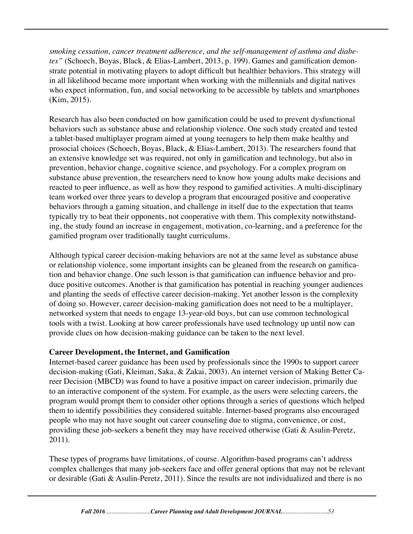*smoking cessation, cancer treatment adherence, and the self-management of asthma and diabetes"* (Schoech, Boyas, Black, & Elias-Lambert, 2013, p. 199). Games and gamification demonstrate potential in motivating players to adopt difficult but healthier behaviors. This strategy will in all likelihood became more important when working with the millennials and digital natives who expect information, fun, and social networking to be accessible by tablets and smartphones (Kim, 2015).

Research has also been conducted on how gamification could be used to prevent dysfunctional behaviors such as substance abuse and relationship violence. One such study created and tested a tablet-based multiplayer program aimed at young teenagers to help them make healthy and prosocial choices (Schoech, Boyas, Black, & Elias-Lambert, 2013). The researchers found that an extensive knowledge set was required, not only in gamification and technology, but also in prevention, behavior change, cognitive science, and psychology. For a complex program on substance abuse prevention, the researchers need to know how young adults make decisions and reacted to peer influence, as well as how they respond to gamified activities. A multi-disciplinary team worked over three years to develop a program that encouraged positive and cooperative behaviors through a gaming situation, and challenge in itself due to the expectation that teams typically try to beat their opponents, not cooperative with them. This complexity notwithstanding, the study found an increase in engagement, motivation, co-learning, and a preference for the gamified program over traditionally taught curriculums.

Although typical career decision-making behaviors are not at the same level as substance abuse or relationship violence, some important insights can be gleaned from the research on gamification and behavior change. One such lesson is that gamification can influence behavior and produce positive outcomes. Another is that gamification has potential in reaching younger audiences and planting the seeds of effective career decision-making. Yet another lesson is the complexity of doing so. However, career decision-making gamification does not need to be a multiplayer, networked system that needs to engage 13-year-old boys, but can use common technological tools with a twist. Looking at how career professionals have used technology up until now can provide clues on how decision-making guidance can be taken to the next level.

#### **Career Development, the Internet, and Gamification**

Internet-based career guidance has been used by professionals since the 1990s to support career decision-making (Gati, Kleiman, Saka, & Zakai, 2003). An internet version of Making Better Career Decision (MBCD) was found to have a positive impact on career indecision, primarily due to an interactive component of the system. For example, as the users were selecting careers, the program would prompt them to consider other options through a series of questions which helped them to identify possibilities they considered suitable. Internet-based programs also encouraged people who may not have sought out career counseling due to stigma, convenience, or cost, providing these job-seekers a benefit they may have received otherwise (Gati & Asulin-Peretz, 2011).

These types of programs have limitations, of course. Algorithm-based programs can't address complex challenges that many job-seekers face and offer general options that may not be relevant or desirable (Gati & Asulin-Peretz, 2011). Since the results are not individualized and there is no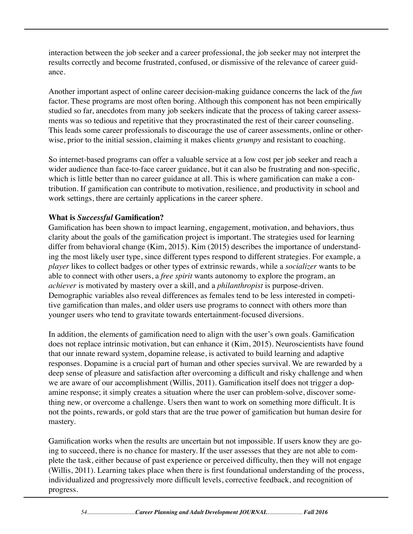interaction between the job seeker and a career professional, the job seeker may not interpret the results correctly and become frustrated, confused, or dismissive of the relevance of career guidance.

Another important aspect of online career decision-making guidance concerns the lack of the *fun* factor. These programs are most often boring. Although this component has not been empirically studied so far, anecdotes from many job seekers indicate that the process of taking career assessments was so tedious and repetitive that they procrastinated the rest of their career counseling. This leads some career professionals to discourage the use of career assessments, online or otherwise, prior to the initial session, claiming it makes client*s grumpy* and resistant to coaching.

So internet-based programs can offer a valuable service at a low cost per job seeker and reach a wider audience than face-to-face career guidance, but it can also be frustrating and non-specific, which is little better than no career guidance at all. This is where gamification can make a contribution. If gamification can contribute to motivation, resilience, and productivity in school and work settings, there are certainly applications in the career sphere.

### **What is** *Successful* **Gamification?**

Gamification has been shown to impact learning, engagement, motivation, and behaviors, thus clarity about the goals of the gamification project is important. The strategies used for learning differ from behavioral change (Kim, 2015). Kim (2015) describes the importance of understanding the most likely user type, since different types respond to different strategies. For example, a *player* likes to collect badges or other types of extrinsic rewards, while a *socializer* wants to be able to connect with other users, a *free spirit* wants autonomy to explore the program, an *achiever* is motivated by mastery over a skill, and a *philanthropist* is purpose-driven. Demographic variables also reveal differences as females tend to be less interested in competitive gamification than males, and older users use programs to connect with others more than younger users who tend to gravitate towards entertainment-focused diversions.

In addition, the elements of gamification need to align with the user's own goals. Gamification does not replace intrinsic motivation, but can enhance it (Kim, 2015). Neuroscientists have found that our innate reward system, dopamine release, is activated to build learning and adaptive responses. Dopamine is a crucial part of human and other species survival. We are rewarded by a deep sense of pleasure and satisfaction after overcoming a difficult and risky challenge and when we are aware of our accomplishment (Willis, 2011). Gamification itself does not trigger a dopamine response; it simply creates a situation where the user can problem-solve, discover something new, or overcome a challenge. Users then want to work on something more difficult. It is not the points, rewards, or gold stars that are the true power of gamification but human desire for mastery.

Gamification works when the results are uncertain but not impossible. If users know they are going to succeed, there is no chance for mastery. If the user assesses that they are not able to complete the task, either because of past experience or perceived difficulty, then they will not engage (Willis, 2011). Learning takes place when there is first foundational understanding of the process, individualized and progressively more difficult levels, corrective feedback, and recognition of progress.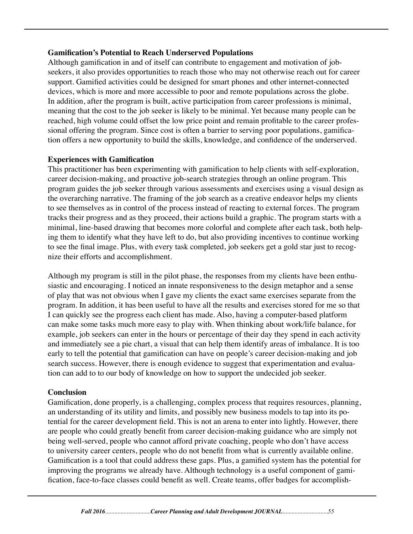#### **Gamification's Potential to Reach Underserved Populations**

Although gamification in and of itself can contribute to engagement and motivation of jobseekers, it also provides opportunities to reach those who may not otherwise reach out for career support. Gamified activities could be designed for smart phones and other internet-connected devices, which is more and more accessible to poor and remote populations across the globe. In addition, after the program is built, active participation from career professions is minimal, meaning that the cost to the job seeker is likely to be minimal. Yet because many people can be reached, high volume could offset the low price point and remain profitable to the career professional offering the program. Since cost is often a barrier to serving poor populations, gamification offers a new opportunity to build the skills, knowledge, and confidence of the underserved.

#### **Experiences with Gamification**

This practitioner has been experimenting with gamification to help clients with self-exploration, career decision-making, and proactive job-search strategies through an online program. This program guides the job seeker through various assessments and exercises using a visual design as the overarching narrative. The framing of the job search as a creative endeavor helps my clients to see themselves as in control of the process instead of reacting to external forces. The program tracks their progress and as they proceed, their actions build a graphic. The program starts with a minimal, line-based drawing that becomes more colorful and complete after each task, both helping them to identify what they have left to do, but also providing incentives to continue working to see the final image. Plus, with every task completed, job seekers get a gold star just to recognize their efforts and accomplishment.

Although my program is still in the pilot phase, the responses from my clients have been enthusiastic and encouraging. I noticed an innate responsiveness to the design metaphor and a sense of play that was not obvious when I gave my clients the exact same exercises separate from the program. In addition, it has been useful to have all the results and exercises stored for me so that I can quickly see the progress each client has made. Also, having a computer-based platform can make some tasks much more easy to play with. When thinking about work/life balance, for example, job seekers can enter in the hours or percentage of their day they spend in each activity and immediately see a pie chart, a visual that can help them identify areas of imbalance. It is too early to tell the potential that gamification can have on people's career decision-making and job search success. However, there is enough evidence to suggest that experimentation and evaluation can add to to our body of knowledge on how to support the undecided job seeker.

#### **Conclusion**

Gamification, done properly, is a challenging, complex process that requires resources, planning, an understanding of its utility and limits, and possibly new business models to tap into its potential for the career development field. This is not an arena to enter into lightly. However, there are people who could greatly benefit from career decision-making guidance who are simply not being well-served, people who cannot afford private coaching, people who don't have access to university career centers, people who do not benefit from what is currently available online. Gamification is a tool that could address these gaps. Plus, a gamified system has the potential for improving the programs we already have. Although technology is a useful component of gamification, face-to-face classes could benefit as well. Create teams, offer badges for accomplish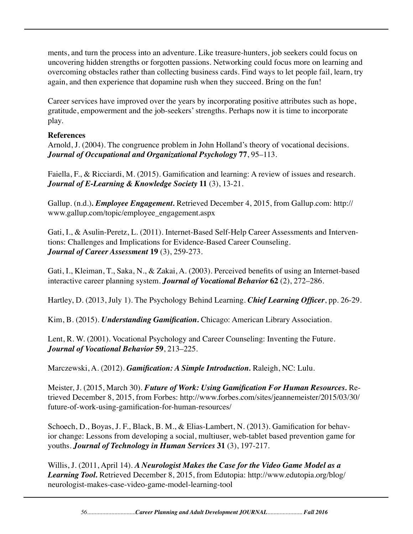ments, and turn the process into an adventure. Like treasure-hunters, job seekers could focus on uncovering hidden strengths or forgotten passions. Networking could focus more on learning and overcoming obstacles rather than collecting business cards. Find ways to let people fail, learn, try again, and then experience that dopamine rush when they succeed. Bring on the fun!

Career services have improved over the years by incorporating positive attributes such as hope, gratitude, empowerment and the job-seekers' strengths. Perhaps now it is time to incorporate play.

#### **References**

Arnold, J. (2004). The congruence problem in John Holland's theory of vocational decisions. *Journal of Occupational and Organizational Psychology* **77**, 95–113.

Faiella, F., & Ricciardi, M. (2015). Gamification and learning: A review of issues and research. *Journal of E-Learning & Knowledge Society* **11** (3), 13-21.

Gallup. (n.d.)*. Employee Engagement.* Retrieved December 4, 2015, from Gallup.com: http:// www.gallup.com/topic/employee\_engagement.aspx

Gati, I., & Asulin-Peretz, L. (2011). Internet-Based Self-Help Career Assessments and Interventions: Challenges and Implications for Evidence-Based Career Counseling. *Journal of Career Assessment* **19** (3), 259-273.

Gati, I., Kleiman, T., Saka, N., & Zakai, A. (2003). Perceived benefits of using an Internet-based interactive career planning system. *Journal of Vocational Behavior* **62** (2), 272–286.

Hartley, D. (2013, July 1). The Psychology Behind Learning. *Chief Learning Officer*, pp. 26-29.

Kim, B. (2015). *Understanding Gamification.* Chicago: American Library Association.

Lent, R. W. (2001). Vocational Psychology and Career Counseling: Inventing the Future. *Journal of Vocational Behavior* **59**, 213–225.

Marczewski, A. (2012). *Gamification: A Simple Introduction.* Raleigh, NC: Lulu.

Meister, J. (2015, March 30). *Future of Work: Using Gamification For Human Resources.* Retrieved December 8, 2015, from Forbes: http://www.forbes.com/sites/jeannemeister/2015/03/30/ future-of-work-using-gamification-for-human-resources/

Schoech, D., Boyas, J. F., Black, B. M., & Elias-Lambert, N. (2013). Gamification for behavior change: Lessons from developing a social, multiuser, web-tablet based prevention game for youths. *Journal of Technology in Human Services* **31** (3), 197-217.

Willis, J. (2011, April 14). *A Neurologist Makes the Case for the Video Game Model as a Learning Tool.* Retrieved December 8, 2015, from Edutopia: http://www.edutopia.org/blog/ neurologist-makes-case-video-game-model-learning-tool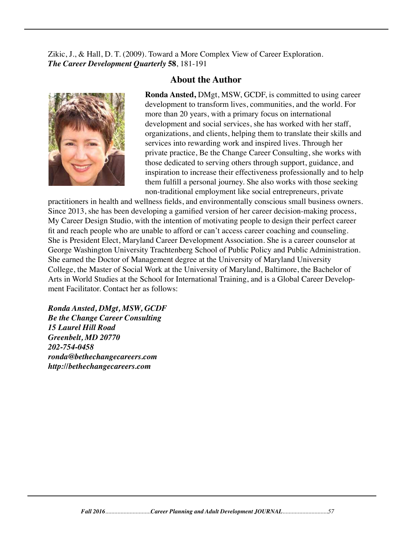Zikic, J., & Hall, D. T. (2009). Toward a More Complex View of Career Exploration. *The Career Development Quarterly* **58**, 181-191



#### **About the Author**

**Ronda Ansted,** DMgt, MSW, GCDF, is committed to using career development to transform lives, communities, and the world. For more than 20 years, with a primary focus on international development and social services, she has worked with her staff, organizations, and clients, helping them to translate their skills and services into rewarding work and inspired lives. Through her private practice, Be the Change Career Consulting, she works with those dedicated to serving others through support, guidance, and inspiration to increase their effectiveness professionally and to help them fulfill a personal journey. She also works with those seeking non-traditional employment like social entrepreneurs, private

practitioners in health and wellness fields, and environmentally conscious small business owners. Since 2013, she has been developing a gamified version of her career decision-making process, My Career Design Studio, with the intention of motivating people to design their perfect career fit and reach people who are unable to afford or can't access career coaching and counseling. She is President Elect, Maryland Career Development Association. She is a career counselor at George Washington University Trachtenberg School of Public Policy and Public Administration. She earned the Doctor of Management degree at the University of Maryland University College, the Master of Social Work at the University of Maryland, Baltimore, the Bachelor of Arts in World Studies at the School for International Training, and is a Global Career Development Facilitator. Contact her as follows:

*Ronda Ansted, DMgt, MSW, GCDF Be the Change Career Consulting 15 Laurel Hill Road Greenbelt, MD 20770 202-754-0458 ronda@bethechangecareers.com http://bethechangecareers.com*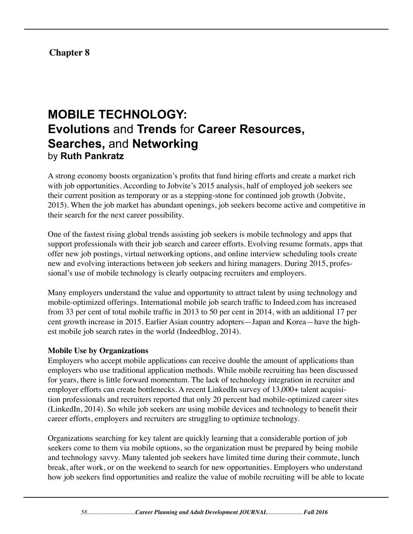# **Chapter 8**

# **MOBILE TECHNOLOGY: Evolutions** and **Trends** for **Career Resources, Searches,** and **Networking** by **Ruth Pankratz**

A strong economy boosts organization's profits that fund hiring efforts and create a market rich with job opportunities. According to Jobvite's 2015 analysis, half of employed job seekers see their current position as temporary or as a stepping-stone for continued job growth (Jobvite, 2015). When the job market has abundant openings, job seekers become active and competitive in their search for the next career possibility.

One of the fastest rising global trends assisting job seekers is mobile technology and apps that support professionals with their job search and career efforts. Evolving resume formats, apps that offer new job postings, virtual networking options, and online interview scheduling tools create new and evolving interactions between job seekers and hiring managers. During 2015, professional's use of mobile technology is clearly outpacing recruiters and employers.

Many employers understand the value and opportunity to attract talent by using technology and mobile-optimized offerings. International mobile job search traffic to Indeed.com has increased from 33 per cent of total mobile traffic in 2013 to 50 per cent in 2014, with an additional 17 per cent growth increase in 2015. Earlier Asian country adopters—Japan and Korea—have the highest mobile job search rates in the world (Indeedblog, 2014).

#### **Mobile Use by Organizations**

Employers who accept mobile applications can receive double the amount of applications than employers who use traditional application methods. While mobile recruiting has been discussed for years, there is little forward momentum. The lack of technology integration in recruiter and employer efforts can create bottlenecks. A recent LinkedIn survey of 13,000+ talent acquisition professionals and recruiters reported that only 20 percent had mobile-optimized career sites (LinkedIn, 2014). So while job seekers are using mobile devices and technology to benefit their career efforts, employers and recruiters are struggling to optimize technology.

Organizations searching for key talent are quickly learning that a considerable portion of job seekers come to them via mobile options, so the organization must be prepared by being mobile and technology savvy. Many talented job seekers have limited time during their commute, lunch break, after work, or on the weekend to search for new opportunities. Employers who understand how job seekers find opportunities and realize the value of mobile recruiting will be able to locate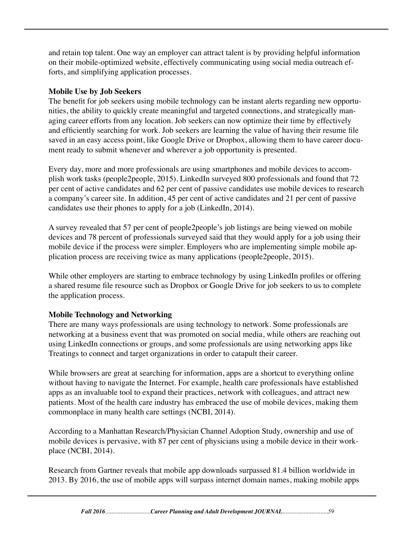and retain top talent. One way an employer can attract talent is by providing helpful information on their mobile-optimized website, effectively communicating using social media outreach efforts, and simplifying application processes.

## **Mobile Use by Job Seekers**

The benefit for job seekers using mobile technology can be instant alerts regarding new opportunities, the ability to quickly create meaningful and targeted connections, and strategically managing career efforts from any location. Job seekers can now optimize their time by effectively and efficiently searching for work. Job seekers are learning the value of having their resume file saved in an easy access point, like Google Drive or Dropbox, allowing them to have career document ready to submit whenever and wherever a job opportunity is presented.

Every day, more and more professionals are using smartphones and mobile devices to accomplish work tasks (people2people, 2015). LinkedIn surveyed 800 professionals and found that 72 per cent of active candidates and 62 per cent of passive candidates use mobile devices to research a company's career site. In addition, 45 per cent of active candidates and 21 per cent of passive candidates use their phones to apply for a job (LinkedIn, 2014).

A survey revealed that 57 per cent of people2people's job listings are being viewed on mobile devices and 78 percent of professionals surveyed said that they would apply for a job using their mobile device if the process were simpler. Employers who are implementing simple mobile application process are receiving twice as many applications (people2people, 2015).

While other employers are starting to embrace technology by using LinkedIn profiles or offering a shared resume file resource such as Dropbox or Google Drive for job seekers to us to complete the application process.

# **Mobile Technology and Networking**

There are many ways professionals are using technology to network. Some professionals are networking at a business event that was promoted on social media, while others are reaching out using LinkedIn connections or groups, and some professionals are using networking apps like Treatings to connect and target organizations in order to catapult their career.

While browsers are great at searching for information, apps are a shortcut to everything online without having to navigate the Internet. For example, health care professionals have established apps as an invaluable tool to expand their practices, network with colleagues, and attract new patients. Most of the health care industry has embraced the use of mobile devices, making them commonplace in many health care settings (NCBI, 2014).

According to a Manhattan Research/Physician Channel Adoption Study, ownership and use of mobile devices is pervasive, with 87 per cent of physicians using a mobile device in their workplace (NCBI, 2014).

Research from Gartner reveals that mobile app downloads surpassed 81.4 billion worldwide in 2013. By 2016, the use of mobile apps will surpass internet domain names, making mobile apps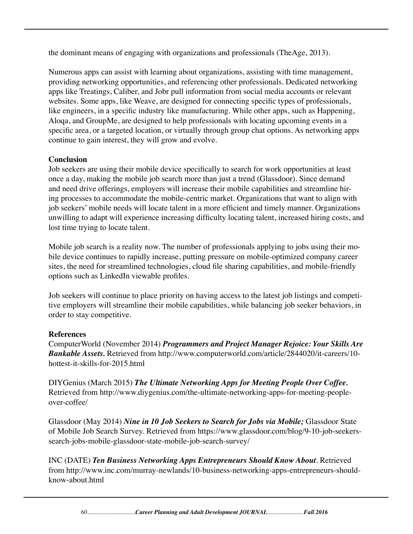the dominant means of engaging with organizations and professionals (TheAge, 2013).

Numerous apps can assist with learning about organizations, assisting with time management, providing networking opportunities, and referencing other professionals. Dedicated networking apps like Treatings, Caliber, and Jobr pull information from social media accounts or relevant websites. Some apps, like Weave, are designed for connecting specific types of professionals, like engineers, in a specific industry like manufacturing. While other apps, such as Happening, Aloqa, and GroupMe, are designed to help professionals with locating upcoming events in a specific area, or a targeted location, or virtually through group chat options. As networking apps continue to gain interest, they will grow and evolve.

#### **Conclusion**

Job seekers are using their mobile device specifically to search for work opportunities at least once a day, making the mobile job search more than just a trend (Glassdoor). Since demand and need drive offerings, employers will increase their mobile capabilities and streamline hiring processes to accommodate the mobile-centric market. Organizations that want to align with job seekers' mobile needs will locate talent in a more efficient and timely manner. Organizations unwilling to adapt will experience increasing difficulty locating talent, increased hiring costs, and lost time trying to locate talent.

Mobile job search is a reality now. The number of professionals applying to jobs using their mobile device continues to rapidly increase, putting pressure on mobile-optimized company career sites, the need for streamlined technologies, cloud file sharing capabilities, and mobile-friendly options such as LinkedIn viewable profiles.

Job seekers will continue to place priority on having access to the latest job listings and competitive employers will streamline their mobile capabilities, while balancing job seeker behaviors, in order to stay competitive.

#### **References**

ComputerWorld (November 2014) *Programmers and Project Manager Rejoice: Your Skills Are Bankable Assets.* Retrieved from http://www.computerworld.com/article/2844020/it-careers/10 hottest-it-skills-for-2015.html

DIYGenius (March 2015) *The Ultimate Networking Apps for Meeting People Over Coffee.* Retrieved from http://www.diygenius.com/the-ultimate-networking-apps-for-meeting-peopleover-coffee/

Glassdoor (May 2014) *Nine in 10 Job Seekers to Search for Jobs via Mobile;* Glassdoor State of Mobile Job Search Survey. Retrieved from https://www.glassdoor.com/blog/9-10-job-seekerssearch-jobs-mobile-glassdoor-state-mobile-job-search-survey/

INC (DATE) *Ten Business Networking Apps Entrepreneurs Should Know About*. Retrieved from http://www.inc.com/murray-newlands/10-business-networking-apps-entrepreneurs-shouldknow-about.html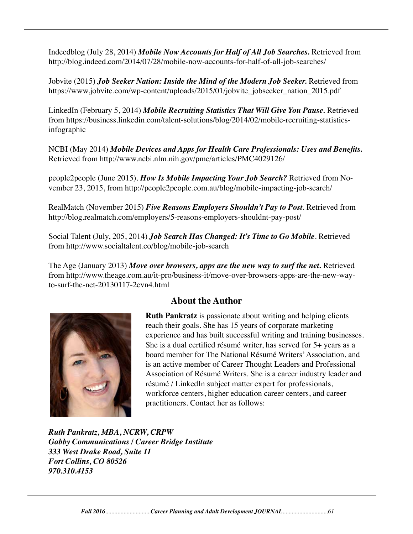Indeedblog (July 28, 2014) *Mobile Now Accounts for Half of All Job Searches.* Retrieved from http://blog.indeed.com/2014/07/28/mobile-now-accounts-for-half-of-all-job-searches/

Jobvite (2015) *Job Seeker Nation: Inside the Mind of the Modern Job Seeker.* Retrieved from https://www.jobvite.com/wp-content/uploads/2015/01/jobvite\_jobseeker\_nation\_2015.pdf

LinkedIn (February 5, 2014) *Mobile Recruiting Statistics That Will Give You Pause.* Retrieved from https://business.linkedin.com/talent-solutions/blog/2014/02/mobile-recruiting-statisticsinfographic

NCBI (May 2014) *Mobile Devices and Apps for Health Care Professionals: Uses and Benefits.* Retrieved from http://www.ncbi.nlm.nih.gov/pmc/articles/PMC4029126/

people2people (June 2015). *How Is Mobile Impacting Your Job Search?* Retrieved from November 23, 2015, from http://people2people.com.au/blog/mobile-impacting-job-search/

RealMatch (November 2015) *Five Reasons Employers Shouldn't Pay to Post*. Retrieved from http://blog.realmatch.com/employers/5-reasons-employers-shouldnt-pay-post/

Social Talent (July, 205, 2014) *Job Search Has Changed: It's Time to Go Mobile*. Retrieved from http://www.socialtalent.co/blog/mobile-job-search

The Age (January 2013) Move over browsers, apps are the new way to surf the net. Retrieved from http://www.theage.com.au/it-pro/business-it/move-over-browsers-apps-are-the-new-wayto-surf-the-net-20130117-2cvn4.html



# **About the Author**

**Ruth Pankratz** is passionate about writing and helping clients reach their goals. She has 15 years of corporate marketing experience and has built successful writing and training businesses. She is a dual certified résumé writer, has served for 5+ years as a board member for The National Résumé Writers' Association, and is an active member of Career Thought Leaders and Professional Association of Résumé Writers. She is a career industry leader and résumé / LinkedIn subject matter expert for professionals, workforce centers, higher education career centers, and career practitioners. Contact her as follows:

*Ruth Pankratz, MBA, NCRW, CRPW Gabby Communications / Career Bridge Institute 333 West Drake Road, Suite 11 Fort Collins, CO 80526 970.310.4153*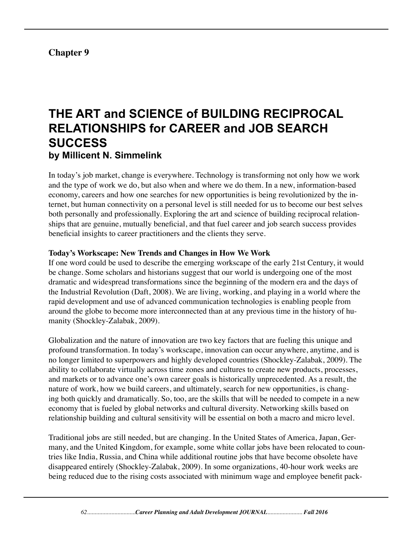# **Chapter 9**

# **THE ART and SCIENCE of BUILDING RECIPROCAL RELATIONSHIPS for CAREER and JOB SEARCH SUCCESS by Millicent N. Simmelink**

In today's job market, change is everywhere. Technology is transforming not only how we work and the type of work we do, but also when and where we do them. In a new, information-based economy, careers and how one searches for new opportunities is being revolutionized by the internet, but human connectivity on a personal level is still needed for us to become our best selves both personally and professionally. Exploring the art and science of building reciprocal relationships that are genuine, mutually beneficial, and that fuel career and job search success provides beneficial insights to career practitioners and the clients they serve.

#### **Today's Workscape: New Trends and Changes in How We Work**

If one word could be used to describe the emerging workscape of the early 21st Century, it would be change. Some scholars and historians suggest that our world is undergoing one of the most dramatic and widespread transformations since the beginning of the modern era and the days of the Industrial Revolution (Daft, 2008). We are living, working, and playing in a world where the rapid development and use of advanced communication technologies is enabling people from around the globe to become more interconnected than at any previous time in the history of humanity (Shockley-Zalabak, 2009).

Globalization and the nature of innovation are two key factors that are fueling this unique and profound transformation. In today's workscape, innovation can occur anywhere, anytime, and is no longer limited to superpowers and highly developed countries (Shockley-Zalabak, 2009). The ability to collaborate virtually across time zones and cultures to create new products, processes, and markets or to advance one's own career goals is historically unprecedented. As a result, the nature of work, how we build careers, and ultimately, search for new opportunities, is changing both quickly and dramatically. So, too, are the skills that will be needed to compete in a new economy that is fueled by global networks and cultural diversity. Networking skills based on relationship building and cultural sensitivity will be essential on both a macro and micro level.

Traditional jobs are still needed, but are changing. In the United States of America, Japan, Germany, and the United Kingdom, for example, some white collar jobs have been relocated to countries like India, Russia, and China while additional routine jobs that have become obsolete have disappeared entirely (Shockley-Zalabak, 2009). In some organizations, 40-hour work weeks are being reduced due to the rising costs associated with minimum wage and employee benefit pack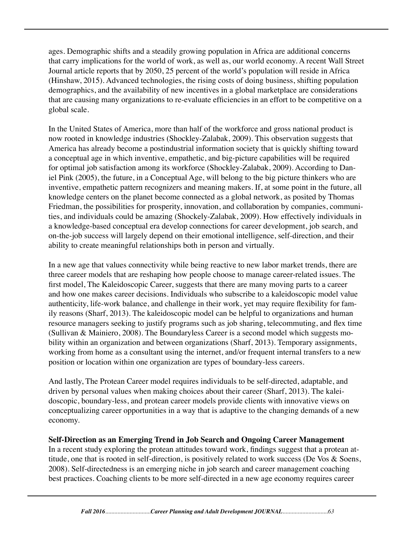ages. Demographic shifts and a steadily growing population in Africa are additional concerns that carry implications for the world of work, as well as, our world economy. A recent Wall Street Journal article reports that by 2050, 25 percent of the world's population will reside in Africa (Hinshaw, 2015). Advanced technologies, the rising costs of doing business, shifting population demographics, and the availability of new incentives in a global marketplace are considerations that are causing many organizations to re-evaluate efficiencies in an effort to be competitive on a global scale.

In the United States of America, more than half of the workforce and gross national product is now rooted in knowledge industries (Shockley-Zalabak, 2009). This observation suggests that America has already become a postindustrial information society that is quickly shifting toward a conceptual age in which inventive, empathetic, and big-picture capabilities will be required for optimal job satisfaction among its workforce (Shockley-Zalabak, 2009). According to Daniel Pink (2005), the future, in a Conceptual Age, will belong to the big picture thinkers who are inventive, empathetic pattern recognizers and meaning makers. If, at some point in the future, all knowledge centers on the planet become connected as a global network, as posited by Thomas Friedman, the possibilities for prosperity, innovation, and collaboration by companies, communities, and individuals could be amazing (Shockely-Zalabak, 2009). How effectively individuals in a knowledge-based conceptual era develop connections for career development, job search, and on-the-job success will largely depend on their emotional intelligence, self-direction, and their ability to create meaningful relationships both in person and virtually.

In a new age that values connectivity while being reactive to new labor market trends, there are three career models that are reshaping how people choose to manage career-related issues. The first model, The Kaleidoscopic Career, suggests that there are many moving parts to a career and how one makes career decisions. Individuals who subscribe to a kaleidoscopic model value authenticity, life-work balance, and challenge in their work, yet may require flexibility for family reasons (Sharf, 2013). The kaleidoscopic model can be helpful to organizations and human resource managers seeking to justify programs such as job sharing, telecommuting, and flex time (Sullivan & Mainiero, 2008). The Boundaryless Career is a second model which suggests mobility within an organization and between organizations (Sharf, 2013). Temporary assignments, working from home as a consultant using the internet, and/or frequent internal transfers to a new position or location within one organization are types of boundary-less careers.

And lastly, The Protean Career model requires individuals to be self-directed, adaptable, and driven by personal values when making choices about their career (Sharf, 2013). The kaleidoscopic, boundary-less, and protean career models provide clients with innovative views on conceptualizing career opportunities in a way that is adaptive to the changing demands of a new economy.

#### **Self-Direction as an Emerging Trend in Job Search and Ongoing Career Management**

In a recent study exploring the protean attitudes toward work, findings suggest that a protean attitude, one that is rooted in self-direction, is positively related to work success (De Vos & Soens, 2008). Self-directedness is an emerging niche in job search and career management coaching best practices. Coaching clients to be more self-directed in a new age economy requires career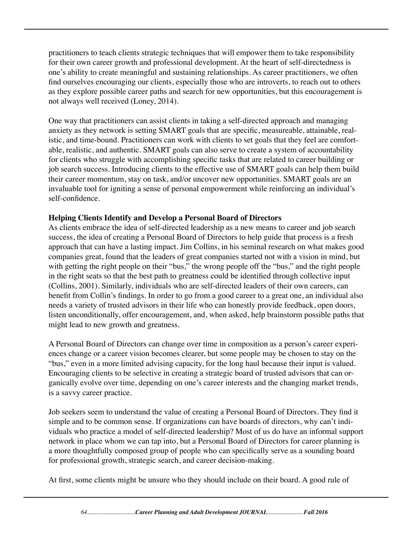practitioners to teach clients strategic techniques that will empower them to take responsibility for their own career growth and professional development. At the heart of self-directedness is one's ability to create meaningful and sustaining relationships. As career practitioners, we often find ourselves encouraging our clients, especially those who are introverts, to reach out to others as they explore possible career paths and search for new opportunities, but this encouragement is not always well received (Loney, 2014).

One way that practitioners can assist clients in taking a self-directed approach and managing anxiety as they network is setting SMART goals that are specific, measureable, attainable, realistic, and time-bound. Practitioners can work with clients to set goals that they feel are comfortable, realistic, and authentic. SMART goals can also serve to create a system of accountability for clients who struggle with accomplishing specific tasks that are related to career building or job search success. Introducing clients to the effective use of SMART goals can help them build their career momentum, stay on task, and/or uncover new opportunities. SMART goals are an invaluable tool for igniting a sense of personal empowerment while reinforcing an individual's self-confidence.

### **Helping Clients Identify and Develop a Personal Board of Directors**

As clients embrace the idea of self-directed leadership as a new means to career and job search success, the idea of creating a Personal Board of Directors to help guide that process is a fresh approach that can have a lasting impact. Jim Collins, in his seminal research on what makes good companies great, found that the leaders of great companies started not with a vision in mind, but with getting the right people on their "bus," the wrong people off the "bus," and the right people in the right seats so that the best path to greatness could be identified through collective input (Collins, 2001). Similarly, individuals who are self-directed leaders of their own careers, can benefit from Collin's findings. In order to go from a good career to a great one, an individual also needs a variety of trusted advisors in their life who can honestly provide feedback, open doors, listen unconditionally, offer encouragement, and, when asked, help brainstorm possible paths that might lead to new growth and greatness.

A Personal Board of Directors can change over time in composition as a person's career experiences change or a career vision becomes clearer, but some people may be chosen to stay on the "bus," even in a more limited advising capacity, for the long haul because their input is valued. Encouraging clients to be selective in creating a strategic board of trusted advisors that can organically evolve over time, depending on one's career interests and the changing market trends, is a savvy career practice.

Job seekers seem to understand the value of creating a Personal Board of Directors. They find it simple and to be common sense. If organizations can have boards of directors, why can't individuals who practice a model of self-directed leadership? Most of us do have an informal support network in place whom we can tap into, but a Personal Board of Directors for career planning is a more thoughtfully composed group of people who can specifically serve as a sounding board for professional growth, strategic search, and career decision-making.

At first, some clients might be unsure who they should include on their board. A good rule of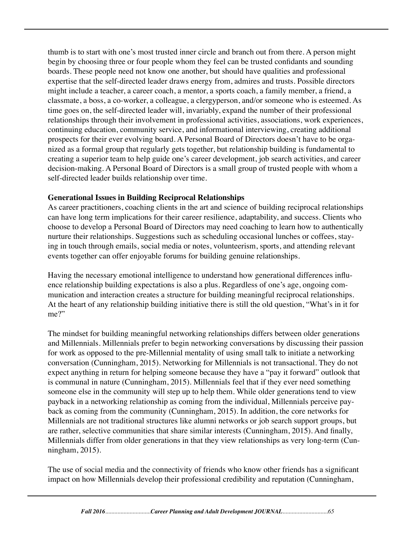thumb is to start with one's most trusted inner circle and branch out from there. A person might begin by choosing three or four people whom they feel can be trusted confidants and sounding boards. These people need not know one another, but should have qualities and professional expertise that the self-directed leader draws energy from, admires and trusts. Possible directors might include a teacher, a career coach, a mentor, a sports coach, a family member, a friend, a classmate, a boss, a co-worker, a colleague, a clergyperson, and/or someone who is esteemed. As time goes on, the self-directed leader will, invariably, expand the number of their professional relationships through their involvement in professional activities, associations, work experiences, continuing education, community service, and informational interviewing, creating additional prospects for their ever evolving board. A Personal Board of Directors doesn't have to be organized as a formal group that regularly gets together, but relationship building is fundamental to creating a superior team to help guide one's career development, job search activities, and career decision-making. A Personal Board of Directors is a small group of trusted people with whom a self-directed leader builds relationship over time.

### **Generational Issues in Building Reciprocal Relationships**

As career practitioners, coaching clients in the art and science of building reciprocal relationships can have long term implications for their career resilience, adaptability, and success. Clients who choose to develop a Personal Board of Directors may need coaching to learn how to authentically nurture their relationships. Suggestions such as scheduling occasional lunches or coffees, staying in touch through emails, social media or notes, volunteerism, sports, and attending relevant events together can offer enjoyable forums for building genuine relationships.

Having the necessary emotional intelligence to understand how generational differences influence relationship building expectations is also a plus. Regardless of one's age, ongoing communication and interaction creates a structure for building meaningful reciprocal relationships. At the heart of any relationship building initiative there is still the old question, "What's in it for me?"

The mindset for building meaningful networking relationships differs between older generations and Millennials. Millennials prefer to begin networking conversations by discussing their passion for work as opposed to the pre-Millennial mentality of using small talk to initiate a networking conversation (Cunningham, 2015). Networking for Millennials is not transactional. They do not expect anything in return for helping someone because they have a "pay it forward" outlook that is communal in nature (Cunningham, 2015). Millennials feel that if they ever need something someone else in the community will step up to help them. While older generations tend to view payback in a networking relationship as coming from the individual, Millennials perceive payback as coming from the community (Cunningham, 2015). In addition, the core networks for Millennials are not traditional structures like alumni networks or job search support groups, but are rather, selective communities that share similar interests (Cunningham, 2015). And finally, Millennials differ from older generations in that they view relationships as very long-term (Cunningham, 2015).

The use of social media and the connectivity of friends who know other friends has a significant impact on how Millennials develop their professional credibility and reputation (Cunningham,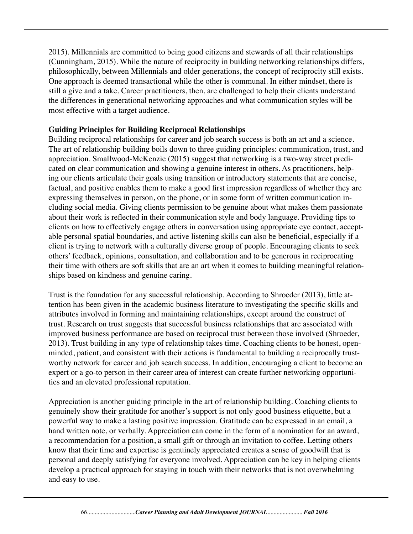2015). Millennials are committed to being good citizens and stewards of all their relationships (Cunningham, 2015). While the nature of reciprocity in building networking relationships differs, philosophically, between Millennials and older generations, the concept of reciprocity still exists. One approach is deemed transactional while the other is communal. In either mindset, there is still a give and a take. Career practitioners, then, are challenged to help their clients understand the differences in generational networking approaches and what communication styles will be most effective with a target audience.

## **Guiding Principles for Building Reciprocal Relationships**

Building reciprocal relationships for career and job search success is both an art and a science. The art of relationship building boils down to three guiding principles: communication, trust, and appreciation. Smallwood-McKenzie (2015) suggest that networking is a two-way street predicated on clear communication and showing a genuine interest in others. As practitioners, helping our clients articulate their goals using transition or introductory statements that are concise, factual, and positive enables them to make a good first impression regardless of whether they are expressing themselves in person, on the phone, or in some form of written communication including social media. Giving clients permission to be genuine about what makes them passionate about their work is reflected in their communication style and body language. Providing tips to clients on how to effectively engage others in conversation using appropriate eye contact, acceptable personal spatial boundaries, and active listening skills can also be beneficial, especially if a client is trying to network with a culturally diverse group of people. Encouraging clients to seek others' feedback, opinions, consultation, and collaboration and to be generous in reciprocating their time with others are soft skills that are an art when it comes to building meaningful relationships based on kindness and genuine caring.

Trust is the foundation for any successful relationship. According to Shroeder (2013), little attention has been given in the academic business literature to investigating the specific skills and attributes involved in forming and maintaining relationships, except around the construct of trust. Research on trust suggests that successful business relationships that are associated with improved business performance are based on reciprocal trust between those involved (Shroeder, 2013). Trust building in any type of relationship takes time. Coaching clients to be honest, openminded, patient, and consistent with their actions is fundamental to building a reciprocally trustworthy network for career and job search success. In addition, encouraging a client to become an expert or a go-to person in their career area of interest can create further networking opportunities and an elevated professional reputation.

Appreciation is another guiding principle in the art of relationship building. Coaching clients to genuinely show their gratitude for another's support is not only good business etiquette, but a powerful way to make a lasting positive impression. Gratitude can be expressed in an email, a hand written note, or verbally. Appreciation can come in the form of a nomination for an award, a recommendation for a position, a small gift or through an invitation to coffee. Letting others know that their time and expertise is genuinely appreciated creates a sense of goodwill that is personal and deeply satisfying for everyone involved. Appreciation can be key in helping clients develop a practical approach for staying in touch with their networks that is not overwhelming and easy to use.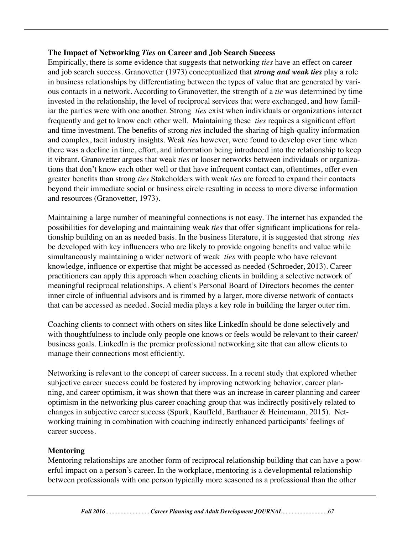#### **The Impact of Networking** *Ties* **on Career and Job Search Success**

Empirically, there is some evidence that suggests that networking *ties* have an effect on career and job search success. Granovetter (1973) conceptualized that *strong and weak ties* play a role in business relationships by differentiating between the types of value that are generated by various contacts in a network. According to Granovetter, the strength of a *tie* was determined by time invested in the relationship, the level of reciprocal services that were exchanged, and how familiar the parties were with one another. Strong *ties* exist when individuals or organizations interact frequently and get to know each other well. Maintaining these *ties* requires a significant effort and time investment. The benefits of strong *ties* included the sharing of high-quality information and complex, tacit industry insights. Weak *ties* however, were found to develop over time when there was a decline in time, effort, and information being introduced into the relationship to keep it vibrant. Granovetter argues that weak *ties* or looser networks between individuals or organizations that don't know each other well or that have infrequent contact can, oftentimes, offer even greater benefits than strong *ties* Stakeholders with weak *ties* are forced to expand their contacts beyond their immediate social or business circle resulting in access to more diverse information and resources (Granovetter, 1973).

Maintaining a large number of meaningful connections is not easy. The internet has expanded the possibilities for developing and maintaining weak *ties* that offer significant implications for relationship building on an as needed basis. In the business literature, it is suggested that strong *ties* be developed with key influencers who are likely to provide ongoing benefits and value while simultaneously maintaining a wider network of weak *ties* with people who have relevant knowledge, influence or expertise that might be accessed as needed (Schroeder, 2013). Career practitioners can apply this approach when coaching clients in building a selective network of meaningful reciprocal relationships. A client's Personal Board of Directors becomes the center inner circle of influential advisors and is rimmed by a larger, more diverse network of contacts that can be accessed as needed. Social media plays a key role in building the larger outer rim.

Coaching clients to connect with others on sites like LinkedIn should be done selectively and with thoughtfulness to include only people one knows or feels would be relevant to their career/ business goals. LinkedIn is the premier professional networking site that can allow clients to manage their connections most efficiently.

Networking is relevant to the concept of career success. In a recent study that explored whether subjective career success could be fostered by improving networking behavior, career planning, and career optimism, it was shown that there was an increase in career planning and career optimism in the networking plus career coaching group that was indirectly positively related to changes in subjective career success (Spurk, Kauffeld, Barthauer & Heinemann, 2015). Networking training in combination with coaching indirectly enhanced participants' feelings of career success.

#### **Mentoring**

Mentoring relationships are another form of reciprocal relationship building that can have a powerful impact on a person's career. In the workplace, mentoring is a developmental relationship between professionals with one person typically more seasoned as a professional than the other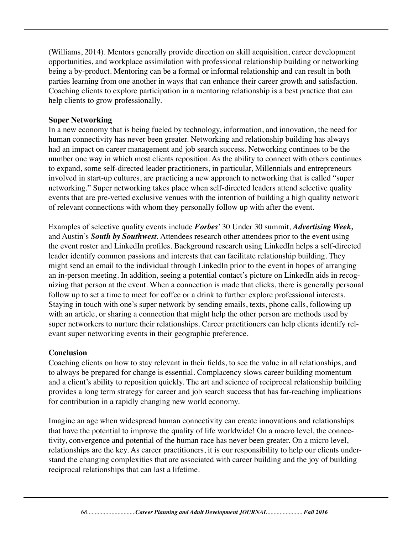(Williams, 2014). Mentors generally provide direction on skill acquisition, career development opportunities, and workplace assimilation with professional relationship building or networking being a by-product. Mentoring can be a formal or informal relationship and can result in both parties learning from one another in ways that can enhance their career growth and satisfaction. Coaching clients to explore participation in a mentoring relationship is a best practice that can help clients to grow professionally.

#### **Super Networking**

In a new economy that is being fueled by technology, information, and innovation, the need for human connectivity has never been greater. Networking and relationship building has always had an impact on career management and job search success. Networking continues to be the number one way in which most clients reposition. As the ability to connect with others continues to expand, some self-directed leader practitioners, in particular, Millennials and entrepreneurs involved in start-up cultures, are practicing a new approach to networking that is called "super networking." Super networking takes place when self-directed leaders attend selective quality events that are pre-vetted exclusive venues with the intention of building a high quality network of relevant connections with whom they personally follow up with after the event.

Examples of selective quality events include *Forbes*' 30 Under 30 summit, *Advertising Week,* and Austin's *South by Southwest.* Attendees research other attendees prior to the event using the event roster and LinkedIn profiles. Background research using LinkedIn helps a self-directed leader identify common passions and interests that can facilitate relationship building. They might send an email to the individual through LinkedIn prior to the event in hopes of arranging an in-person meeting. In addition, seeing a potential contact's picture on LinkedIn aids in recognizing that person at the event. When a connection is made that clicks, there is generally personal follow up to set a time to meet for coffee or a drink to further explore professional interests. Staying in touch with one's super network by sending emails, texts, phone calls, following up with an article, or sharing a connection that might help the other person are methods used by super networkers to nurture their relationships. Career practitioners can help clients identify relevant super networking events in their geographic preference.

#### **Conclusion**

Coaching clients on how to stay relevant in their fields, to see the value in all relationships, and to always be prepared for change is essential. Complacency slows career building momentum and a client's ability to reposition quickly. The art and science of reciprocal relationship building provides a long term strategy for career and job search success that has far-reaching implications for contribution in a rapidly changing new world economy.

Imagine an age when widespread human connectivity can create innovations and relationships that have the potential to improve the quality of life worldwide! On a macro level, the connectivity, convergence and potential of the human race has never been greater. On a micro level, relationships are the key. As career practitioners, it is our responsibility to help our clients understand the changing complexities that are associated with career building and the joy of building reciprocal relationships that can last a lifetime.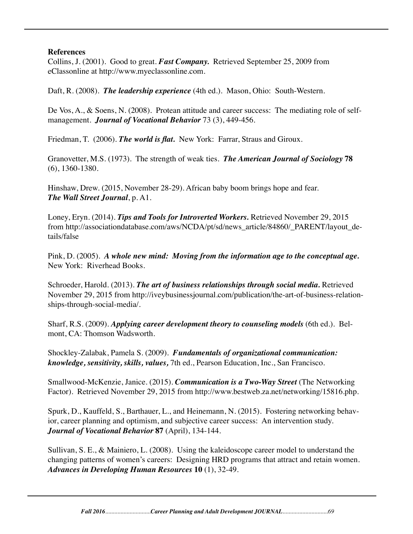#### **References**

Collins, J. (2001). Good to great. *Fast Company.* Retrieved September 25, 2009 from eClassonline at http://www.myeclassonline.com.

Daft, R. (2008). *The leadership experience* (4th ed.). Mason, Ohio: South-Western.

De Vos, A., & Soens, N. (2008). Protean attitude and career success: The mediating role of selfmanagement. *Journal of Vocational Behavior* 73 (3), 449-456.

Friedman, T. (2006). *The world is flat.* New York: Farrar, Straus and Giroux.

Granovetter, M.S. (1973). The strength of weak ties. *The American Journal of Sociology* **78** (6), 1360-1380.

Hinshaw, Drew. (2015, November 28-29). African baby boom brings hope and fear. *The Wall Street Journal*, p. A1.

Loney, Eryn. (2014). *Tips and Tools for Introverted Workers.* Retrieved November 29, 2015 from http://associationdatabase.com/aws/NCDA/pt/sd/news\_article/84860/\_PARENT/layout\_details/false

Pink, D. (2005). *A whole new mind: Moving from the information age to the conceptual age.*  New York: Riverhead Books.

Schroeder, Harold. (2013). *The art of business relationships through social media.* Retrieved November 29, 2015 from http://iveybusinessjournal.com/publication/the-art-of-business-relationships-through-social-media/.

Sharf, R.S. (2009). *Applying career development theory to counseling models* (6th ed.). Belmont, CA: Thomson Wadsworth.

Shockley-Zalabak, Pamela S. (2009). *Fundamentals of organizational communication: knowledge, sensitivity, skills, values,* 7th ed., Pearson Education, Inc., San Francisco.

Smallwood-McKenzie, Janice. (2015). *Communication is a Two-Way Street* (The Networking Factor). Retrieved November 29, 2015 from http://www.bestweb.za.net/networking/15816.php.

Spurk, D., Kauffeld, S., Barthauer, L., and Heinemann, N. (2015). Fostering networking behavior, career planning and optimism, and subjective career success: An intervention study. *Journal of Vocational Behavior* **87** (April), 134-144.

Sullivan, S. E., & Mainiero, L. (2008). Using the kaleidoscope career model to understand the changing patterns of women's careers: Designing HRD programs that attract and retain women. *Advances in Developing Human Resources* **10** (1), 32-49.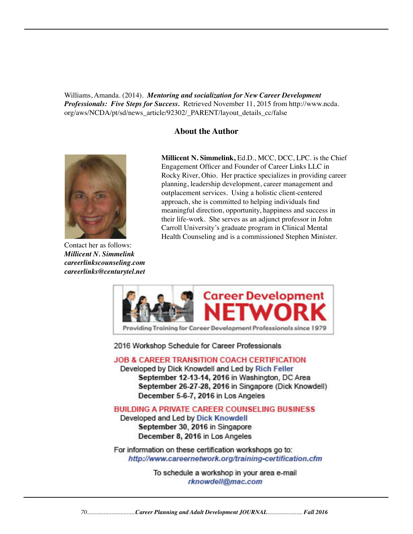Williams, Amanda. (2014). *Mentoring and socialization for New Career Development Professionals: Five Steps for Success.* Retrieved November 11, 2015 from http://www.ncda. org/aws/NCDA/pt/sd/news\_article/92302/\_PARENT/layout\_details\_cc/false

#### **About the Author**



Contact her as follows: *Millicent N. Simmelink careerlinkscounseling.com careerlinks@centurytel.net*

**Millicent N. Simmelink,** Ed.D., MCC, DCC, LPC. is the Chief Engagement Officer and Founder of Career Links LLC in Rocky River, Ohio. Her practice specializes in providing career planning, leadership development, career management and outplacement services. Using a holistic client-centered approach, she is committed to helping individuals find meaningful direction, opportunity, happiness and success in their life-work. She serves as an adjunct professor in John Carroll University's graduate program in Clinical Mental Health Counseling and is a commissioned Stephen Minister.



2016 Workshop Schedule for Career Professionals

**JOB & CAREER TRANSITION COACH CERTIFICATION** 

Developed by Dick Knowdell and Led by Rich Feller September 12-13-14, 2016 in Washington, DC Area September 26-27-28, 2016 in Singapore (Dick Knowdell) December 5-6-7, 2016 in Los Angeles

**BUILDING A PRIVATE CAREER COUNSELING BUSINESS** 

Developed and Led by Dick Knowdell September 30, 2016 in Singapore December 8, 2016 in Los Angeles

For information on these certification workshops go to: http://www.careernetwork.org/training-certification.cfm

> To schedule a workshop in your area e-mail rknowdell@mac.com

*70................................Career Planning and Adult Development JOURNAL....................... Fall 2016*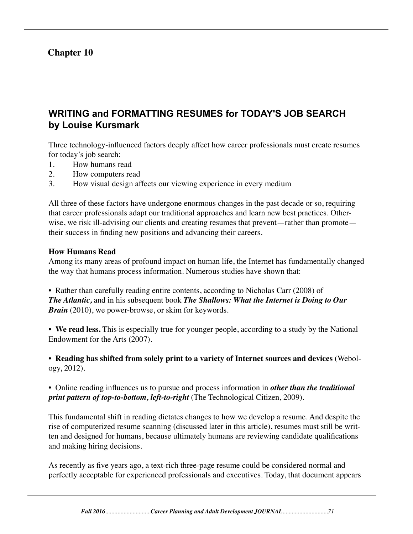# **Chapter 10**

# **WRITING and FORMATTING RESUMES for TODAY'S JOB SEARCH by Louise Kursmark**

Three technology-influenced factors deeply affect how career professionals must create resumes for today's job search:

- 1. How humans read
- 2. How computers read
- 3. How visual design affects our viewing experience in every medium

All three of these factors have undergone enormous changes in the past decade or so, requiring that career professionals adapt our traditional approaches and learn new best practices. Otherwise, we risk ill-advising our clients and creating resumes that prevent—rather than promote their success in finding new positions and advancing their careers.

#### **How Humans Read**

Among its many areas of profound impact on human life, the Internet has fundamentally changed the way that humans process information. Numerous studies have shown that:

• Rather than carefully reading entire contents, according to Nicholas Carr (2008) of *The Atlantic,* and in his subsequent book *The Shallows: What the Internet is Doing to Our Brain* (2010), we power-browse, or skim for keywords.

• **We read less.** This is especially true for younger people, according to a study by the National Endowment for the Arts (2007).

• **Reading has shifted from solely print to a variety of Internet sources and devices** (Webology, 2012).

• Online reading influences us to pursue and process information in *other than the traditional print pattern of top-to-bottom, left-to-right* (The Technological Citizen, 2009).

This fundamental shift in reading dictates changes to how we develop a resume. And despite the rise of computerized resume scanning (discussed later in this article), resumes must still be written and designed for humans, because ultimately humans are reviewing candidate qualifications and making hiring decisions.

As recently as five years ago, a text-rich three-page resume could be considered normal and perfectly acceptable for experienced professionals and executives. Today, that document appears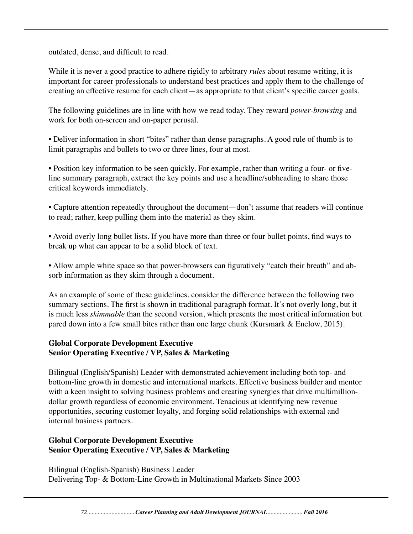outdated, dense, and difficult to read.

While it is never a good practice to adhere rigidly to arbitrary *rules* about resume writing, it is important for career professionals to understand best practices and apply them to the challenge of creating an effective resume for each client—as appropriate to that client's specific career goals.

The following guidelines are in line with how we read today. They reward *power-browsing* and work for both on-screen and on-paper perusal.

• Deliver information in short "bites" rather than dense paragraphs. A good rule of thumb is to limit paragraphs and bullets to two or three lines, four at most.

• Position key information to be seen quickly. For example, rather than writing a four- or fiveline summary paragraph, extract the key points and use a headline/subheading to share those critical keywords immediately.

• Capture attention repeatedly throughout the document—don't assume that readers will continue to read; rather, keep pulling them into the material as they skim.

• Avoid overly long bullet lists. If you have more than three or four bullet points, find ways to break up what can appear to be a solid block of text.

• Allow ample white space so that power-browsers can figuratively "catch their breath" and absorb information as they skim through a document.

As an example of some of these guidelines, consider the difference between the following two summary sections. The first is shown in traditional paragraph format. It's not overly long, but it is much less *skimmable* than the second version, which presents the most critical information but pared down into a few small bites rather than one large chunk (Kursmark & Enelow, 2015).

#### **Global Corporate Development Executive Senior Operating Executive / VP, Sales & Marketing**

Bilingual (English/Spanish) Leader with demonstrated achievement including both top- and bottom-line growth in domestic and international markets. Effective business builder and mentor with a keen insight to solving business problems and creating synergies that drive multimilliondollar growth regardless of economic environment. Tenacious at identifying new revenue opportunities, securing customer loyalty, and forging solid relationships with external and internal business partners.

### **Global Corporate Development Executive Senior Operating Executive / VP, Sales & Marketing**

Bilingual (English-Spanish) Business Leader Delivering Top- & Bottom-Line Growth in Multinational Markets Since 2003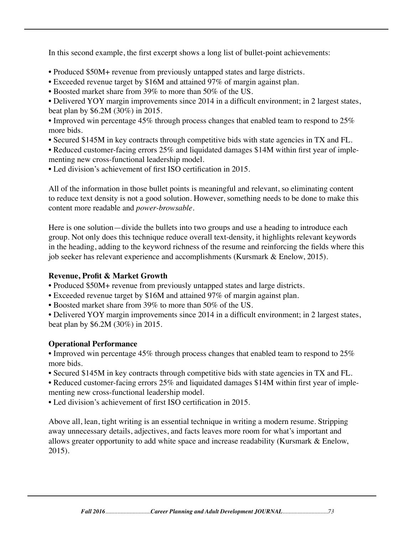In this second example, the first excerpt shows a long list of bullet-point achievements:

- Produced \$50M+ revenue from previously untapped states and large districts.
- Exceeded revenue target by \$16M and attained 97% of margin against plan.
- Boosted market share from 39% to more than 50% of the US.
- Delivered YOY margin improvements since 2014 in a difficult environment; in 2 largest states, beat plan by \$6.2M (30%) in 2015.
- Improved win percentage 45% through process changes that enabled team to respond to 25% more bids.
- Secured \$145M in key contracts through competitive bids with state agencies in TX and FL.
- Reduced customer-facing errors 25% and liquidated damages \$14M within first year of implementing new cross-functional leadership model.
- Led division's achievement of first ISO certification in 2015.

All of the information in those bullet points is meaningful and relevant, so eliminating content to reduce text density is not a good solution. However, something needs to be done to make this content more readable and *power-browsable.*

Here is one solution—divide the bullets into two groups and use a heading to introduce each group. Not only does this technique reduce overall text-density, it highlights relevant keywords in the heading, adding to the keyword richness of the resume and reinforcing the fields where this job seeker has relevant experience and accomplishments (Kursmark & Enelow, 2015).

## **Revenue, Profit & Market Growth**

• Produced \$50M+ revenue from previously untapped states and large districts.

- Exceeded revenue target by \$16M and attained 97% of margin against plan.
- Boosted market share from 39% to more than 50% of the US.

• Delivered YOY margin improvements since 2014 in a difficult environment; in 2 largest states, beat plan by \$6.2M (30%) in 2015.

## **Operational Performance**

• Improved win percentage 45% through process changes that enabled team to respond to 25% more bids.

• Secured \$145M in key contracts through competitive bids with state agencies in TX and FL.

• Reduced customer-facing errors 25% and liquidated damages \$14M within first year of implementing new cross-functional leadership model.

• Led division's achievement of first ISO certification in 2015.

Above all, lean, tight writing is an essential technique in writing a modern resume. Stripping away unnecessary details, adjectives, and facts leaves more room for what's important and allows greater opportunity to add white space and increase readability (Kursmark & Enelow, 2015).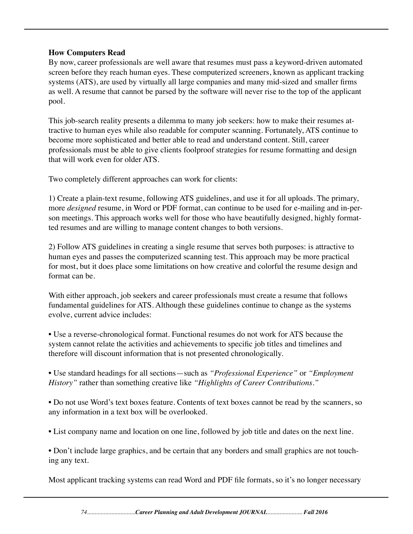### **How Computers Read**

By now, career professionals are well aware that resumes must pass a keyword-driven automated screen before they reach human eyes. These computerized screeners, known as applicant tracking systems (ATS), are used by virtually all large companies and many mid-sized and smaller firms as well. A resume that cannot be parsed by the software will never rise to the top of the applicant pool.

This job-search reality presents a dilemma to many job seekers: how to make their resumes attractive to human eyes while also readable for computer scanning. Fortunately, ATS continue to become more sophisticated and better able to read and understand content. Still, career professionals must be able to give clients foolproof strategies for resume formatting and design that will work even for older ATS.

Two completely different approaches can work for clients:

1) Create a plain-text resume, following ATS guidelines, and use it for all uploads. The primary, more *designed* resume, in Word or PDF format, can continue to be used for e-mailing and in-person meetings. This approach works well for those who have beautifully designed, highly formatted resumes and are willing to manage content changes to both versions.

2) Follow ATS guidelines in creating a single resume that serves both purposes: is attractive to human eyes and passes the computerized scanning test. This approach may be more practical for most, but it does place some limitations on how creative and colorful the resume design and format can be.

With either approach, job seekers and career professionals must create a resume that follows fundamental guidelines for ATS. Although these guidelines continue to change as the systems evolve, current advice includes:

• Use a reverse-chronological format. Functional resumes do not work for ATS because the system cannot relate the activities and achievements to specific job titles and timelines and therefore will discount information that is not presented chronologically.

• Use standard headings for all sections—such as *"Professional Experience"* or *"Employment History"* rather than something creative like *"Highlights of Career Contributions."*

• Do not use Word's text boxes feature. Contents of text boxes cannot be read by the scanners, so any information in a text box will be overlooked.

• List company name and location on one line, followed by job title and dates on the next line.

• Don't include large graphics, and be certain that any borders and small graphics are not touching any text.

Most applicant tracking systems can read Word and PDF file formats, so it's no longer necessary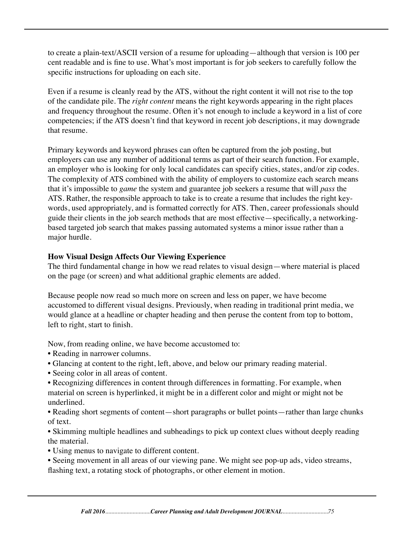to create a plain-text/ASCII version of a resume for uploading—although that version is 100 per cent readable and is fine to use. What's most important is for job seekers to carefully follow the specific instructions for uploading on each site.

Even if a resume is cleanly read by the ATS, without the right content it will not rise to the top of the candidate pile. The *right content* means the right keywords appearing in the right places and frequency throughout the resume. Often it's not enough to include a keyword in a list of core competencies; if the ATS doesn't find that keyword in recent job descriptions, it may downgrade that resume.

Primary keywords and keyword phrases can often be captured from the job posting, but employers can use any number of additional terms as part of their search function. For example, an employer who is looking for only local candidates can specify cities, states, and/or zip codes. The complexity of ATS combined with the ability of employers to customize each search means that it's impossible to *game* the system and guarantee job seekers a resume that will *pass* the ATS. Rather, the responsible approach to take is to create a resume that includes the right keywords, used appropriately, and is formatted correctly for ATS. Then, career professionals should guide their clients in the job search methods that are most effective—specifically, a networkingbased targeted job search that makes passing automated systems a minor issue rather than a major hurdle.

### **How Visual Design Affects Our Viewing Experience**

The third fundamental change in how we read relates to visual design—where material is placed on the page (or screen) and what additional graphic elements are added.

Because people now read so much more on screen and less on paper, we have become accustomed to different visual designs. Previously, when reading in traditional print media, we would glance at a headline or chapter heading and then peruse the content from top to bottom, left to right, start to finish.

Now, from reading online, we have become accustomed to:

- Reading in narrower columns.
- Glancing at content to the right, left, above, and below our primary reading material.
- Seeing color in all areas of content.
- Recognizing differences in content through differences in formatting. For example, when material on screen is hyperlinked, it might be in a different color and might or might not be underlined.
- Reading short segments of content—short paragraphs or bullet points—rather than large chunks of text.

• Skimming multiple headlines and subheadings to pick up context clues without deeply reading the material.

- Using menus to navigate to different content.
- Seeing movement in all areas of our viewing pane. We might see pop-up ads, video streams, flashing text, a rotating stock of photographs, or other element in motion.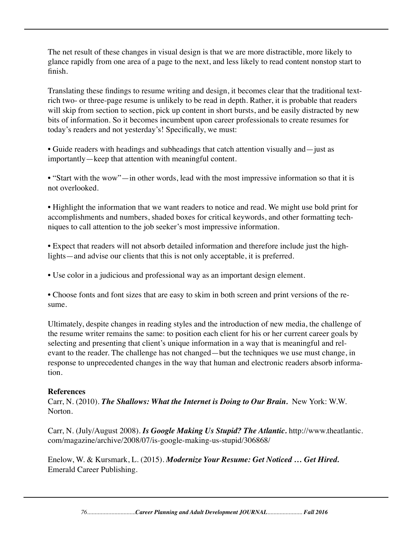The net result of these changes in visual design is that we are more distractible, more likely to glance rapidly from one area of a page to the next, and less likely to read content nonstop start to finish.

Translating these findings to resume writing and design, it becomes clear that the traditional textrich two- or three-page resume is unlikely to be read in depth. Rather, it is probable that readers will skip from section to section, pick up content in short bursts, and be easily distracted by new bits of information. So it becomes incumbent upon career professionals to create resumes for today's readers and not yesterday's! Specifically, we must:

• Guide readers with headings and subheadings that catch attention visually and—just as importantly—keep that attention with meaningful content.

• "Start with the wow"—in other words, lead with the most impressive information so that it is not overlooked.

• Highlight the information that we want readers to notice and read. We might use bold print for accomplishments and numbers, shaded boxes for critical keywords, and other formatting techniques to call attention to the job seeker's most impressive information.

• Expect that readers will not absorb detailed information and therefore include just the highlights—and advise our clients that this is not only acceptable, it is preferred.

• Use color in a judicious and professional way as an important design element.

• Choose fonts and font sizes that are easy to skim in both screen and print versions of the resume.

Ultimately, despite changes in reading styles and the introduction of new media, the challenge of the resume writer remains the same: to position each client for his or her current career goals by selecting and presenting that client's unique information in a way that is meaningful and relevant to the reader. The challenge has not changed—but the techniques we use must change, in response to unprecedented changes in the way that human and electronic readers absorb information.

### **References**

Carr, N. (2010). *The Shallows: What the Internet is Doing to Our Brain.* New York: W.W. Norton.

Carr, N. (July/August 2008). *Is Google Making Us Stupid? The Atlantic.* http://www.theatlantic. com/magazine/archive/2008/07/is-google-making-us-stupid/306868/

Enelow, W. & Kursmark, L. (2015). *Modernize Your Resume: Get Noticed … Get Hired.*  Emerald Career Publishing.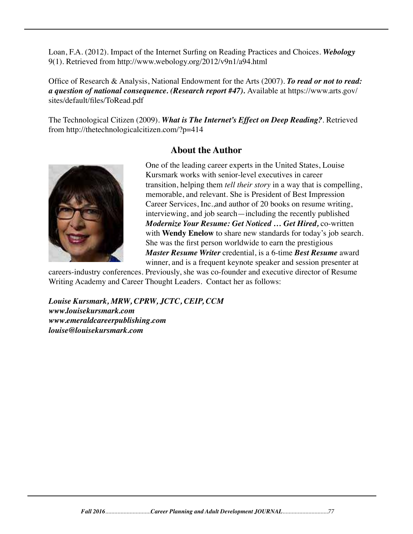Loan, F.A. (2012). Impact of the Internet Surfing on Reading Practices and Choices. *Webology*  9(1). Retrieved from http://www.webology.org/2012/v9n1/a94.html

Office of Research & Analysis, National Endowment for the Arts (2007). *To read or not to read: a question of national consequence. (Research report #47).* Available at https://www.arts.gov/ sites/default/files/ToRead.pdf

The Technological Citizen (2009). *What is The Internet's Effect on Deep Reading?*. Retrieved from http://thetechnologicalcitizen.com/?p=414

## **About the Author**



One of the leading career experts in the United States, Louise Kursmark works with senior-level executives in career transition, helping them *tell their story* in a way that is compelling, memorable, and relevant. She is President of Best Impression Career Services, Inc.,and author of 20 books on resume writing, interviewing, and job search—including the recently published *Modernize Your Resume: Get Noticed … Get Hired,* co-written with **Wendy Enelow** to share new standards for today's job search. She was the first person worldwide to earn the prestigious *Master Resume Writer* credential, is a 6-time *Best Resume* award winner, and is a frequent keynote speaker and session presenter at

careers-industry conferences. Previously, she was co-founder and executive director of Resume Writing Academy and Career Thought Leaders. Contact her as follows:

*Louise Kursmark, MRW, CPRW, JCTC, CEIP, CCM www.louisekursmark.com www.emeraldcareerpublishing.com louise@louisekursmark.com*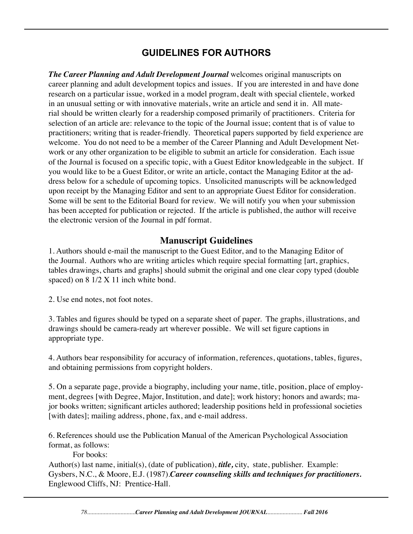# **GUIDELINES FOR AUTHORS**

*The Career Planning and Adult Development Journal* welcomes original manuscripts on career planning and adult development topics and issues. If you are interested in and have done research on a particular issue, worked in a model program, dealt with special clientele, worked in an unusual setting or with innovative materials, write an article and send it in. All material should be written clearly for a readership composed primarily of practitioners. Criteria for selection of an article are: relevance to the topic of the Journal issue; content that is of value to practitioners; writing that is reader-friendly. Theoretical papers supported by field experience are welcome. You do not need to be a member of the Career Planning and Adult Development Network or any other organization to be eligible to submit an article for consideration. Each issue of the Journal is focused on a specific topic, with a Guest Editor knowledgeable in the subject. If you would like to be a Guest Editor, or write an article, contact the Managing Editor at the address below for a schedule of upcoming topics. Unsolicited manuscripts will be acknowledged upon receipt by the Managing Editor and sent to an appropriate Guest Editor for consideration. Some will be sent to the Editorial Board for review. We will notify you when your submission has been accepted for publication or rejected. If the article is published, the author will receive the electronic version of the Journal in pdf format.

## **Manuscript Guidelines**

1. Authors should e-mail the manuscript to the Guest Editor, and to the Managing Editor of the Journal. Authors who are writing articles which require special formatting [art, graphics, tables drawings, charts and graphs] should submit the original and one clear copy typed (double spaced) on  $8 \frac{1}{2}$  X 11 inch white bond.

2. Use end notes, not foot notes.

3. Tables and figures should be typed on a separate sheet of paper. The graphs, illustrations, and drawings should be camera-ready art wherever possible. We will set figure captions in appropriate type.

4. Authors bear responsibility for accuracy of information, references, quotations, tables, figures, and obtaining permissions from copyright holders.

5. On a separate page, provide a biography, including your name, title, position, place of employment, degrees [with Degree, Major, Institution, and date]; work history; honors and awards; major books written; significant articles authored; leadership positions held in professional societies [with dates]; mailing address, phone, fax, and e-mail address.

6. References should use the Publication Manual of the American Psychological Association format, as follows:

For books:

Author(s) last name, initial(s), (date of publication), *title,* city, state, publisher. Example: Gysbers, N.C., & Moore, E.J. (1987).*Career counseling skills and techniques for practitioners.* Englewood Cliffs, NJ: Prentice-Hall.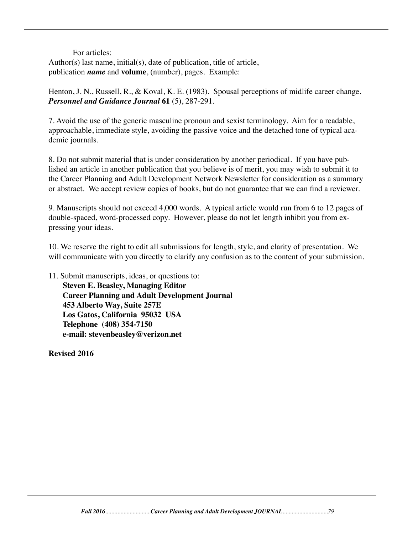#### For articles:

Author(s) last name, initial(s), date of publication, title of article, publication *name* and **volume**, (number), pages. Example:

Henton, J. N., Russell, R., & Koval, K. E. (1983). Spousal perceptions of midlife career change. *Personnel and Guidance Journal* **61** (5), 287-291.

7. Avoid the use of the generic masculine pronoun and sexist terminology. Aim for a readable, approachable, immediate style, avoiding the passive voice and the detached tone of typical academic journals.

8. Do not submit material that is under consideration by another periodical. If you have published an article in another publication that you believe is of merit, you may wish to submit it to the Career Planning and Adult Development Network Newsletter for consideration as a summary or abstract. We accept review copies of books, but do not guarantee that we can find a reviewer.

9. Manuscripts should not exceed 4,000 words. A typical article would run from 6 to 12 pages of double-spaced, word-processed copy. However, please do not let length inhibit you from expressing your ideas.

10. We reserve the right to edit all submissions for length, style, and clarity of presentation. We will communicate with you directly to clarify any confusion as to the content of your submission.

11. Submit manuscripts, ideas, or questions to: **Steven E. Beasley, Managing Editor Career Planning and Adult Development Journal 453 Alberto Way, Suite 257E Los Gatos, California 95032 USA Telephone (408) 354-7150 e-mail: stevenbeasley@verizon.net**

**Revised 2016**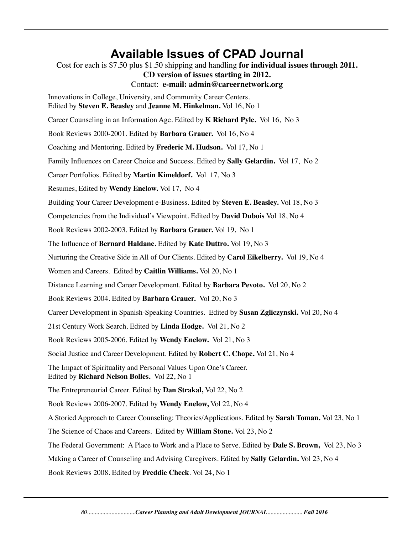# **Available Issues of CPAD Journal**

Cost for each is \$7.50 plus \$1.50 shipping and handling **for individual issues through 2011. CD version of issues starting in 2012.** Contact: **e-mail: admin@careernetwork.org** Innovations in College, University, and Community Career Centers. Edited by **Steven E. Beasley** and **Jeanne M. Hinkelman.** Vol 16, No 1 Career Counseling in an Information Age. Edited by **K Richard Pyle.** Vol 16, No 3 Book Reviews 2000-2001. Edited by **Barbara Grauer.** Vol 16, No 4 Coaching and Mentoring. Edited by **Frederic M. Hudson.** Vol 17, No 1 Family Influences on Career Choice and Success. Edited by **Sally Gelardin.** Vol 17, No 2 Career Portfolios. Edited by **Martin Kimeldorf.** Vol 17, No 3 Resumes, Edited by **Wendy Enelow.** Vol 17, No 4 Building Your Career Development e-Business. Edited by **Steven E. Beasley.** Vol 18, No 3 Competencies from the Individual's Viewpoint. Edited by **David Dubois** Vol 18, No 4 Book Reviews 2002-2003. Edited by **Barbara Grauer.** Vol 19, No 1 The Influence of **Bernard Haldane.** Edited by **Kate Duttro.** Vol 19, No 3 Nurturing the Creative Side in All of Our Clients. Edited by **Carol Eikelberry.** Vol 19, No 4 Women and Careers. Edited by **Caitlin Williams.** Vol 20, No 1 Distance Learning and Career Development. Edited by **Barbara Pevoto.** Vol 20, No 2 Book Reviews 2004. Edited by **Barbara Grauer.** Vol 20, No 3 Career Development in Spanish-Speaking Countries. Edited by **Susan Zgliczynski.** Vol 20, No 4 21st Century Work Search. Edited by **Linda Hodge.** Vol 21, No 2 Book Reviews 2005-2006. Edited by **Wendy Enelow.** Vol 21, No 3 Social Justice and Career Development. Edited by **Robert C. Chope.** Vol 21, No 4 The Impact of Spirituality and Personal Values Upon One's Career. Edited by **Richard Nelson Bolles.** Vol 22, No 1 The Entrepreneurial Career. Edited by **Dan Strakal,** Vol 22, No 2 Book Reviews 2006-2007. Edited by **Wendy Enelow,** Vol 22, No 4 A Storied Approach to Career Counseling: Theories/Applications. Edited by **Sarah Toman.** Vol 23, No 1 The Science of Chaos and Careers. Edited by **William Stone.** Vol 23, No 2 The Federal Government: A Place to Work and a Place to Serve. Edited by **Dale S. Brown,** Vol 23, No 3 Making a Career of Counseling and Advising Caregivers. Edited by **Sally Gelardin.** Vol 23, No 4 Book Reviews 2008. Edited by **Freddie Cheek**. Vol 24, No 1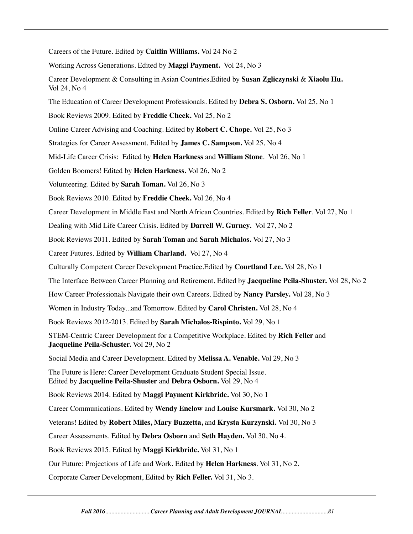Careers of the Future. Edited by **Caitlin Williams.** Vol 24 No 2

Working Across Generations. Edited by **Maggi Payment.** Vol 24, No 3

Career Development & Consulting in Asian Countries.Edited by **Susan Zgliczynski** & **Xiaolu Hu.**  Vol 24, No 4

The Education of Career Development Professionals. Edited by **Debra S. Osborn.** Vol 25, No 1

Book Reviews 2009. Edited by **Freddie Cheek.** Vol 25, No 2

Online Career Advising and Coaching. Edited by **Robert C. Chope.** Vol 25, No 3

Strategies for Career Assessment. Edited by **James C. Sampson.** Vol 25, No 4

Mid-Life Career Crisis: Edited by **Helen Harkness** and **William Stone**. Vol 26, No 1

Golden Boomers! Edited by **Helen Harkness.** Vol 26, No 2

Volunteering. Edited by **Sarah Toman.** Vol 26, No 3

Book Reviews 2010. Edited by **Freddie Cheek.** Vol 26, No 4

Career Development in Middle East and North African Countries. Edited by **Rich Feller**. Vol 27, No 1

Dealing with Mid Life Career Crisis. Edited by **Darrell W. Gurney.** Vol 27, No 2

Book Reviews 2011. Edited by **Sarah Toman** and **Sarah Michalos.** Vol 27, No 3

Career Futures. Edited by **William Charland.** Vol 27, No 4

Culturally Competent Career Development Practice.Edited by **Courtland Lee.** Vol 28, No 1

The Interface Between Career Planning and Retirement. Edited by **Jacqueline Peila-Shuster.** Vol 28, No 2

How Career Professionals Navigate their own Careers. Edited by **Nancy Parsley.** Vol 28, No 3

Women in Industry Today...and Tomorrow. Edited by **Carol Christen.** Vol 28, No 4

Book Reviews 2012-2013. Edited by **Sarah Michalos-Rispinto.** Vol 29, No 1

STEM-Centric Career Development for a Competitive Workplace. Edited by **Rich Feller** and **Jacqueline Peila-Schuster.** Vol 29, No 2

Social Media and Career Development. Edited by **Melissa A. Venable.** Vol 29, No 3

The Future is Here: Career Development Graduate Student Special Issue. Edited by **Jacqueline Peila-Shuster** and **Debra Osborn.** Vol 29, No 4

Book Reviews 2014. Edited by **Maggi Payment Kirkbride.** Vol 30, No 1

Career Communications. Edited by **Wendy Enelow** and **Louise Kursmark.** Vol 30, No 2

Veterans! Edited by **Robert Miles, Mary Buzzetta,** and **Krysta Kurzynski.** Vol 30, No 3

Career Assessments. Edited by **Debra Osborn** and **Seth Hayden.** Vol 30, No 4.

Book Reviews 2015. Edited by **Maggi Kirkbride.** Vol 31, No 1

Our Future: Projections of Life and Work. Edited by **Helen Harkness**. Vol 31, No 2.

Corporate Career Development, Edited by **Rich Feller.** Vol 31, No 3.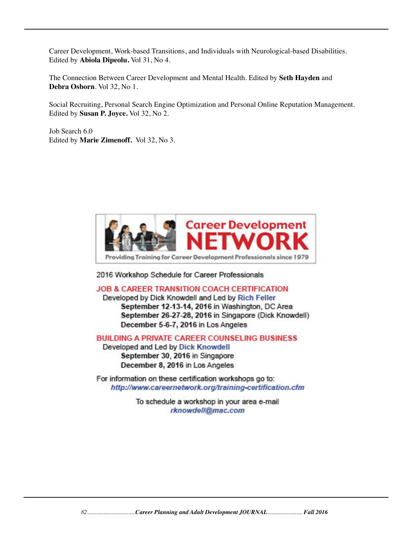Career Development, Work-based Transitions, and Individuals with Neurological-based Disabilities. Edited by **Abiola Dipeolu.** Vol 31, No 4.

The Connection Between Career Development and Mental Health. Edited by **Seth Hayden** and **Debra Osborn**. Vol 32, No 1.

Social Recruiting, Personal Search Engine Optimization and Personal Online Reputation Management. Edited by **Susan P. Joyce.** Vol 32, No 2.

Job Search 6.0 Edited by **Marie Zimenoff.** Vol 32, No 3.



2016 Workshop Schedule for Career Professionals

**JOB & CAREER TRANSITION COACH CERTIFICATION** 

Developed by Dick Knowdell and Led by Rich Feller September 12-13-14, 2016 in Washington, DC Area September 26-27-28, 2016 in Singapore (Dick Knowdell) December 5-6-7, 2016 in Los Angeles

**BUILDING A PRIVATE CAREER COUNSELING BUSINESS** 

Developed and Led by Dick Knowdell September 30, 2016 in Singapore December 8, 2016 in Los Angeles

For information on these certification workshops go to: http://www.careernetwork.org/training-certification.cfm

> To schedule a workshop in your area e-mail rknowdell@mac.com